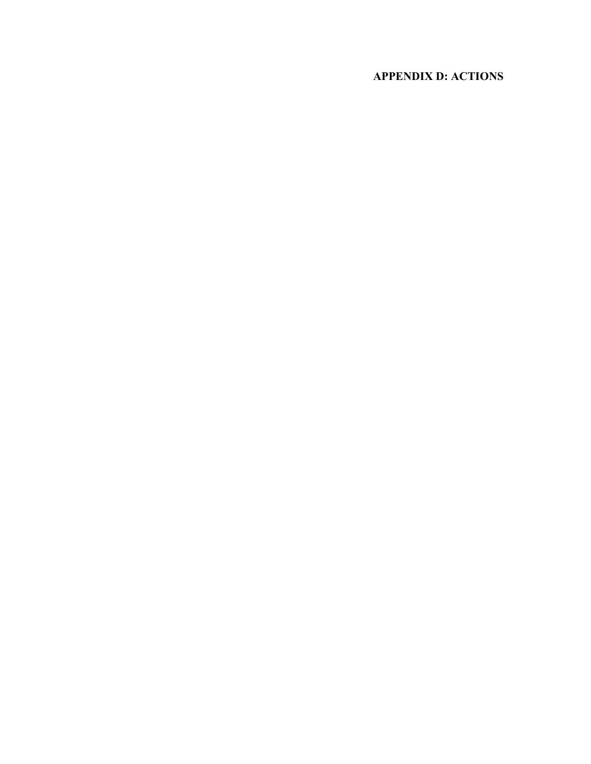# **APPENDIX D: ACTIONS**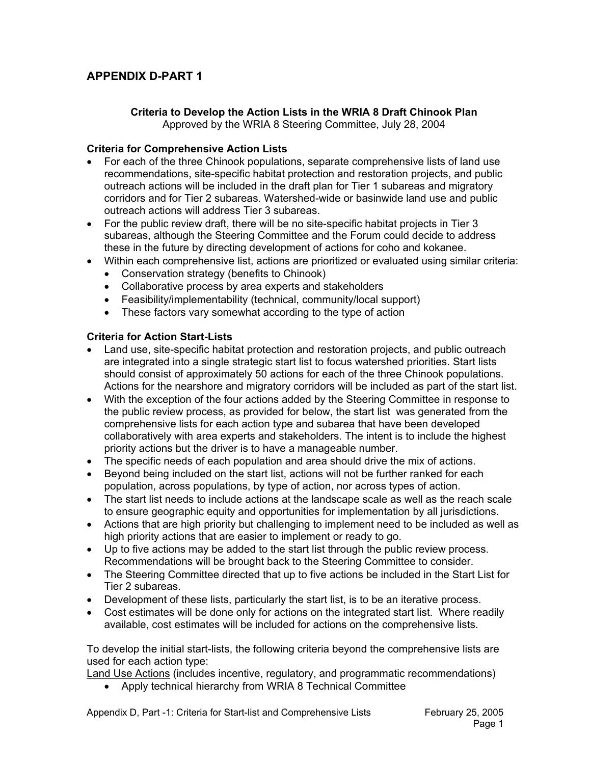# **APPENDIX D-PART 1**

### **Criteria to Develop the Action Lists in the WRIA 8 Draft Chinook Plan**  Approved by the WRIA 8 Steering Committee, July 28, 2004

### **Criteria for Comprehensive Action Lists**

- For each of the three Chinook populations, separate comprehensive lists of land use recommendations, site-specific habitat protection and restoration projects, and public outreach actions will be included in the draft plan for Tier 1 subareas and migratory corridors and for Tier 2 subareas. Watershed-wide or basinwide land use and public outreach actions will address Tier 3 subareas.
- For the public review draft, there will be no site-specific habitat projects in Tier 3 subareas, although the Steering Committee and the Forum could decide to address these in the future by directing development of actions for coho and kokanee.
- Within each comprehensive list, actions are prioritized or evaluated using similar criteria:
	- Conservation strategy (benefits to Chinook)
	- Collaborative process by area experts and stakeholders
	- Feasibility/implementability (technical, community/local support)
	- These factors vary somewhat according to the type of action

### **Criteria for Action Start-Lists**

- Land use, site-specific habitat protection and restoration projects, and public outreach are integrated into a single strategic start list to focus watershed priorities. Start lists should consist of approximately 50 actions for each of the three Chinook populations. Actions for the nearshore and migratory corridors will be included as part of the start list.
- With the exception of the four actions added by the Steering Committee in response to the public review process, as provided for below, the start list was generated from the comprehensive lists for each action type and subarea that have been developed collaboratively with area experts and stakeholders. The intent is to include the highest priority actions but the driver is to have a manageable number.
- The specific needs of each population and area should drive the mix of actions.
- Beyond being included on the start list, actions will not be further ranked for each population, across populations, by type of action, nor across types of action.
- The start list needs to include actions at the landscape scale as well as the reach scale to ensure geographic equity and opportunities for implementation by all jurisdictions.
- Actions that are high priority but challenging to implement need to be included as well as high priority actions that are easier to implement or ready to go.
- Up to five actions may be added to the start list through the public review process. Recommendations will be brought back to the Steering Committee to consider.
- The Steering Committee directed that up to five actions be included in the Start List for Tier 2 subareas.
- Development of these lists, particularly the start list, is to be an iterative process.
- Cost estimates will be done only for actions on the integrated start list. Where readily available, cost estimates will be included for actions on the comprehensive lists.

To develop the initial start-lists, the following criteria beyond the comprehensive lists are used for each action type:

**Land Use Actions (includes incentive, regulatory, and programmatic recommendations)** 

• Apply technical hierarchy from WRIA 8 Technical Committee

Appendix D, Part -1: Criteria for Start-list and Comprehensive Lists February 25, 2005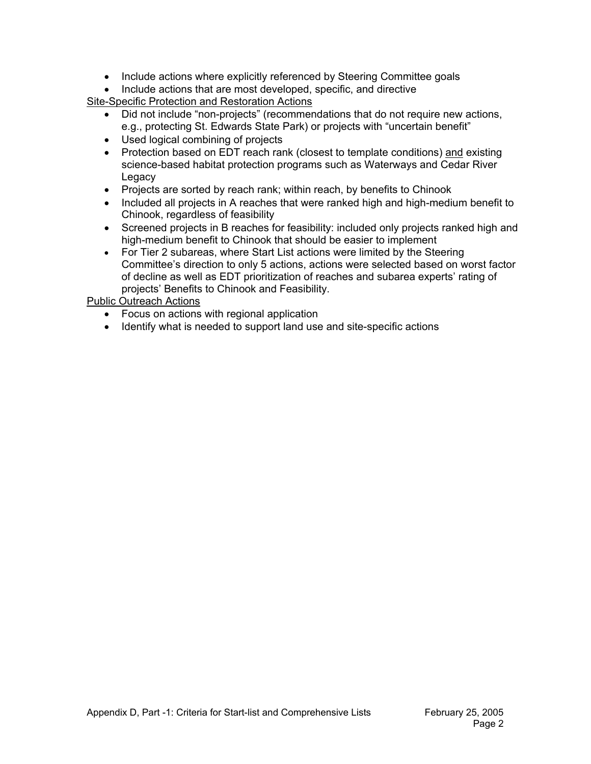- Include actions where explicitly referenced by Steering Committee goals
- Include actions that are most developed, specific, and directive

Site-Specific Protection and Restoration Actions

- Did not include "non-projects" (recommendations that do not require new actions, e.g., protecting St. Edwards State Park) or projects with "uncertain benefit"
- Used logical combining of projects
- Protection based on EDT reach rank (closest to template conditions) and existing science-based habitat protection programs such as Waterways and Cedar River **Legacy**
- Projects are sorted by reach rank; within reach, by benefits to Chinook
- Included all projects in A reaches that were ranked high and high-medium benefit to Chinook, regardless of feasibility
- Screened projects in B reaches for feasibility: included only projects ranked high and high-medium benefit to Chinook that should be easier to implement
- For Tier 2 subareas, where Start List actions were limited by the Steering Committee's direction to only 5 actions, actions were selected based on worst factor of decline as well as EDT prioritization of reaches and subarea experts' rating of projects' Benefits to Chinook and Feasibility.

Public Outreach Actions

- Focus on actions with regional application
- Identify what is needed to support land use and site-specific actions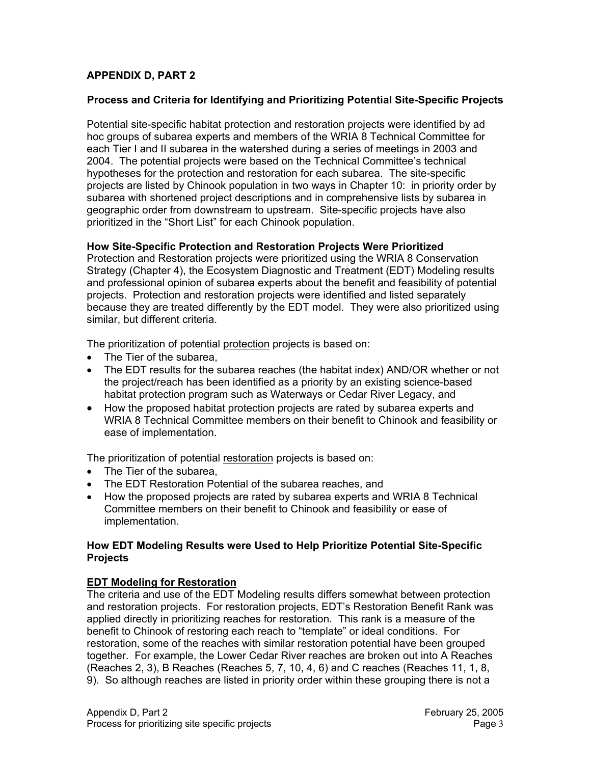# **APPENDIX D, PART 2**

### **Process and Criteria for Identifying and Prioritizing Potential Site-Specific Projects**

Potential site-specific habitat protection and restoration projects were identified by ad hoc groups of subarea experts and members of the WRIA 8 Technical Committee for each Tier I and II subarea in the watershed during a series of meetings in 2003 and 2004. The potential projects were based on the Technical Committee's technical hypotheses for the protection and restoration for each subarea. The site-specific projects are listed by Chinook population in two ways in Chapter 10: in priority order by subarea with shortened project descriptions and in comprehensive lists by subarea in geographic order from downstream to upstream. Site-specific projects have also prioritized in the "Short List" for each Chinook population.

### **How Site-Specific Protection and Restoration Projects Were Prioritized**

Protection and Restoration projects were prioritized using the WRIA 8 Conservation Strategy (Chapter 4), the Ecosystem Diagnostic and Treatment (EDT) Modeling results and professional opinion of subarea experts about the benefit and feasibility of potential projects. Protection and restoration projects were identified and listed separately because they are treated differently by the EDT model. They were also prioritized using similar, but different criteria.

The prioritization of potential protection projects is based on:

- The Tier of the subarea,
- The EDT results for the subarea reaches (the habitat index) AND/OR whether or not the project/reach has been identified as a priority by an existing science-based habitat protection program such as Waterways or Cedar River Legacy, and
- How the proposed habitat protection projects are rated by subarea experts and WRIA 8 Technical Committee members on their benefit to Chinook and feasibility or ease of implementation.

The prioritization of potential restoration projects is based on:

- The Tier of the subarea,
- The EDT Restoration Potential of the subarea reaches, and
- How the proposed projects are rated by subarea experts and WRIA 8 Technical Committee members on their benefit to Chinook and feasibility or ease of implementation.

### **How EDT Modeling Results were Used to Help Prioritize Potential Site-Specific Projects**

### **EDT Modeling for Restoration**

The criteria and use of the EDT Modeling results differs somewhat between protection and restoration projects. For restoration projects, EDT's Restoration Benefit Rank was applied directly in prioritizing reaches for restoration. This rank is a measure of the benefit to Chinook of restoring each reach to "template" or ideal conditions. For restoration, some of the reaches with similar restoration potential have been grouped together. For example, the Lower Cedar River reaches are broken out into A Reaches (Reaches 2, 3), B Reaches (Reaches 5, 7, 10, 4, 6) and C reaches (Reaches 11, 1, 8, 9). So although reaches are listed in priority order within these grouping there is not a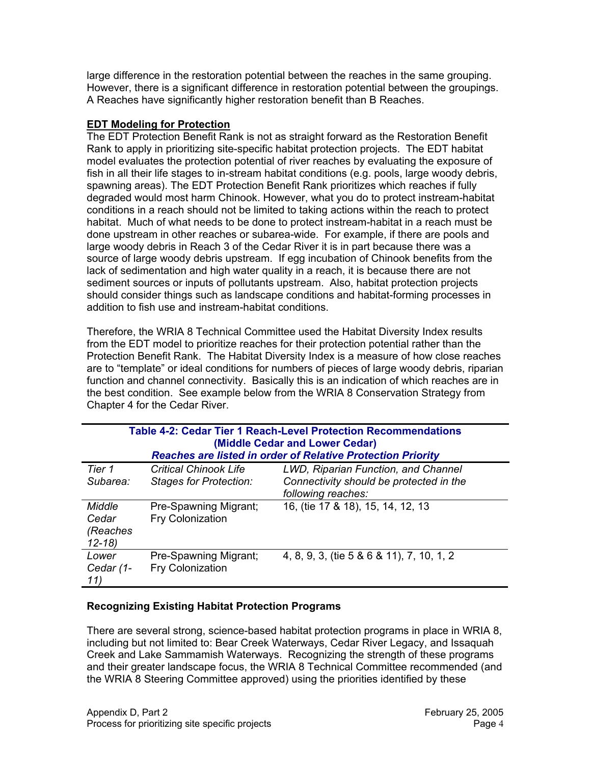large difference in the restoration potential between the reaches in the same grouping. However, there is a significant difference in restoration potential between the groupings. A Reaches have significantly higher restoration benefit than B Reaches.

### **EDT Modeling for Protection**

The EDT Protection Benefit Rank is not as straight forward as the Restoration Benefit Rank to apply in prioritizing site-specific habitat protection projects. The EDT habitat model evaluates the protection potential of river reaches by evaluating the exposure of fish in all their life stages to in-stream habitat conditions (e.g. pools, large woody debris, spawning areas). The EDT Protection Benefit Rank prioritizes which reaches if fully degraded would most harm Chinook. However, what you do to protect instream-habitat conditions in a reach should not be limited to taking actions within the reach to protect habitat. Much of what needs to be done to protect instream-habitat in a reach must be done upstream in other reaches or subarea-wide. For example, if there are pools and large woody debris in Reach 3 of the Cedar River it is in part because there was a source of large woody debris upstream. If egg incubation of Chinook benefits from the lack of sedimentation and high water quality in a reach, it is because there are not sediment sources or inputs of pollutants upstream. Also, habitat protection projects should consider things such as landscape conditions and habitat-forming processes in addition to fish use and instream-habitat conditions.

Therefore, the WRIA 8 Technical Committee used the Habitat Diversity Index results from the EDT model to prioritize reaches for their protection potential rather than the Protection Benefit Rank. The Habitat Diversity Index is a measure of how close reaches are to "template" or ideal conditions for numbers of pieces of large woody debris, riparian function and channel connectivity. Basically this is an indication of which reaches are in the best condition. See example below from the WRIA 8 Conservation Strategy from Chapter 4 for the Cedar River.

|                                          | Table 4-2: Cedar Tier 1 Reach-Level Protection Recommendations<br>(Middle Cedar and Lower Cedar)<br><b>Reaches are listed in order of Relative Protection Priority</b> |                                                                                                      |  |  |
|------------------------------------------|------------------------------------------------------------------------------------------------------------------------------------------------------------------------|------------------------------------------------------------------------------------------------------|--|--|
| Tier 1<br>Subarea:                       | <b>Critical Chinook Life</b><br><b>Stages for Protection:</b>                                                                                                          | LWD, Riparian Function, and Channel<br>Connectivity should be protected in the<br>following reaches: |  |  |
| Middle<br>Cedar<br>(Reaches<br>$12 - 18$ | Pre-Spawning Migrant;<br><b>Fry Colonization</b>                                                                                                                       | 16, (tie 17 & 18), 15, 14, 12, 13                                                                    |  |  |
| Lower<br>Cedar (1-<br>11)                | Pre-Spawning Migrant;<br><b>Fry Colonization</b>                                                                                                                       | 4, 8, 9, 3, (tie 5 & 6 & 11), 7, 10, 1, 2                                                            |  |  |

## **Recognizing Existing Habitat Protection Programs**

There are several strong, science-based habitat protection programs in place in WRIA 8, including but not limited to: Bear Creek Waterways, Cedar River Legacy, and Issaquah Creek and Lake Sammamish Waterways. Recognizing the strength of these programs and their greater landscape focus, the WRIA 8 Technical Committee recommended (and the WRIA 8 Steering Committee approved) using the priorities identified by these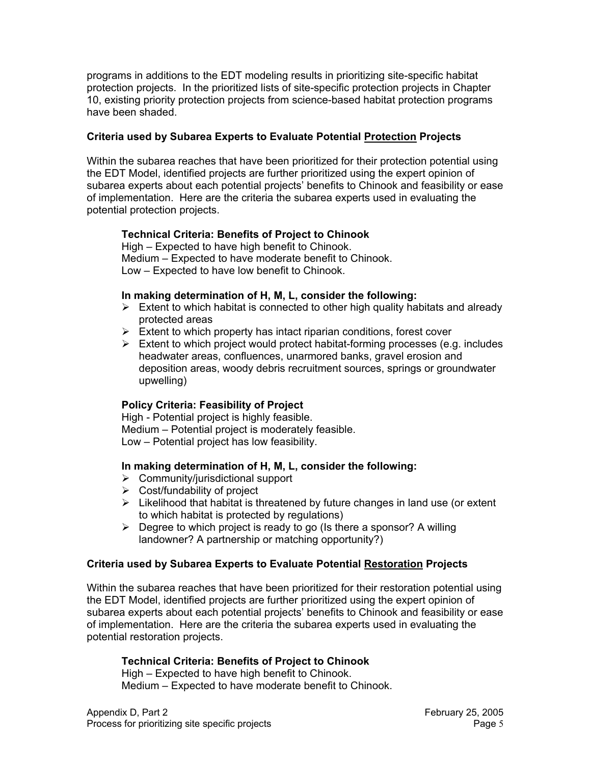programs in additions to the EDT modeling results in prioritizing site-specific habitat protection projects. In the prioritized lists of site-specific protection projects in Chapter 10, existing priority protection projects from science-based habitat protection programs have been shaded.

### **Criteria used by Subarea Experts to Evaluate Potential Protection Projects**

Within the subarea reaches that have been prioritized for their protection potential using the EDT Model, identified projects are further prioritized using the expert opinion of subarea experts about each potential projects' benefits to Chinook and feasibility or ease of implementation. Here are the criteria the subarea experts used in evaluating the potential protection projects.

### **Technical Criteria: Benefits of Project to Chinook**

High – Expected to have high benefit to Chinook. Medium – Expected to have moderate benefit to Chinook. Low – Expected to have low benefit to Chinook.

### **In making determination of H, M, L, consider the following:**

- $\triangleright$  Extent to which habitat is connected to other high quality habitats and already protected areas
- $\triangleright$  Extent to which property has intact riparian conditions, forest cover
- $\triangleright$  Extent to which project would protect habitat-forming processes (e.g. includes headwater areas, confluences, unarmored banks, gravel erosion and deposition areas, woody debris recruitment sources, springs or groundwater upwelling)

### **Policy Criteria: Feasibility of Project**

High - Potential project is highly feasible. Medium – Potential project is moderately feasible. Low – Potential project has low feasibility.

### **In making determination of H, M, L, consider the following:**

- $\triangleright$  Community/jurisdictional support
- $\triangleright$  Cost/fundability of project
- $\triangleright$  Likelihood that habitat is threatened by future changes in land use (or extent to which habitat is protected by regulations)
- $\triangleright$  Degree to which project is ready to go (Is there a sponsor? A willing landowner? A partnership or matching opportunity?)

### **Criteria used by Subarea Experts to Evaluate Potential Restoration Projects**

Within the subarea reaches that have been prioritized for their restoration potential using the EDT Model, identified projects are further prioritized using the expert opinion of subarea experts about each potential projects' benefits to Chinook and feasibility or ease of implementation. Here are the criteria the subarea experts used in evaluating the potential restoration projects.

#### **Technical Criteria: Benefits of Project to Chinook**

High – Expected to have high benefit to Chinook. Medium – Expected to have moderate benefit to Chinook.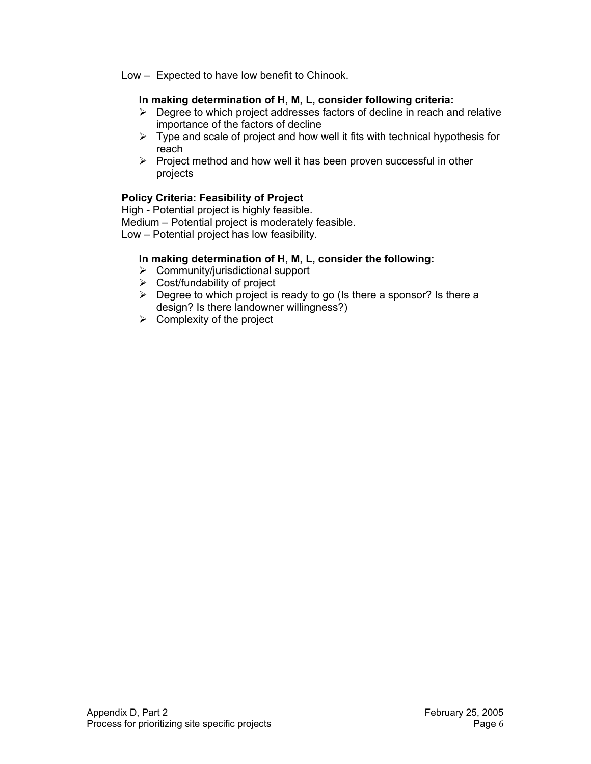Low – Expected to have low benefit to Chinook.

## **In making determination of H, M, L, consider following criteria:**

- $\triangleright$  Degree to which project addresses factors of decline in reach and relative importance of the factors of decline
- $\triangleright$  Type and scale of project and how well it fits with technical hypothesis for reach
- $\triangleright$  Project method and how well it has been proven successful in other projects

# **Policy Criteria: Feasibility of Project**

High - Potential project is highly feasible. Medium – Potential project is moderately feasible. Low – Potential project has low feasibility.

# **In making determination of H, M, L, consider the following:**

- $\triangleright$  Community/jurisdictional support
- $\triangleright$  Cost/fundability of project
- $\triangleright$  Degree to which project is ready to go (Is there a sponsor? Is there a design? Is there landowner willingness?)
- $\triangleright$  Complexity of the project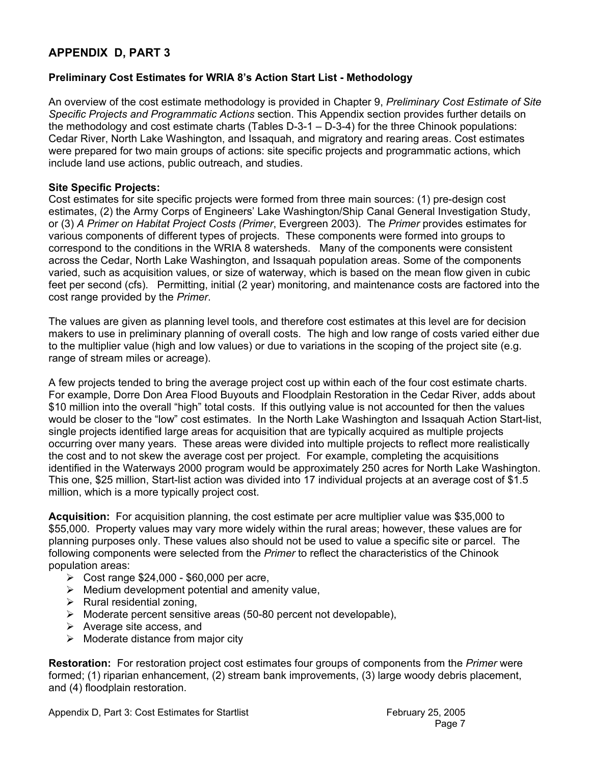# **APPENDIX D, PART 3**

### **Preliminary Cost Estimates for WRIA 8's Action Start List - Methodology**

An overview of the cost estimate methodology is provided in Chapter 9, *Preliminary Cost Estimate of Site Specific Projects and Programmatic Actions* section. This Appendix section provides further details on the methodology and cost estimate charts (Tables D-3-1 – D-3-4) for the three Chinook populations: Cedar River, North Lake Washington, and Issaquah, and migratory and rearing areas. Cost estimates were prepared for two main groups of actions: site specific projects and programmatic actions, which include land use actions, public outreach, and studies.

### **Site Specific Projects:**

Cost estimates for site specific projects were formed from three main sources: (1) pre-design cost estimates, (2) the Army Corps of Engineers' Lake Washington/Ship Canal General Investigation Study, or (3) *A Primer on Habitat Project Costs (Primer*, Evergreen 2003). The *Primer* provides estimates for various components of different types of projects. These components were formed into groups to correspond to the conditions in the WRIA 8 watersheds. Many of the components were consistent across the Cedar, North Lake Washington, and Issaquah population areas. Some of the components varied, such as acquisition values, or size of waterway, which is based on the mean flow given in cubic feet per second (cfs). Permitting, initial (2 year) monitoring, and maintenance costs are factored into the cost range provided by the *Primer*.

The values are given as planning level tools, and therefore cost estimates at this level are for decision makers to use in preliminary planning of overall costs. The high and low range of costs varied either due to the multiplier value (high and low values) or due to variations in the scoping of the project site (e.g. range of stream miles or acreage).

A few projects tended to bring the average project cost up within each of the four cost estimate charts. For example, Dorre Don Area Flood Buyouts and Floodplain Restoration in the Cedar River, adds about \$10 million into the overall "high" total costs. If this outlying value is not accounted for then the values would be closer to the "low" cost estimates. In the North Lake Washington and Issaquah Action Start-list, single projects identified large areas for acquisition that are typically acquired as multiple projects occurring over many years. These areas were divided into multiple projects to reflect more realistically the cost and to not skew the average cost per project. For example, completing the acquisitions identified in the Waterways 2000 program would be approximately 250 acres for North Lake Washington. This one, \$25 million, Start-list action was divided into 17 individual projects at an average cost of \$1.5 million, which is a more typically project cost.

**Acquisition:** For acquisition planning, the cost estimate per acre multiplier value was \$35,000 to \$55,000. Property values may vary more widely within the rural areas; however, these values are for planning purposes only. These values also should not be used to value a specific site or parcel. The following components were selected from the *Primer* to reflect the characteristics of the Chinook population areas:

- ¾ Cost range \$24,000 \$60,000 per acre,
- $\triangleright$  Medium development potential and amenity value,
- $\triangleright$  Rural residential zoning,
- $\triangleright$  Moderate percent sensitive areas (50-80 percent not developable),
- $\triangleright$  Average site access, and
- $\triangleright$  Moderate distance from major city

**Restoration:** For restoration project cost estimates four groups of components from the *Primer* were formed; (1) riparian enhancement, (2) stream bank improvements, (3) large woody debris placement, and (4) floodplain restoration.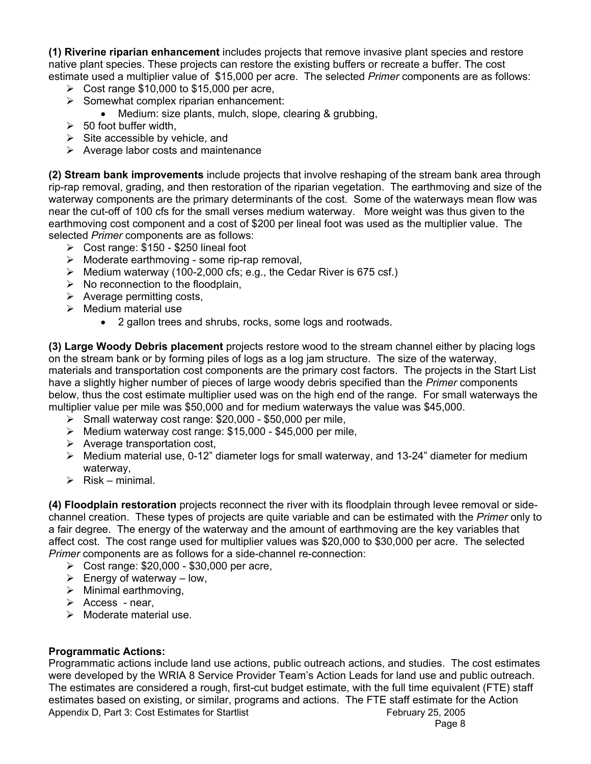**(1) Riverine riparian enhancement** includes projects that remove invasive plant species and restore native plant species. These projects can restore the existing buffers or recreate a buffer. The cost estimate used a multiplier value of \$15,000 per acre. The selected *Primer* components are as follows:

- $\geq$  Cost range \$10,000 to \$15,000 per acre,
- $\triangleright$  Somewhat complex riparian enhancement:
	- Medium: size plants, mulch, slope, clearing & grubbing,
- $\geq$  50 foot buffer width,
- $\triangleright$  Site accessible by vehicle, and
- $\triangleright$  Average labor costs and maintenance

**(2) Stream bank improvements** include projects that involve reshaping of the stream bank area through rip-rap removal, grading, and then restoration of the riparian vegetation. The earthmoving and size of the waterway components are the primary determinants of the cost. Some of the waterways mean flow was near the cut-off of 100 cfs for the small verses medium waterway. More weight was thus given to the earthmoving cost component and a cost of \$200 per lineal foot was used as the multiplier value. The selected *Primer* components are as follows:

- $\triangleright$  Cost range: \$150 \$250 lineal foot
- $\triangleright$  Moderate earthmoving some rip-rap removal,
- $\triangleright$  Medium waterway (100-2,000 cfs; e.g., the Cedar River is 675 csf.)
- $\triangleright$  No reconnection to the floodplain,
- $\triangleright$  Average permitting costs,
- $\triangleright$  Medium material use
	- 2 gallon trees and shrubs, rocks, some logs and rootwads.

**(3) Large Woody Debris placement** projects restore wood to the stream channel either by placing logs on the stream bank or by forming piles of logs as a log jam structure. The size of the waterway, materials and transportation cost components are the primary cost factors. The projects in the Start List have a slightly higher number of pieces of large woody debris specified than the *Primer* components below, thus the cost estimate multiplier used was on the high end of the range. For small waterways the multiplier value per mile was \$50,000 and for medium waterways the value was \$45,000.

- $\triangleright$  Small waterway cost range: \$20,000 \$50,000 per mile,
- $\triangleright$  Medium waterway cost range: \$15,000 \$45,000 per mile,
- $\triangleright$  Average transportation cost,
- $\triangleright$  Medium material use, 0-12" diameter logs for small waterway, and 13-24" diameter for medium waterway,
- $\triangleright$  Risk minimal.

**(4) Floodplain restoration** projects reconnect the river with its floodplain through levee removal or sidechannel creation. These types of projects are quite variable and can be estimated with the *Primer* only to a fair degree. The energy of the waterway and the amount of earthmoving are the key variables that affect cost. The cost range used for multiplier values was \$20,000 to \$30,000 per acre. The selected *Primer* components are as follows for a side-channel re-connection:

- ¾ Cost range: \$20,000 \$30,000 per acre,
- $\triangleright$  Energy of waterway low,
- $\triangleright$  Minimal earthmoving.
- $\triangleright$  Access near,
- $\triangleright$  Moderate material use.

### **Programmatic Actions:**

Appendix D, Part 3: Cost Estimates for Startlist February 25, 2005 Page 8 - Page 8 - Page 8 - Page 8 - Page 8 - Page 8 - Page 8 - Page 8 - Page 8 - Page 8 - Page 8 - Page 8 - Page 8 Programmatic actions include land use actions, public outreach actions, and studies. The cost estimates were developed by the WRIA 8 Service Provider Team's Action Leads for land use and public outreach. The estimates are considered a rough, first-cut budget estimate, with the full time equivalent (FTE) staff estimates based on existing, or similar, programs and actions. The FTE staff estimate for the Action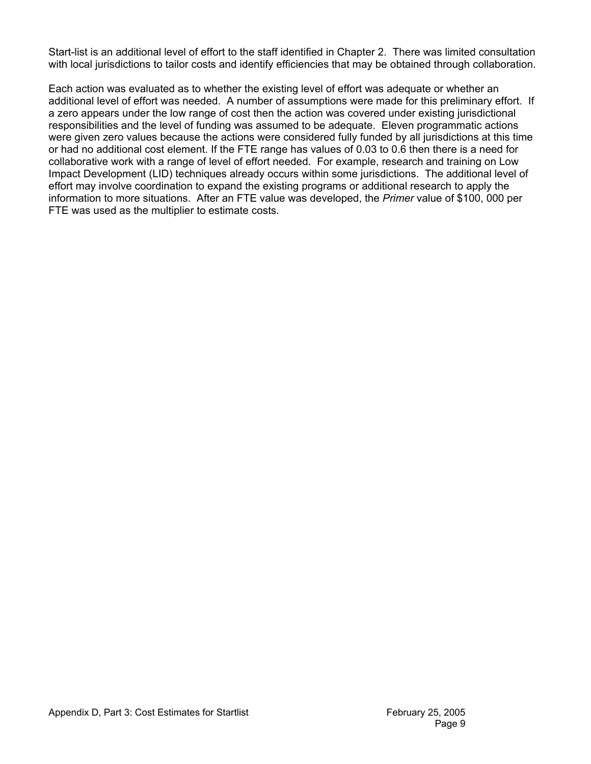Start-list is an additional level of effort to the staff identified in Chapter 2. There was limited consultation with local jurisdictions to tailor costs and identify efficiencies that may be obtained through collaboration.

Each action was evaluated as to whether the existing level of effort was adequate or whether an additional level of effort was needed. A number of assumptions were made for this preliminary effort. If a zero appears under the low range of cost then the action was covered under existing jurisdictional responsibilities and the level of funding was assumed to be adequate. Eleven programmatic actions were given zero values because the actions were considered fully funded by all jurisdictions at this time or had no additional cost element. If the FTE range has values of 0.03 to 0.6 then there is a need for collaborative work with a range of level of effort needed. For example, research and training on Low Impact Development (LID) techniques already occurs within some jurisdictions. The additional level of effort may involve coordination to expand the existing programs or additional research to apply the information to more situations. After an FTE value was developed, the *Primer* value of \$100, 000 per FTE was used as the multiplier to estimate costs.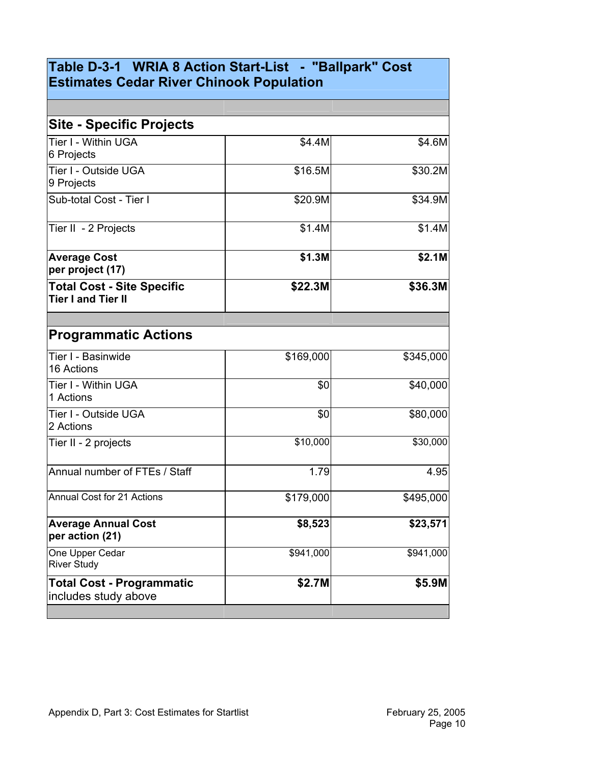# **Table D-3-1 WRIA 8 Action Start-List - "Ballpark" Cost Estimates Cedar River Chinook Population**

| <b>Site - Specific Projects</b>                                |           |           |
|----------------------------------------------------------------|-----------|-----------|
| Tier I - Within UGA<br>6 Projects                              | \$4.4M    | \$4.6M    |
| Tier I - Outside UGA<br>9 Projects                             | \$16.5M   | \$30.2M   |
| Sub-total Cost - Tier I                                        | \$20.9M   | \$34.9M   |
| Tier II - 2 Projects                                           | \$1.4M    | \$1.4M    |
| <b>Average Cost</b><br>per project (17)                        | \$1.3M    | \$2.1M    |
| <b>Total Cost - Site Specific</b><br><b>Tier I and Tier II</b> | \$22.3M   | \$36.3M   |
| <b>Programmatic Actions</b>                                    |           |           |
| Tier I - Basinwide<br>16 Actions                               | \$169,000 | \$345,000 |
| Tier I - Within UGA<br>1 Actions                               | \$0       | \$40,000  |
| Tier I - Outside UGA<br>2 Actions                              | \$0       | \$80,000  |
| Tier II - 2 projects                                           | \$10,000  | \$30,000  |
| Annual number of FTEs / Staff                                  | 1.79      | 4.95      |
| Annual Cost for 21 Actions                                     | \$179,000 | \$495,000 |
| <b>Average Annual Cost</b><br>per action (21)                  | \$8,523   | \$23,571  |
| One Upper Cedar<br><b>River Study</b>                          | \$941,000 | \$941,000 |
| <b>Total Cost - Programmatic</b><br>includes study above       | \$2.7M    | \$5.9M    |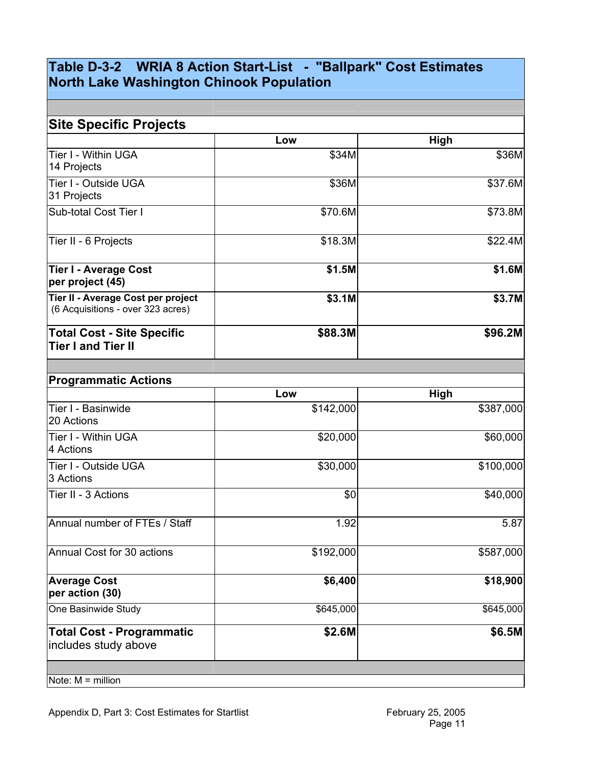# **Table D-3-2 WRIA 8 Action Start-List - "Ballpark" Cost Estimates North Lake Washington Chinook Population**

|                                                                         | Low       | High      |
|-------------------------------------------------------------------------|-----------|-----------|
| Tier I - Within UGA<br>14 Projects                                      | \$34M     | \$36M     |
| Tier I - Outside UGA<br>31 Projects                                     | \$36M     | \$37.6M   |
| Sub-total Cost Tier I                                                   | \$70.6M   | \$73.8M   |
| Tier II - 6 Projects                                                    | \$18.3M   | \$22.4M   |
| Tier I - Average Cost<br>per project (45)                               | \$1.5M    | \$1.6M    |
| Tier II - Average Cost per project<br>(6 Acquisitions - over 323 acres) | \$3.1M    | \$3.7M    |
| <b>Total Cost - Site Specific</b><br><b>Tier I and Tier II</b>          | \$88.3M   | \$96.2M   |
|                                                                         |           |           |
| <b>Programmatic Actions</b>                                             | Low       | High      |
| Tier I - Basinwide<br>20 Actions                                        | \$142,000 | \$387,000 |
| Tier I - Within UGA<br>4 Actions                                        | \$20,000  | \$60,000  |
| Tier I - Outside UGA<br>3 Actions                                       | \$30,000  | \$100,000 |
| Tier II - 3 Actions                                                     | \$0       | \$40,000  |
| Annual number of FTEs / Staff                                           | 1.92      | 5.87      |
| Annual Cost for 30 actions                                              | \$192,000 | \$587,000 |
| <b>Average Cost</b><br>per action (30)                                  | \$6,400   | \$18,900  |
| One Basinwide Study                                                     | \$645,000 | \$645,000 |
| <b>Total Cost - Programmatic</b>                                        | \$2.6M    | \$6.5M    |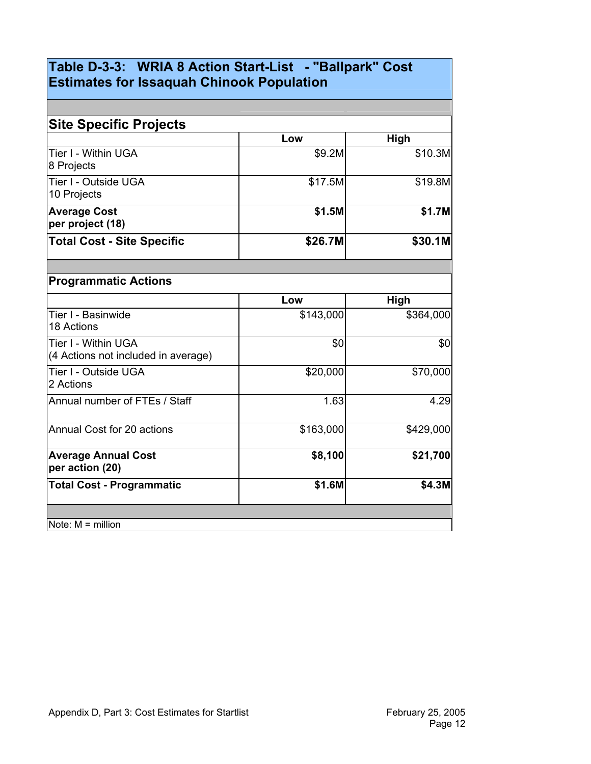# **Table D-3-3: WRIA 8 Action Start-List - "Ballpark" Cost Estimates for Issaquah Chinook Population**

| <b>Site Specific Projects</b>                              |           |           |
|------------------------------------------------------------|-----------|-----------|
|                                                            | Low       | High      |
| Tier I - Within UGA<br>8 Projects                          | \$9.2M    | \$10.3M   |
| Tier I - Outside UGA<br>10 Projects                        | \$17.5M   | \$19.8M   |
| <b>Average Cost</b><br>per project (18)                    | \$1.5M    | \$1.7M    |
| <b>Total Cost - Site Specific</b>                          | \$26.7M   | \$30.1M   |
|                                                            |           |           |
| <b>Programmatic Actions</b>                                |           |           |
|                                                            | Low       | High      |
| Tier I - Basinwide<br>18 Actions                           | \$143,000 | \$364,000 |
| Tier I - Within UGA<br>(4 Actions not included in average) | \$0       | \$0       |
| Tier I - Outside UGA<br>2 Actions                          | \$20,000  | \$70,000  |
| Annual number of FTEs / Staff                              | 1.63      | 4.29      |
| Annual Cost for 20 actions                                 | \$163,000 | \$429,000 |
| <b>Average Annual Cost</b><br>per action (20)              | \$8,100   | \$21,700  |
| <b>Total Cost - Programmatic</b>                           | \$1.6M    | \$4.3M    |
|                                                            |           |           |
| Note: $M =$ million                                        |           |           |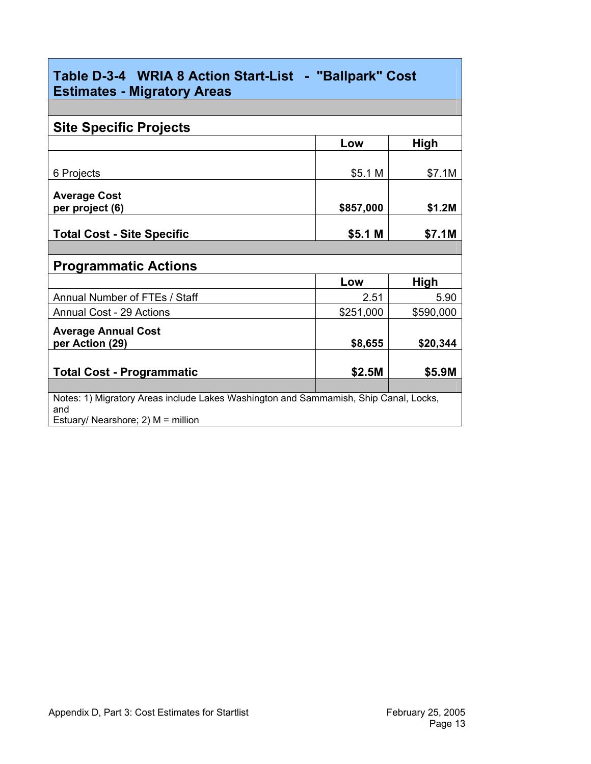| Table D-3-4 WRIA 8 Action Start-List - "Ballpark" Cost<br><b>Estimates - Migratory Areas</b>                                      |           |           |  |
|-----------------------------------------------------------------------------------------------------------------------------------|-----------|-----------|--|
|                                                                                                                                   |           |           |  |
| <b>Site Specific Projects</b>                                                                                                     |           |           |  |
|                                                                                                                                   | Low       | High      |  |
|                                                                                                                                   |           |           |  |
| 6 Projects                                                                                                                        | \$5.1 M   | \$7.1M    |  |
| <b>Average Cost</b><br>per project (6)                                                                                            | \$857,000 | \$1.2M    |  |
|                                                                                                                                   |           |           |  |
| <b>Total Cost - Site Specific</b>                                                                                                 | \$5.1 M   | \$7.1M    |  |
|                                                                                                                                   |           |           |  |
| <b>Programmatic Actions</b>                                                                                                       |           |           |  |
|                                                                                                                                   | Low       | High      |  |
| Annual Number of FTEs / Staff                                                                                                     | 2.51      | 5.90      |  |
| <b>Annual Cost - 29 Actions</b>                                                                                                   | \$251,000 | \$590,000 |  |
| <b>Average Annual Cost</b><br>per Action (29)                                                                                     | \$8,655   | \$20,344  |  |
| <b>Total Cost - Programmatic</b>                                                                                                  | \$2.5M    | \$5.9M    |  |
| Notes: 1) Migratory Areas include Lakes Washington and Sammamish, Ship Canal, Locks,<br>and<br>Estuary/ Nearshore; 2) M = million |           |           |  |

Г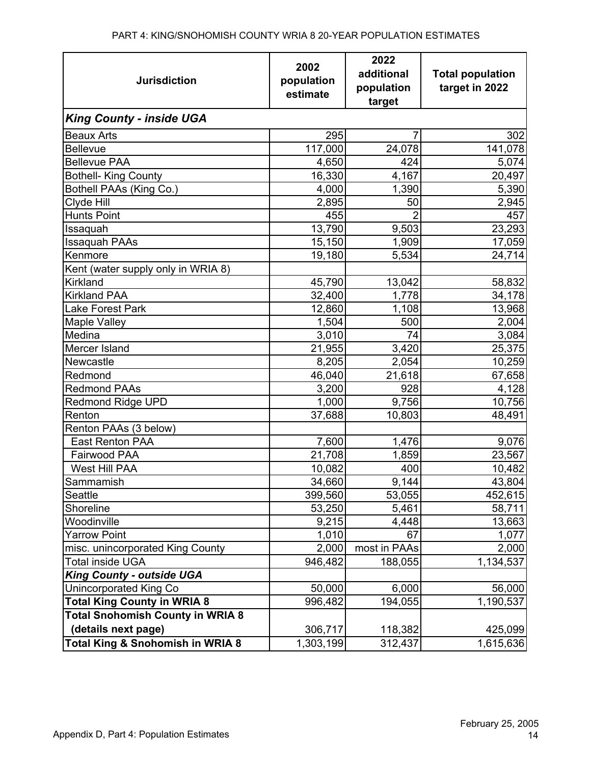| <b>Jurisdiction</b>                     | 2002<br>population | 2022<br>additional   | <b>Total population</b><br>target in 2022 |  |
|-----------------------------------------|--------------------|----------------------|-------------------------------------------|--|
|                                         | estimate           | population<br>target |                                           |  |
|                                         |                    |                      |                                           |  |
| <b>King County - inside UGA</b>         |                    |                      |                                           |  |
| <b>Beaux Arts</b>                       | 295                | 7                    | 302                                       |  |
| <b>Bellevue</b>                         | 117,000            | 24,078               | 141,078                                   |  |
| <b>Bellevue PAA</b>                     | 4,650              | 424                  | 5,074                                     |  |
| <b>Bothell- King County</b>             | 16,330             | 4,167                | 20,497                                    |  |
| Bothell PAAs (King Co.)                 | 4,000              | 1,390                | 5,390                                     |  |
| Clyde Hill                              | 2,895              | 50                   | 2,945                                     |  |
| <b>Hunts Point</b>                      | 455                |                      | 457                                       |  |
| Issaquah                                | 13,790             | 9,503                | 23,293                                    |  |
| <b>Issaquah PAAs</b>                    | 15,150             | 1,909                | 17,059                                    |  |
| Kenmore                                 | 19,180             | 5,534                | 24,714                                    |  |
| Kent (water supply only in WRIA 8)      |                    |                      |                                           |  |
| Kirkland                                | 45,790             | 13,042               | 58,832                                    |  |
| <b>Kirkland PAA</b>                     | 32,400             | 1,778                | 34,178                                    |  |
| Lake Forest Park                        | 12,860             | 1,108                | 13,968                                    |  |
| <b>Maple Valley</b>                     | 1,504              | 500                  | 2,004                                     |  |
| Medina                                  | 3,010              | 74                   | 3,084                                     |  |
| Mercer Island                           | 21,955             | 3,420                | 25,375                                    |  |
| Newcastle                               | 8,205              | 2,054                | 10,259                                    |  |
| Redmond                                 | 46,040             | 21,618               | 67,658                                    |  |
| <b>Redmond PAAs</b>                     | 3,200              | 928                  | 4,128                                     |  |
| <b>Redmond Ridge UPD</b>                | 1,000              | 9,756                | 10,756                                    |  |
| Renton                                  | 37,688             | 10,803               | 48,491                                    |  |
| Renton PAAs (3 below)                   |                    |                      |                                           |  |
| <b>East Renton PAA</b>                  | 7,600              | 1,476                | 9,076                                     |  |
| Fairwood PAA                            | 21,708             | 1,859                | 23,567                                    |  |
| West Hill PAA                           | 10,082             | 400                  | 10,482                                    |  |
| Sammamish                               | 34,660             | 9,144                | 43,804                                    |  |
| Seattle                                 | 399,560            | 53,055               | 452,615                                   |  |
| Shoreline                               | 53,250             | 5,461                | 58,711                                    |  |
| Woodinville                             | 9,215              | 4,448                | 13,663                                    |  |
| <b>Yarrow Point</b>                     | 1,010              | 67                   | 1,077                                     |  |
| misc. unincorporated King County        | 2,000              | most in PAAs         | 2,000                                     |  |
| <b>Total inside UGA</b>                 | 946,482            | 188,055              | 1,134,537                                 |  |
| <b>King County - outside UGA</b>        |                    |                      |                                           |  |
| Unincorporated King Co                  | 50,000             | 6,000                | 56,000                                    |  |
| <b>Total King County in WRIA 8</b>      | 996,482            | 194,055              | 1,190,537                                 |  |
| <b>Total Snohomish County in WRIA 8</b> |                    |                      |                                           |  |
| (details next page)                     | 306,717            | 118,382              | 425,099                                   |  |
| Total King & Snohomish in WRIA 8        | 1,303,199          | 312,437              | 1,615,636                                 |  |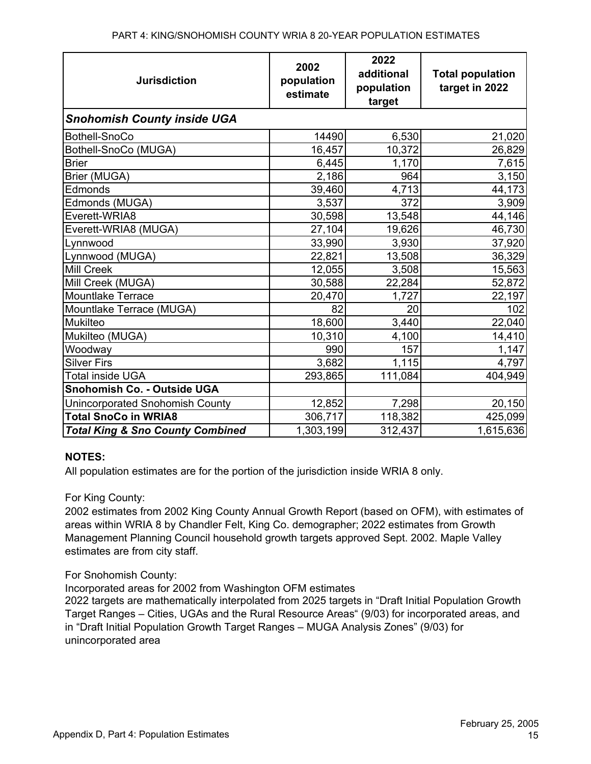| <b>Jurisdiction</b>                         | 2002<br>population<br>estimate | 2022<br>additional<br>population<br>target | <b>Total population</b><br>target in 2022 |
|---------------------------------------------|--------------------------------|--------------------------------------------|-------------------------------------------|
| <b>Snohomish County inside UGA</b>          |                                |                                            |                                           |
| Bothell-SnoCo                               | 14490                          | 6,530                                      | 21,020                                    |
| Bothell-SnoCo (MUGA)                        | 16,457                         | 10,372                                     | 26,829                                    |
| <b>Brier</b>                                | 6,445                          | 1,170                                      | 7,615                                     |
| Brier (MUGA)                                | 2,186                          | 964                                        | 3,150                                     |
| Edmonds                                     | 39,460                         | 4,713                                      | 44,173                                    |
| Edmonds (MUGA)                              | 3,537                          | 372                                        | 3,909                                     |
| Everett-WRIA8                               | 30,598                         | 13,548                                     | 44,146                                    |
| Everett-WRIA8 (MUGA)                        | 27,104                         | 19,626                                     | 46,730                                    |
| Lynnwood                                    | 33,990                         | 3,930                                      | 37,920                                    |
| Lynnwood (MUGA)                             | 22,821                         | 13,508                                     | 36,329                                    |
| <b>Mill Creek</b>                           | 12,055                         | 3,508                                      | 15,563                                    |
| Mill Creek (MUGA)                           | 30,588                         | 22,284                                     | 52,872                                    |
| Mountlake Terrace                           | 20,470                         | 1,727                                      | 22,197                                    |
| Mountlake Terrace (MUGA)                    | 82                             | 20                                         | 102                                       |
| Mukilteo                                    | 18,600                         | 3,440                                      | 22,040                                    |
| Mukilteo (MUGA)                             | 10,310                         | 4,100                                      | 14,410                                    |
| Woodway                                     | 990                            | 157                                        | 1,147                                     |
| <b>Silver Firs</b>                          | 3,682                          | 1,115                                      | 4,797                                     |
| <b>Total inside UGA</b>                     | 293,865                        | 111,084                                    | 404,949                                   |
| Snohomish Co. - Outside UGA                 |                                |                                            |                                           |
| Unincorporated Snohomish County             | 12,852                         | 7,298                                      | 20,150                                    |
| <b>Total SnoCo in WRIA8</b>                 | 306,717                        | 118,382                                    | 425,099                                   |
| <b>Total King &amp; Sno County Combined</b> | 1,303,199                      | 312,437                                    | 1,615,636                                 |

## **NOTES:**

All population estimates are for the portion of the jurisdiction inside WRIA 8 only.

## For King County:

2002 estimates from 2002 King County Annual Growth Report (based on OFM), with estimates of areas within WRIA 8 by Chandler Felt, King Co. demographer; 2022 estimates from Growth Management Planning Council household growth targets approved Sept. 2002. Maple Valley estimates are from city staff.

### For Snohomish County:

Incorporated areas for 2002 from Washington OFM estimates

2022 targets are mathematically interpolated from 2025 targets in "Draft Initial Population Growth Target Ranges – Cities, UGAs and the Rural Resource Areas" (9/03) for incorporated areas, and in "Draft Initial Population Growth Target Ranges – MUGA Analysis Zones" (9/03) for unincorporated area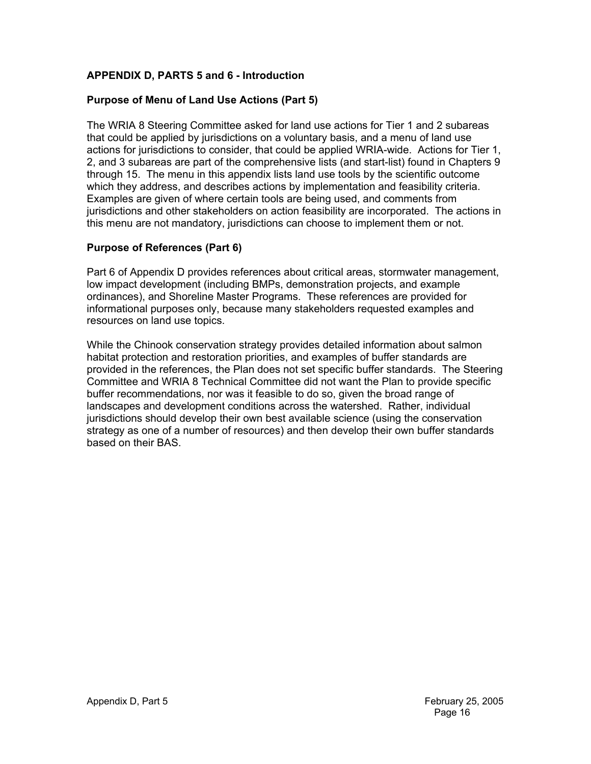## **APPENDIX D, PARTS 5 and 6 - Introduction**

### **Purpose of Menu of Land Use Actions (Part 5)**

The WRIA 8 Steering Committee asked for land use actions for Tier 1 and 2 subareas that could be applied by jurisdictions on a voluntary basis, and a menu of land use actions for jurisdictions to consider, that could be applied WRIA-wide. Actions for Tier 1, 2, and 3 subareas are part of the comprehensive lists (and start-list) found in Chapters 9 through 15. The menu in this appendix lists land use tools by the scientific outcome which they address, and describes actions by implementation and feasibility criteria. Examples are given of where certain tools are being used, and comments from jurisdictions and other stakeholders on action feasibility are incorporated. The actions in this menu are not mandatory, jurisdictions can choose to implement them or not.

### **Purpose of References (Part 6)**

Part 6 of Appendix D provides references about critical areas, stormwater management, low impact development (including BMPs, demonstration projects, and example ordinances), and Shoreline Master Programs. These references are provided for informational purposes only, because many stakeholders requested examples and resources on land use topics.

While the Chinook conservation strategy provides detailed information about salmon habitat protection and restoration priorities, and examples of buffer standards are provided in the references, the Plan does not set specific buffer standards. The Steering Committee and WRIA 8 Technical Committee did not want the Plan to provide specific buffer recommendations, nor was it feasible to do so, given the broad range of landscapes and development conditions across the watershed. Rather, individual jurisdictions should develop their own best available science (using the conservation strategy as one of a number of resources) and then develop their own buffer standards based on their BAS.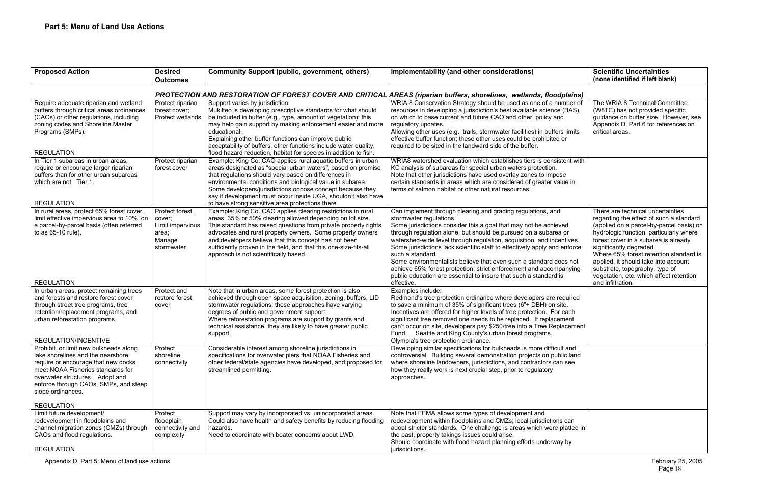Appendix D, Part 5: Menu of land use actions February 25, 2005

|                                                               | <b>Scientific Uncertainties</b><br>(none identified if left blank)                                                                                                                                                                                                                                                                                         |
|---------------------------------------------------------------|------------------------------------------------------------------------------------------------------------------------------------------------------------------------------------------------------------------------------------------------------------------------------------------------------------------------------------------------------------|
| <u>dplains)</u>                                               |                                                                                                                                                                                                                                                                                                                                                            |
| umber of<br>e (BAS),<br>١d<br>rs limits<br>l or               | The WRIA 8 Technical Committee<br>(W8TC) has not provided specific<br>guidance on buffer size. However, see<br>Appendix D, Part 6 for references on<br>critical areas.                                                                                                                                                                                     |
| stent with                                                    |                                                                                                                                                                                                                                                                                                                                                            |
| sе<br>alue in                                                 |                                                                                                                                                                                                                                                                                                                                                            |
| ł<br>ved<br>a or<br>entives.<br>enforce<br>pes not<br>panying | There are technical uncertainties<br>regarding the effect of such a standard<br>(applied on a parcel-by-parcel basis) on<br>hydrologic function, particularly where<br>forest cover in a subarea is already<br>significantly degraded.<br>Where 65% forest retention standard is<br>applied, it should take into account<br>substrate, topography, type of |
| is                                                            | vegetation, etc. which affect retention<br>and infiltration.                                                                                                                                                                                                                                                                                               |
| equired<br>iite.<br>each<br>ement:<br>lacement                |                                                                                                                                                                                                                                                                                                                                                            |
| ult and<br>plic land<br>ın see                                |                                                                                                                                                                                                                                                                                                                                                            |
| is can<br>platted in<br>ıy by                                 |                                                                                                                                                                                                                                                                                                                                                            |
|                                                               |                                                                                                                                                                                                                                                                                                                                                            |

| <b>Proposed Action</b>                                                                                                                                                                                                                                                        | <b>Desired</b><br><b>Outcomes</b>                                                                                   | <b>Community Support (public, government, others)</b>                                                                                                                                                                                                                                                                                                                                                                                             | Implementability (and other considerations)                                                                                                                                                                                                                                                                                                                                                                                                                                                                                                                                                                            | <b>Scientific Uncertainties</b><br>(none identified if left blan                                                                                                                                                                                                                                                          |  |  |  |
|-------------------------------------------------------------------------------------------------------------------------------------------------------------------------------------------------------------------------------------------------------------------------------|---------------------------------------------------------------------------------------------------------------------|---------------------------------------------------------------------------------------------------------------------------------------------------------------------------------------------------------------------------------------------------------------------------------------------------------------------------------------------------------------------------------------------------------------------------------------------------|------------------------------------------------------------------------------------------------------------------------------------------------------------------------------------------------------------------------------------------------------------------------------------------------------------------------------------------------------------------------------------------------------------------------------------------------------------------------------------------------------------------------------------------------------------------------------------------------------------------------|---------------------------------------------------------------------------------------------------------------------------------------------------------------------------------------------------------------------------------------------------------------------------------------------------------------------------|--|--|--|
|                                                                                                                                                                                                                                                                               | PROTECTION AND RESTORATION OF FOREST COVER AND CRITICAL AREAS (riparian buffers, shorelines, wetlands, floodplains) |                                                                                                                                                                                                                                                                                                                                                                                                                                                   |                                                                                                                                                                                                                                                                                                                                                                                                                                                                                                                                                                                                                        |                                                                                                                                                                                                                                                                                                                           |  |  |  |
| Require adequate riparian and wetland<br>buffers through critical areas ordinances<br>(CAOs) or other regulations, including<br>zoning codes and Shoreline Master<br>Programs (SMPs).<br><b>REGULATION</b>                                                                    | Protect riparian<br>forest cover:<br>Protect wetlands                                                               | Support varies by jurisdiction.<br>Mukilteo is developing prescriptive standards for what should<br>be included in buffer (e.g., type, amount of vegetation); this<br>may help gain support by making enforcement easier and more<br>educational.<br>Explaining other buffer functions can improve public<br>acceptability of buffers; other functions include water quality,<br>flood hazard reduction, habitat for species in addition to fish. | WRIA 8 Conservation Strategy should be used as one of a number of<br>resources in developing a jurisdiction's best available science (BAS),<br>on which to base current and future CAO and other policy and<br>regulatory updates.<br>Allowing other uses (e.g., trails, stormwater facilities) in buffers limits<br>effective buffer function; these other uses could be prohibited or<br>required to be sited in the landward side of the buffer.                                                                                                                                                                    | The WRIA 8 Technical Com<br>(W8TC) has not provided sp<br>guidance on buffer size. Ho<br>Appendix D, Part 6 for refere<br>critical areas.                                                                                                                                                                                 |  |  |  |
| In Tier 1 subareas in urban areas,<br>require or encourage larger riparian<br>buffers than for other urban subareas<br>which are not Tier 1.<br><b>REGULATION</b>                                                                                                             | Protect riparian<br>forest cover                                                                                    | Example: King Co. CAO applies rural aquatic buffers in urban<br>areas designated as "special urban waters", based on premise<br>that regulations should vary based on differences in<br>environmental conditions and biological value in subarea.<br>Some developers/jurisdictions oppose concept because they<br>say if development must occur inside UGA, shouldn't also have<br>to have strong sensitive area protections there.               | WRIA8 watershed evaluation which establishes tiers is consistent with<br>KC analysis of subareas for special urban waters protection.<br>Note that other jurisdictions have used overlay zones to impose<br>certain standards in areas which are considered of greater value in<br>terms of salmon habitat or other natural resources.                                                                                                                                                                                                                                                                                 |                                                                                                                                                                                                                                                                                                                           |  |  |  |
| In rural areas, protect 65% forest cover,<br>limit effective impervious area to 10% on<br>a parcel-by-parcel basis (often referred<br>to as 65-10 rule).                                                                                                                      | Protect forest<br>cover;<br>Limit impervious<br>area;<br>Manage<br>stormwater                                       | Example: King Co. CAO applies clearing restrictions in rural<br>areas, 35% or 50% clearing allowed depending on lot size.<br>This standard has raised questions from private property rights<br>advocates and rural property owners. Some property owners<br>and developers believe that this concept has not been<br>sufficiently proven in the field, and that this one-size-fits-all<br>approach is not scientifically based.                  | Can implement through clearing and grading regulations, and<br>stormwater regulations.<br>Some jurisdictions consider this a goal that may not be achieved<br>through regulation alone, but should be pursued on a subarea or<br>watershed-wide level through regulation, acquisition, and incentives.<br>Some jurisdictions lack scientific staff to effectively apply and enforce<br>such a standard.<br>Some environmentalists believe that even such a standard does not<br>achieve 65% forest protection; strict enforcement and accompanying<br>public education are essential to insure that such a standard is | There are technical uncertai<br>regarding the effect of such<br>(applied on a parcel-by-parc<br>hydrologic function, particula<br>forest cover in a subarea is<br>significantly degraded.<br>Where 65% forest retention<br>applied, it should take into a<br>substrate, topography, type<br>vegetation, etc. which affect |  |  |  |
| <b>REGULATION</b><br>In urban areas, protect remaining trees<br>and forests and restore forest cover<br>through street tree programs, tree<br>retention/replacement programs, and<br>urban reforestation programs.<br>REGULATION/INCENTIVE                                    | Protect and<br>restore forest<br>cover                                                                              | Note that in urban areas, some forest protection is also<br>achieved through open space acquisition, zoning, buffers, LID<br>stormwater regulations; these approaches have varying<br>degrees of public and government support.<br>Where reforestation programs are support by grants and<br>technical assistance, they are likely to have greater public<br>support.                                                                             | effective.<br>Examples include:<br>Redmond's tree protection ordinance where developers are required<br>to save a minimum of 35% of significant trees (6"+ DBH) on site.<br>Incentives are offered for higher levels of tree protection. For each<br>significant tree removed one needs to be replaced. If replacement<br>can't occur on site, developers pay \$250/tree into a Tree Replacement<br>Fund. Seattle and King County's urban forest programs.<br>Olympia's tree protection ordinance.                                                                                                                     | and infiltration.                                                                                                                                                                                                                                                                                                         |  |  |  |
| Prohibit or limit new bulkheads along<br>lake shorelines and the nearshore;<br>require or encourage that new docks<br>meet NOAA Fisheries standards for<br>overwater structures. Adopt and<br>enforce through CAOs, SMPs, and steep<br>slope ordinances.<br><b>REGULATION</b> | Protect<br>shoreline<br>connectivity                                                                                | Considerable interest among shoreline jurisdictions in<br>specifications for overwater piers that NOAA Fisheries and<br>other federal/state agencies have developed, and proposed for<br>streamlined permitting.                                                                                                                                                                                                                                  | Developing similar specifications for bulkheads is more difficult and<br>controversial. Building several demonstration projects on public land<br>where shoreline landowners, jurisdictions, and contractors can see<br>how they really work is next crucial step, prior to regulatory<br>approaches.                                                                                                                                                                                                                                                                                                                  |                                                                                                                                                                                                                                                                                                                           |  |  |  |
| Limit future development/<br>redevelopment in floodplains and<br>channel migration zones (CMZs) through<br>CAOs and flood regulations.<br><b>REGULATION</b>                                                                                                                   | Protect<br>floodplain<br>connectivity and<br>complexity                                                             | Support may vary by incorporated vs. unincorporated areas.<br>Could also have health and safety benefits by reducing flooding<br>hazards.<br>Need to coordinate with boater concerns about LWD.                                                                                                                                                                                                                                                   | Note that FEMA allows some types of development and<br>redevelopment within floodplains and CMZs; local jurisdictions can<br>adopt stricter standards. One challenge is areas which were platted in<br>the past; property takings issues could arise.<br>Should coordinate with flood hazard planning efforts underway by<br>jurisdictions.                                                                                                                                                                                                                                                                            |                                                                                                                                                                                                                                                                                                                           |  |  |  |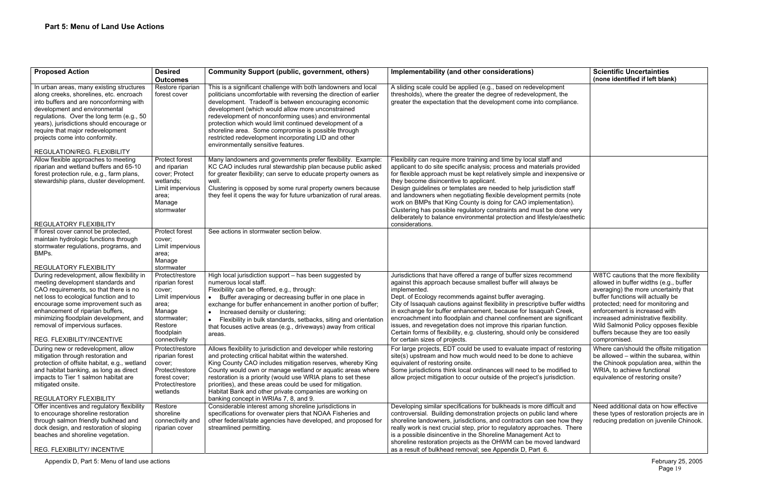| <b>Proposed Action</b>                                                                                                                                                                                                                                                                                                                                         | <b>Desired</b><br><b>Outcomes</b>                                                                                                                         | <b>Community Support (public, government, others)</b>                                                                                                                                                                                                                                                                                                                                                                                                                                                                        | Implementability (and other considerations)                                                                                                                                                                                                                                                                                                                                                                                                                                                                                                                                                                                           | <b>Scientific Uncertainties</b><br>(none identified if left blan                                                                                                                                                                                                                                           |
|----------------------------------------------------------------------------------------------------------------------------------------------------------------------------------------------------------------------------------------------------------------------------------------------------------------------------------------------------------------|-----------------------------------------------------------------------------------------------------------------------------------------------------------|------------------------------------------------------------------------------------------------------------------------------------------------------------------------------------------------------------------------------------------------------------------------------------------------------------------------------------------------------------------------------------------------------------------------------------------------------------------------------------------------------------------------------|---------------------------------------------------------------------------------------------------------------------------------------------------------------------------------------------------------------------------------------------------------------------------------------------------------------------------------------------------------------------------------------------------------------------------------------------------------------------------------------------------------------------------------------------------------------------------------------------------------------------------------------|------------------------------------------------------------------------------------------------------------------------------------------------------------------------------------------------------------------------------------------------------------------------------------------------------------|
| In urban areas, many existing structures<br>along creeks, shorelines, etc. encroach<br>into buffers and are nonconforming with<br>development and environmental<br>regulations. Over the long term (e.g., 50<br>years), jurisdictions should encourage or<br>require that major redevelopment<br>projects come into conformity.<br>REGULATION/REG. FLEXIBILITY | Restore riparian<br>forest cover                                                                                                                          | This is a significant challenge with both landowners and local<br>politicians uncomfortable with reversing the direction of earlier<br>development. Tradeoff is between encouraging economic<br>development (which would allow more unconstrained<br>redevelopment of nonconforming uses) and environmental<br>protection which would limit continued development of a<br>shoreline area. Some compromise is possible through<br>restricted redevelopment incorporating LID and other<br>environmentally sensitive features. | A sliding scale could be applied (e.g., based on redevelopment<br>thresholds), where the greater the degree of redevelopment, the<br>greater the expectation that the development come into compliance.                                                                                                                                                                                                                                                                                                                                                                                                                               |                                                                                                                                                                                                                                                                                                            |
| Allow flexible approaches to meeting<br>riparian and wetland buffers and 65-10<br>forest protection rule, e.g., farm plans,<br>stewardship plans, cluster development.                                                                                                                                                                                         | Protect forest<br>and riparian<br>cover; Protect<br>wetlands;<br>Limit impervious<br>area;<br>Manage<br>stormwater                                        | Many landowners and governments prefer flexibility. Example:<br>KC CAO includes rural stewardship plan because public asked<br>for greater flexibility; can serve to educate property owners as<br>well.<br>Clustering is opposed by some rural property owners because<br>they feel it opens the way for future urbanization of rural areas.                                                                                                                                                                                | Flexibility can require more training and time by local staff and<br>applicant to do site specific analysis; process and materials provided<br>for flexible approach must be kept relatively simple and inexpensive or<br>they become disincentive to applicant.<br>Design guidelines or templates are needed to help jurisdiction staff<br>and landowners when negotiating flexible development permits (note<br>work on BMPs that King County is doing for CAO implementation).<br>Clustering has possible regulatory constraints and must be done very<br>deliberately to balance environmental protection and lifestyle/aesthetic |                                                                                                                                                                                                                                                                                                            |
| <b>REGULATORY FLEXIBILITY</b><br>If forest cover cannot be protected,<br>maintain hydrologic functions through<br>stormwater regulations, programs, and<br>BMPs.<br><b>REGULATORY FLEXIBILITY</b>                                                                                                                                                              | Protect forest<br>cover:<br>Limit impervious<br>area;<br>Manage                                                                                           | See actions in stormwater section below.                                                                                                                                                                                                                                                                                                                                                                                                                                                                                     | considerations.                                                                                                                                                                                                                                                                                                                                                                                                                                                                                                                                                                                                                       |                                                                                                                                                                                                                                                                                                            |
| During redevelopment, allow flexibility in<br>meeting development standards and<br>CAO requirements, so that there is no<br>net loss to ecological function and to<br>encourage some improvement such as<br>enhancement of riparian buffers,<br>minimizing floodplain development, and<br>removal of impervious surfaces.<br>REG. FLEXIBILITY/INCENTIVE        | stormwater<br>Protect/restore<br>riparian forest<br>cover;<br>Limit impervious<br>area;<br>Manage<br>stormwater;<br>Restore<br>floodplain<br>connectivity | High local jurisdiction support - has been suggested by<br>numerous local staff.<br>Flexibility can be offered, e.g., through:<br>Buffer averaging or decreasing buffer in one place in<br>exchange for buffer enhancement in another portion of buffer;<br>Increased density or clustering;<br>Flexibility in bulk standards, setbacks, siting and orientation<br>that focuses active areas (e.g., driveways) away from critical<br>areas.                                                                                  | Jurisdictions that have offered a range of buffer sizes recommend<br>against this approach because smallest buffer will always be<br>implemented.<br>Dept. of Ecology recommends against buffer averaging.<br>City of Issaquah cautions against flexibility in prescriptive buffer widths<br>in exchange for buffer enhancement, because for Issaquah Creek,<br>encroachment into floodplain and channel confinement are significant<br>issues, and revegetation does not improve this riparian function.<br>Certain forms of flexibility, e.g. clustering, should only be considered<br>for certain sizes of projects.               | W8TC cautions that the mor<br>allowed in buffer widths (e.g<br>averaging) the more uncerta<br>buffer functions will actually<br>protected; need for monitori<br>enforcement is increased wi<br>increased administrative flex<br>Wild Salmonid Policy oppos<br>buffers because they are too<br>compromised. |
| During new or redevelopment, allow<br>mitigation through restoration and<br>protection of offsite habitat, e.g., wetland<br>and habitat banking, as long as direct<br>impacts to Tier 1 salmon habitat are<br>mitigated onsite.<br><b>REGULATORY FLEXIBILITY</b>                                                                                               | Protect/restore<br>riparian forest<br>cover:<br>Protect/restore<br>forest cover;<br>Protect/restore<br>wetlands                                           | Allows flexibility to jurisdiction and developer while restoring<br>and protecting critical habitat within the watershed.<br>King County CAO includes mitigation reserves, whereby King<br>County would own or manage wetland or aquatic areas where<br>restoration is a priority (would use WRIA plans to set these<br>priorities), and these areas could be used for mitigation.<br>Habitat Bank and other private companies are working on<br>banking concept in WRIAs 7, 8, and 9.                                       | For large projects, EDT could be used to evaluate impact of restoring<br>site(s) upstream and how much would need to be done to achieve<br>equivalent of restoring onsite.<br>Some jurisdictions think local ordinances will need to be modified to<br>allow project mitigation to occur outside of the project's jurisdiction.                                                                                                                                                                                                                                                                                                       | Where can/should the offsite<br>be allowed - within the suba<br>the Chinook population area<br>WRIA, to achieve functional<br>equivalence of restoring ons                                                                                                                                                 |
| Offer incentives and regulatory flexibility<br>to encourage shoreline restoration<br>through salmon friendly bulkhead and<br>dock design, and restoration of sloping<br>beaches and shoreline vegetation.<br>REG. FLEXIBILITY/ INCENTIVE                                                                                                                       | Restore<br>shoreline<br>connectivity and<br>riparian cover                                                                                                | Considerable interest among shoreline jurisdictions in<br>specifications for overwater piers that NOAA Fisheries and<br>other federal/state agencies have developed, and proposed for<br>streamlined permitting.                                                                                                                                                                                                                                                                                                             | Developing similar specifications for bulkheads is more difficult and<br>controversial. Building demonstration projects on public land where<br>shoreline landowners, jurisdictions, and contractors can see how they<br>really work is next crucial step, prior to regulatory approaches. There<br>is a possible disincentive in the Shoreline Management Act to<br>shoreline restoration projects as the OHWM can be moved landward<br>as a result of bulkhead removal; see Appendix D, Part 6.                                                                                                                                     | Need additional data on hov<br>these types of restoration pr<br>reducing predation on juven                                                                                                                                                                                                                |

|                                                                                            | <b>Scientific Uncertainties</b><br>(none identified if left blank)                                                                                                                                                                                                                                                                                                             |
|--------------------------------------------------------------------------------------------|--------------------------------------------------------------------------------------------------------------------------------------------------------------------------------------------------------------------------------------------------------------------------------------------------------------------------------------------------------------------------------|
| ent<br>the<br>pliance.                                                                     |                                                                                                                                                                                                                                                                                                                                                                                |
| ıd<br>provided<br>pensive or<br>n staff<br>iits (note<br>ation).<br>one very<br>/aesthetic |                                                                                                                                                                                                                                                                                                                                                                                |
|                                                                                            |                                                                                                                                                                                                                                                                                                                                                                                |
| mend<br>ffer widths<br>Creek,<br>ignificant<br>ion.<br>isidered                            | W8TC cautions that the more flexibility<br>allowed in buffer widths (e.g., buffer<br>averaging) the more uncertainty that<br>buffer functions will actually be<br>protected; need for monitoring and<br>enforcement is increased with<br>increased administrative flexibility.<br>Wild Salmonid Policy opposes flexible<br>buffers because they are too easily<br>compromised. |
| restoring<br>hieve:<br>lified to<br>liction.                                               | Where can/should the offsite mitigation<br>be allowed - within the subarea, within<br>the Chinook population area, within the<br>WRIA, to achieve functional<br>equivalence of restoring onsite?                                                                                                                                                                               |
| ult and<br>l where<br>how they<br>s. There<br>O<br>andward                                 | Need additional data on how effective<br>these types of restoration projects are in<br>reducing predation on juvenile Chinook.                                                                                                                                                                                                                                                 |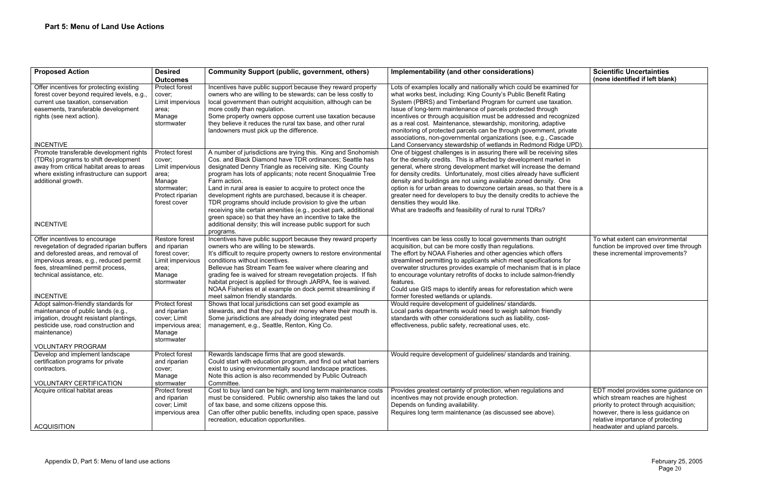| <b>Proposed Action</b>                                                                                                                                                                                                                              | <b>Desired</b><br><b>Outcomes</b>                                                                                  | <b>Community Support (public, government, others)</b>                                                                                                                                                                                                                                                                                                                                                                                                                                                                                                                                   | Implementability (and other considerations)                                                                                                                                                                                                                                                                                                                                                                                                                                                                                                                                                                      | <b>Scientific Uncertainties</b><br>(none identified if left blan                                                                                                                          |
|-----------------------------------------------------------------------------------------------------------------------------------------------------------------------------------------------------------------------------------------------------|--------------------------------------------------------------------------------------------------------------------|-----------------------------------------------------------------------------------------------------------------------------------------------------------------------------------------------------------------------------------------------------------------------------------------------------------------------------------------------------------------------------------------------------------------------------------------------------------------------------------------------------------------------------------------------------------------------------------------|------------------------------------------------------------------------------------------------------------------------------------------------------------------------------------------------------------------------------------------------------------------------------------------------------------------------------------------------------------------------------------------------------------------------------------------------------------------------------------------------------------------------------------------------------------------------------------------------------------------|-------------------------------------------------------------------------------------------------------------------------------------------------------------------------------------------|
| Offer incentives for protecting existing<br>forest cover beyond required levels, e.g.,<br>current use taxation, conservation<br>easements, transferable development<br>rights (see next action).                                                    | Protect forest<br>cover;<br>Limit impervious<br>area;<br>Manage<br>stormwater                                      | Incentives have public support because they reward property<br>owners who are willing to be stewards; can be less costly to<br>local government than outright acquisition, although can be<br>more costly than regulation.<br>Some property owners oppose current use taxation because<br>they believe it reduces the rural tax base, and other rural<br>landowners must pick up the difference.                                                                                                                                                                                        | Lots of examples locally and nationally which could be examined for<br>what works best, including: King County's Public Benefit Rating<br>System (PBRS) and Timberland Program for current use taxation.<br>Issue of long-term maintenance of parcels protected through<br>incentives or through acquisition must be addressed and recognized<br>as a real cost. Maintenance, stewardship, monitoring, adaptive<br>monitoring of protected parcels can be through government, private<br>associations, non-governmental organizations (see, e.g., Cascade                                                        |                                                                                                                                                                                           |
| <b>INCENTIVE</b>                                                                                                                                                                                                                                    |                                                                                                                    |                                                                                                                                                                                                                                                                                                                                                                                                                                                                                                                                                                                         | Land Conservancy stewardship of wetlands in Redmond Ridge UPD).                                                                                                                                                                                                                                                                                                                                                                                                                                                                                                                                                  |                                                                                                                                                                                           |
| Promote transferable development rights<br>(TDRs) programs to shift development<br>away from critical habitat areas to areas<br>where existing infrastructure can support<br>additional growth.                                                     | Protect forest<br>cover;<br>Limit impervious<br>area;<br>Manage<br>stormwater;<br>Protect riparian<br>forest cover | A number of jurisdictions are trying this. King and Snohomish<br>Cos. and Black Diamond have TDR ordinances; Seattle has<br>designated Denny Triangle as receiving site. King County<br>program has lots of applicants; note recent Snoqualmie Tree<br>Farm action.<br>Land in rural area is easier to acquire to protect once the<br>development rights are purchased, because it is cheaper.<br>TDR programs should include provision to give the urban<br>receiving site certain amenities (e.g., pocket park, additional<br>green space) so that they have an incentive to take the | One of biggest challenges is in assuring there will be receiving sites<br>for the density credits. This is affected by development market in<br>general, where strong development market will increase the demand<br>for density credits. Unfortunately, most cities already have sufficient<br>density and buildings are not using available zoned density. One<br>option is for urban areas to downzone certain areas, so that there is a<br>greater need for developers to buy the density credits to achieve the<br>densities they would like.<br>What are tradeoffs and feasibility of rural to rural TDRs? |                                                                                                                                                                                           |
| <b>INCENTIVE</b>                                                                                                                                                                                                                                    |                                                                                                                    | additional density; this will increase public support for such<br>programs.                                                                                                                                                                                                                                                                                                                                                                                                                                                                                                             |                                                                                                                                                                                                                                                                                                                                                                                                                                                                                                                                                                                                                  |                                                                                                                                                                                           |
| Offer incentives to encourage<br>revegetation of degraded riparian buffers<br>and deforested areas, and removal of<br>impervious areas, e.g., reduced permit<br>fees, streamlined permit process,<br>technical assistance, etc.<br><b>INCENTIVE</b> | Restore forest<br>and riparian<br>forest cover;<br>Limit impervious<br>area;<br>Manage<br>stormwater               | Incentives have public support because they reward property<br>owners who are willing to be stewards.<br>It's difficult to require property owners to restore environmental<br>conditions without incentives.<br>Bellevue has Stream Team fee waiver where clearing and<br>grading fee is waived for stream revegetation projects. If fish<br>habitat project is applied for through JARPA, fee is waived.<br>NOAA Fisheries et al example on dock permit streamlining if<br>meet salmon friendly standards.                                                                            | Incentives can be less costly to local governments than outright<br>acquisition, but can be more costly than regulations.<br>The effort by NOAA Fisheries and other agencies which offers<br>streamlined permitting to applicants which meet specifications for<br>overwater structures provides example of mechanism that is in place<br>to encourage voluntary retrofits of docks to include salmon-friendly<br>features.<br>Could use GIS maps to identify areas for reforestation which were<br>former forested wetlands or uplands.                                                                         | To what extent can environr<br>function be improved over til<br>these incremental improvem                                                                                                |
| Adopt salmon-friendly standards for<br>maintenance of public lands (e.g.,<br>irrigation, drought resistant plantings,<br>pesticide use, road construction and<br>maintenance)<br><b>VOLUNTARY PROGRAM</b>                                           | Protect forest<br>and riparian<br>cover; Limit<br>impervious area;<br>Manage<br>stormwater                         | Shows that local jurisdictions can set good example as<br>stewards, and that they put their money where their mouth is.<br>Some jurisdictions are already doing integrated pest<br>management, e.g., Seattle, Renton, King Co.                                                                                                                                                                                                                                                                                                                                                          | Would require development of guidelines/ standards.<br>Local parks departments would need to weigh salmon friendly<br>standards with other considerations such as liability, cost-<br>effectiveness, public safety, recreational uses, etc.                                                                                                                                                                                                                                                                                                                                                                      |                                                                                                                                                                                           |
| Develop and implement landscape<br>certification programs for private<br>contractors.<br><b>VOLUNTARY CERTIFICATION</b>                                                                                                                             | Protect forest<br>and riparian<br>cover;<br>Manage<br>stormwater                                                   | Rewards landscape firms that are good stewards.<br>Could start with education program, and find out what barriers<br>exist to using environmentally sound landscape practices.<br>Note this action is also recommended by Public Outreach<br>Committee.                                                                                                                                                                                                                                                                                                                                 | Would require development of guidelines/ standards and training.                                                                                                                                                                                                                                                                                                                                                                                                                                                                                                                                                 |                                                                                                                                                                                           |
| Acquire critical habitat areas<br><b>ACQUISITION</b>                                                                                                                                                                                                | Protect forest<br>and riparian<br>cover; Limit<br>impervious area                                                  | Cost to buy land can be high, and long term maintenance costs<br>must be considered. Public ownership also takes the land out<br>of tax base, and some citizens oppose this.<br>Can offer other public benefits, including open space, passive<br>recreation, education opportunities.                                                                                                                                                                                                                                                                                                  | Provides greatest certainty of protection, when regulations and<br>incentives may not provide enough protection.<br>Depends on funding availability.<br>Requires long term maintenance (as discussed see above).                                                                                                                                                                                                                                                                                                                                                                                                 | EDT model provides some g<br>which stream reaches are hi<br>priority to protect through ac<br>however, there is less guida<br>relative importance of proteo<br>headwater and upland parce |

|                                                                | <b>Scientific Uncertainties</b>                                                                                                                                                                                                 |
|----------------------------------------------------------------|---------------------------------------------------------------------------------------------------------------------------------------------------------------------------------------------------------------------------------|
|                                                                | (none identified if left blank)                                                                                                                                                                                                 |
| ed for<br>g<br>ion.                                            |                                                                                                                                                                                                                                 |
| gnized<br>e<br>rivate                                          |                                                                                                                                                                                                                                 |
| ade<br>e UPD).                                                 |                                                                                                                                                                                                                                 |
| sites<br>t in<br>emand<br>ficient<br>)ne<br>ere is a<br>ve the |                                                                                                                                                                                                                                 |
| ١t<br>for<br>place<br>ndly<br>ere/                             | To what extent can environmental<br>function be improved over time through<br>these incremental improvements?                                                                                                                   |
|                                                                |                                                                                                                                                                                                                                 |
| ng.                                                            |                                                                                                                                                                                                                                 |
|                                                                | EDT model provides some guidance on<br>which stream reaches are highest<br>priority to protect through acquisition;<br>however, there is less guidance on<br>relative importance of protecting<br>headwater and upland parcels. |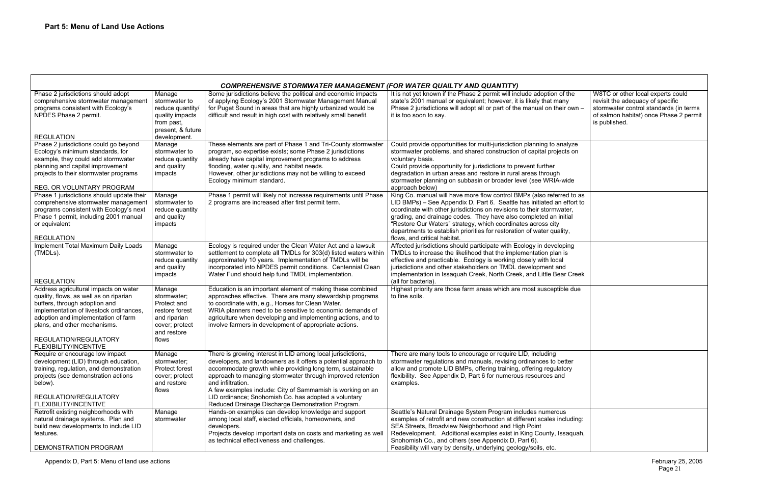| f the<br>ny<br>ir own –                 | W8TC or other local experts could<br>revisit the adequacy of specific<br>stormwater control standards (in terms<br>of salmon habitat) once Phase 2 permit<br>is published. |
|-----------------------------------------|----------------------------------------------------------------------------------------------------------------------------------------------------------------------------|
| alyze<br>cts on                         |                                                                                                                                                                            |
| wide                                    |                                                                                                                                                                            |
| ed to as<br>effort to<br>ater,<br>itial |                                                                                                                                                                            |
| ity,                                    |                                                                                                                                                                            |
| ping<br>is                              |                                                                                                                                                                            |
| d<br>ar Creek                           |                                                                                                                                                                            |
| le due                                  |                                                                                                                                                                            |
| etter<br>ory:<br>ł                      |                                                                                                                                                                            |
| s<br>cluding:                           |                                                                                                                                                                            |
| saquah,                                 |                                                                                                                                                                            |

|                                                                                                                                                                                                                                                                                      |                                                                                                                   | <b>COMPREHENSIVE STORMWATER MANAGEMENT (FOR WATER QUAILTY AND QUANTITY)</b>                                                                                                                                                                                                                                                                                                                                                                               |                                                                                                                                                                                                                                                                                                                                                                                                                                                                       |
|--------------------------------------------------------------------------------------------------------------------------------------------------------------------------------------------------------------------------------------------------------------------------------------|-------------------------------------------------------------------------------------------------------------------|-----------------------------------------------------------------------------------------------------------------------------------------------------------------------------------------------------------------------------------------------------------------------------------------------------------------------------------------------------------------------------------------------------------------------------------------------------------|-----------------------------------------------------------------------------------------------------------------------------------------------------------------------------------------------------------------------------------------------------------------------------------------------------------------------------------------------------------------------------------------------------------------------------------------------------------------------|
| Phase 2 jurisdictions should adopt<br>comprehensive stormwater management<br>programs consistent with Ecology's<br>NPDES Phase 2 permit.<br><b>REGULATION</b>                                                                                                                        | Manage<br>stormwater to<br>reduce quantity/<br>quality impacts<br>from past,<br>present, & future<br>development. | Some jurisdictions believe the political and economic impacts<br>of applying Ecology's 2001 Stormwater Management Manual<br>for Puget Sound in areas that are highly urbanized would be<br>difficult and result in high cost with relatively small benefit.                                                                                                                                                                                               | It is not yet known if the Phase 2 permit will include adoption of the<br>state's 2001 manual or equivalent; however, it is likely that many<br>Phase 2 jurisdictions will adopt all or part of the manual on their own -<br>it is too soon to say.                                                                                                                                                                                                                   |
| Phase 2 jurisdictions could go beyond<br>Ecology's minimum standards, for<br>example, they could add stormwater<br>planning and capital improvement<br>projects to their stormwater programs<br>REG. OR VOLUNTARY PROGRAM                                                            | Manage<br>stormwater to<br>reduce quantity<br>and quality<br>impacts                                              | These elements are part of Phase 1 and Tri-County stormwater<br>program, so expertise exists; some Phase 2 jurisdictions<br>already have capital improvement programs to address<br>flooding, water quality, and habitat needs.<br>However, other jurisdictions may not be willing to exceed<br>Ecology minimum standard.                                                                                                                                 | Could provide opportunities for multi-jurisdiction planning to analyze<br>stormwater problems, and shared construction of capital projects on<br>voluntary basis.<br>Could provide opportunity for jurisdictions to prevent further<br>degradation in urban areas and restore in rural areas through<br>stormwater planning on subbasin or broader level (see WRIA-wide<br>approach below)                                                                            |
| Phase 1 jurisdictions should update their<br>comprehensive stormwater management<br>programs consistent with Ecology's next<br>Phase 1 permit, including 2001 manual<br>or equivalent<br><b>REGULATION</b>                                                                           | Manage<br>stormwater to<br>reduce quantity<br>and quality<br>impacts                                              | Phase 1 permit will likely not increase requirements until Phase<br>2 programs are increased after first permit term.                                                                                                                                                                                                                                                                                                                                     | King Co. manual will have more flow control BMPs (also referred to as<br>LID BMPs) - See Appendix D, Part 6. Seattle has initiated an effort to<br>coordinate with other jurisdictions on revisions to their stormwater,<br>grading, and drainage codes. They have also completed an initial<br>"Restore Our Waters" strategy, which coordinates across city<br>departments to establish priorities for restoration of water quality,<br>flows, and critical habitat. |
| Implement Total Maximum Daily Loads<br>(TMDLs).<br><b>REGULATION</b>                                                                                                                                                                                                                 | Manage<br>stormwater to<br>reduce quantity<br>and quality<br>impacts                                              | Ecology is required under the Clean Water Act and a lawsuit<br>settlement to complete all TMDLs for 303(d) listed waters within<br>approximately 10 years. Implementation of TMDLs will be<br>incorporated into NPDES permit conditions. Centennial Clean<br>Water Fund should help fund TMDL implementation.                                                                                                                                             | Affected jurisdictions should participate with Ecology in developing<br>TMDLs to increase the likelihood that the implementation plan is<br>effective and practicable. Ecology is working closely with local<br>jurisdictions and other stakeholders on TMDL development and<br>implementation in Issaquah Creek, North Creek, and Little Bear Creek<br>(all for bacteria)                                                                                            |
| Address agricultural impacts on water<br>quality, flows, as well as on riparian<br>buffers, through adoption and<br>implementation of livestock ordinances,<br>adoption and implementation of farm<br>plans, and other mechanisms.<br>REGULATION/REGULATORY<br>FLEXIBILITY/INCENTIVE | Manage<br>stormwater;<br>Protect and<br>restore forest<br>and riparian<br>cover; protect<br>and restore<br>flows  | Education is an important element of making these combined<br>approaches effective. There are many stewardship programs<br>to coordinate with, e.g., Horses for Clean Water.<br>WRIA planners need to be sensitive to economic demands of<br>agriculture when developing and implementing actions, and to<br>involve farmers in development of appropriate actions.                                                                                       | Highest priority are those farm areas which are most susceptible due<br>to fine soils.                                                                                                                                                                                                                                                                                                                                                                                |
| Require or encourage low impact<br>development (LID) through education,<br>training, regulation, and demonstration<br>projects (see demonstration actions<br>below).<br>REGULATION/REGULATORY<br>FLEXIBILITY/INCENTIVE                                                               | Manage<br>stormwater;<br>Protect forest<br>cover; protect<br>and restore<br>flows                                 | There is growing interest in LID among local jurisdictions,<br>developers, and landowners as it offers a potential approach to<br>accommodate growth while providing long term, sustainable<br>approach to managing stormwater through improved retention<br>and infiltration.<br>A few examples include: City of Sammamish is working on an<br>LID ordinance; Snohomish Co. has adopted a voluntary<br>Reduced Drainage Discharge Demonstration Program. | There are many tools to encourage or require LID, including<br>stormwater regulations and manuals, revising ordinances to better<br>allow and promote LID BMPs, offering training, offering regulatory<br>flexibility. See Appendix D, Part 6 for numerous resources and<br>examples.                                                                                                                                                                                 |
| Retrofit existing neighborhoods with<br>natural drainage systems. Plan and<br>build new developments to include LID<br>features.<br>DEMONSTRATION PROGRAM                                                                                                                            | Manage<br>stormwater                                                                                              | Hands-on examples can develop knowledge and support<br>among local staff, elected officials, homeowners, and<br>developers.<br>Projects develop important data on costs and marketing as well<br>as technical effectiveness and challenges.                                                                                                                                                                                                               | Seattle's Natural Drainage System Program includes numerous<br>examples of retrofit and new construction at different scales including:<br>SEA Streets, Broadview Neighborhood and High Point<br>Redevelopment. Additional examples exist in King County, Issaquah,<br>Snohomish Co., and others (see Appendix D, Part 6).<br>Feasibility will vary by density, underlying geology/soils, etc.                                                                        |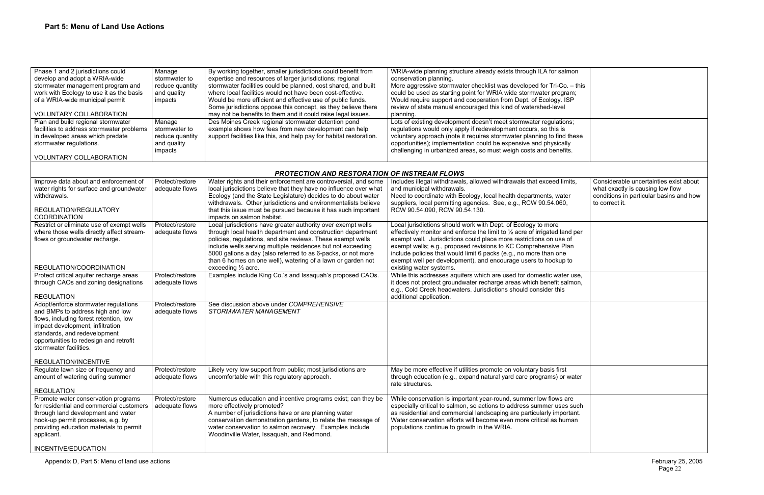| Phase 1 and 2 jurisdictions could<br>develop and adopt a WRIA-wide<br>stormwater management program and<br>work with Ecology to use it as the basis<br>of a WRIA-wide municipal permit<br><b>VOLUNTARY COLLABORATION</b>                                   | Manage<br>stormwater to<br>reduce quantity<br>and quality<br>impacts | By working together, smaller jurisdictions could benefit from<br>expertise and resources of larger jurisdictions; regional<br>stormwater facilities could be planned, cost shared, and built<br>where local facilities would not have been cost-effective.<br>Would be more efficient and effective use of public funds.<br>Some jurisdictions oppose this concept, as they believe there<br>may not be benefits to them and it could raise legal issues. | WRIA-wide planning structure already exists through ILA for salmon<br>conservation planning.<br>More aggressive stormwater checklist was developed for Tri-Co. - this<br>could be used as starting point for WRIA wide stormwater program;<br>Would require support and cooperation from Dept. of Ecology. ISP<br>review of state manual encouraged this kind of watershed-level<br>planning.                                |                                                                                                                                         |
|------------------------------------------------------------------------------------------------------------------------------------------------------------------------------------------------------------------------------------------------------------|----------------------------------------------------------------------|-----------------------------------------------------------------------------------------------------------------------------------------------------------------------------------------------------------------------------------------------------------------------------------------------------------------------------------------------------------------------------------------------------------------------------------------------------------|------------------------------------------------------------------------------------------------------------------------------------------------------------------------------------------------------------------------------------------------------------------------------------------------------------------------------------------------------------------------------------------------------------------------------|-----------------------------------------------------------------------------------------------------------------------------------------|
| Plan and build regional stormwater<br>facilities to address stormwater problems<br>in developed areas which predate<br>stormwater regulations.<br>VOLUNTARY COLLABORATION                                                                                  | Manage<br>stormwater to<br>reduce quantity<br>and quality<br>impacts | Des Moines Creek regional stormwater detention pond<br>example shows how fees from new development can help<br>support facilities like this, and help pay for habitat restoration.                                                                                                                                                                                                                                                                        | Lots of existing development doesn't meet stormwater regulations;<br>regulations would only apply if redevelopment occurs, so this is<br>voluntary approach (note it requires stormwater planning to find these<br>opportunities); implementation could be expensive and physically<br>challenging in urbanized areas, so must weigh costs and benefits.                                                                     |                                                                                                                                         |
|                                                                                                                                                                                                                                                            |                                                                      |                                                                                                                                                                                                                                                                                                                                                                                                                                                           |                                                                                                                                                                                                                                                                                                                                                                                                                              |                                                                                                                                         |
|                                                                                                                                                                                                                                                            |                                                                      | <b>PROTECTION AND RESTORATION OF INSTREAM FLOWS</b>                                                                                                                                                                                                                                                                                                                                                                                                       |                                                                                                                                                                                                                                                                                                                                                                                                                              |                                                                                                                                         |
| Improve data about and enforcement of<br>water rights for surface and groundwater<br>withdrawals.<br>REGULATION/REGULATORY<br><b>COORDINATION</b>                                                                                                          | Protect/restore<br>adequate flows                                    | Water rights and their enforcement are controversial, and some<br>local jurisdictions believe that they have no influence over what<br>Ecology (and the State Legislature) decides to do about water<br>withdrawals. Other jurisdictions and environmentalists believe<br>that this issue must be pursued because it has such important<br>impacts on salmon habitat.                                                                                     | Includes illegal withdrawals, allowed withdrawals that exceed limits,<br>and municipal withdrawals.<br>Need to coordinate with Ecology, local health departments, water<br>suppliers, local permitting agencies. See, e.g., RCW 90.54.060,<br>RCW 90.54.090, RCW 90.54.130.                                                                                                                                                  | Considerable uncertainties exist about<br>what exactly is causing low flow<br>conditions in particular basins and how<br>to correct it. |
| Restrict or eliminate use of exempt wells<br>where those wells directly affect stream-<br>flows or groundwater recharge.                                                                                                                                   | Protect/restore<br>adequate flows                                    | Local jurisdictions have greater authority over exempt wells<br>through local health department and construction department<br>policies, regulations, and site reviews. These exempt wells<br>include wells serving multiple residences but not exceeding<br>5000 gallons a day (also referred to as 6-packs, or not more<br>than 6 homes on one well), watering of a lawn or garden not                                                                  | Local jurisdictions should work with Dept. of Ecology to more<br>effectively monitor and enforce the limit to 1/2 acre of irrigated land per<br>exempt well. Jurisdictions could place more restrictions on use of<br>exempt wells; e.g., proposed revisions to KC Comprehensive Plan<br>include policies that would limit 6 packs (e.g., no more than one<br>exempt well per development), and encourage users to hookup to |                                                                                                                                         |
| REGULATION/COORDINATION                                                                                                                                                                                                                                    |                                                                      | exceeding $\frac{1}{2}$ acre.                                                                                                                                                                                                                                                                                                                                                                                                                             | existing water systems.                                                                                                                                                                                                                                                                                                                                                                                                      |                                                                                                                                         |
| Protect critical aquifer recharge areas<br>through CAOs and zoning designations<br><b>REGULATION</b>                                                                                                                                                       | Protect/restore<br>adequate flows                                    | Examples include King Co.'s and Issaquah's proposed CAOs.                                                                                                                                                                                                                                                                                                                                                                                                 | While this addresses aquifers which are used for domestic water use,<br>it does not protect groundwater recharge areas which benefit salmon,<br>e.g., Cold Creek headwaters. Jurisdictions should consider this                                                                                                                                                                                                              |                                                                                                                                         |
|                                                                                                                                                                                                                                                            | Protect/restore                                                      | See discussion above under COMPREHENSIVE                                                                                                                                                                                                                                                                                                                                                                                                                  | additional application.                                                                                                                                                                                                                                                                                                                                                                                                      |                                                                                                                                         |
| Adopt/enforce stormwater regulations<br>and BMPs to address high and low<br>flows, including forest retention, low<br>impact development, infiltration<br>standards, and redevelopment<br>opportunities to redesign and retrofit<br>stormwater facilities. | adequate flows                                                       | STORMWATER MANAGEMENT                                                                                                                                                                                                                                                                                                                                                                                                                                     |                                                                                                                                                                                                                                                                                                                                                                                                                              |                                                                                                                                         |
| REGULATION/INCENTIVE                                                                                                                                                                                                                                       |                                                                      |                                                                                                                                                                                                                                                                                                                                                                                                                                                           |                                                                                                                                                                                                                                                                                                                                                                                                                              |                                                                                                                                         |
| Regulate lawn size or frequency and<br>amount of watering during summer<br><b>REGULATION</b>                                                                                                                                                               | Protect/restore<br>adequate flows                                    | Likely very low support from public; most jurisdictions are<br>uncomfortable with this regulatory approach.                                                                                                                                                                                                                                                                                                                                               | May be more effective if utilities promote on voluntary basis first<br>through education (e.g., expand natural yard care programs) or water<br>rate structures.                                                                                                                                                                                                                                                              |                                                                                                                                         |
| Promote water conservation programs<br>for residential and commercial customers<br>through land development and water<br>hook-up permit processes, e.g. by<br>providing education materials to permit<br>applicant.<br>INCENTIVE/EDUCATION                 | Protect/restore<br>adequate flows                                    | Numerous education and incentive programs exist; can they be<br>more effectively promoted?<br>A number of jurisdictions have or are planning water<br>conservation demonstration gardens, to relate the message of<br>water conservation to salmon recovery. Examples include<br>Woodinville Water, Issaquah, and Redmond.                                                                                                                                | While conservation is important year-round, summer low flows are<br>especially critical to salmon, so actions to address summer uses such<br>as residential and commercial landscaping are particularly important.<br>Water conservation efforts will become even more critical as human<br>populations continue to growth in the WRIA.                                                                                      |                                                                                                                                         |

| imits,<br>ater<br>i0,                 | Considerable uncertainties exist about<br>what exactly is causing low flow<br>conditions in particular basins and how<br>to correct it. |
|---------------------------------------|-----------------------------------------------------------------------------------------------------------------------------------------|
| and per<br>e of<br>Plan<br>ıе<br>p to |                                                                                                                                         |
| ter use,<br>salmon,<br>s              |                                                                                                                                         |
|                                       |                                                                                                                                         |
| $\overline{\mathsf{st}}$<br>or water  |                                                                                                                                         |
| are<br>es such<br>ortant.<br>uman     |                                                                                                                                         |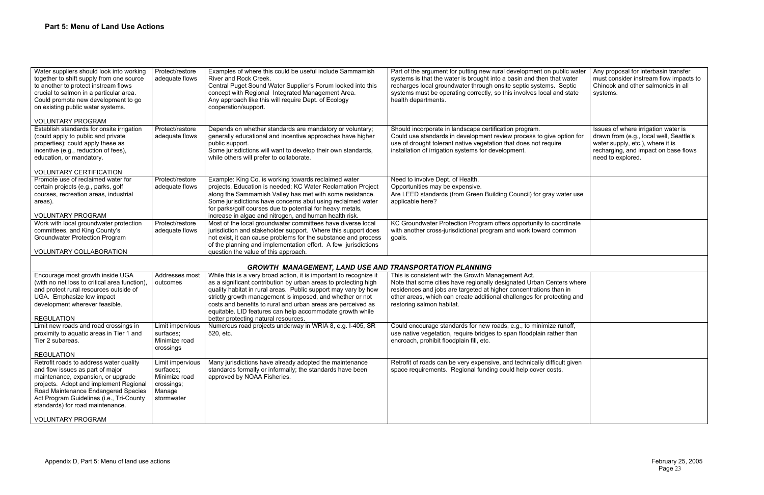| ublic water<br>at water<br>Septic<br>nd state | Any proposal for interbasin transfer<br>must consider instream flow impacts to<br>Chinook and other salmonids in all<br>systems.                                                |
|-----------------------------------------------|---------------------------------------------------------------------------------------------------------------------------------------------------------------------------------|
| option for<br>е                               | Issues of where irrigation water is<br>drawn from (e.g., local well, Seattle's<br>water supply, etc.), where it is<br>recharging, and impact on base flows<br>need to explored. |
| water use                                     |                                                                                                                                                                                 |
| ordinate<br>ommon                             |                                                                                                                                                                                 |
|                                               |                                                                                                                                                                                 |
| ters where<br>an in<br>cting and              |                                                                                                                                                                                 |
| runoff,<br>er than                            |                                                                                                                                                                                 |
| ult given:<br>S.                              |                                                                                                                                                                                 |

| Water suppliers should look into working<br>together to shift supply from one source<br>to another to protect instream flows<br>crucial to salmon in a particular area.<br>Could promote new development to go<br>on existing public water systems. | Protect/restore<br>adequate flows | Examples of where this could be useful include Sammamish<br>River and Rock Creek.<br>Central Puget Sound Water Supplier's Forum looked into this<br>concept with Regional Integrated Management Area.<br>Any approach like this will require Dept. of Ecology<br>cooperation/support.                                                                                 | Part of the argument for putting new rural development on public water<br>systems is that the water is brought into a basin and then that water<br>recharges local groundwater through onsite septic systems. Septic<br>systems must be operating correctly, so this involves local and state<br>health departments. |
|-----------------------------------------------------------------------------------------------------------------------------------------------------------------------------------------------------------------------------------------------------|-----------------------------------|-----------------------------------------------------------------------------------------------------------------------------------------------------------------------------------------------------------------------------------------------------------------------------------------------------------------------------------------------------------------------|----------------------------------------------------------------------------------------------------------------------------------------------------------------------------------------------------------------------------------------------------------------------------------------------------------------------|
| <b>VOLUNTARY PROGRAM</b>                                                                                                                                                                                                                            |                                   |                                                                                                                                                                                                                                                                                                                                                                       |                                                                                                                                                                                                                                                                                                                      |
| Establish standards for onsite irrigation<br>(could apply to public and private<br>properties); could apply these as<br>incentive (e.g., reduction of fees),<br>education, or mandatory.                                                            | Protect/restore<br>adequate flows | Depends on whether standards are mandatory or voluntary;<br>generally educational and incentive approaches have higher<br>public support.<br>Some jurisdictions will want to develop their own standards,<br>while others will prefer to collaborate.                                                                                                                 | Should incorporate in landscape certification program.<br>Could use standards in development review process to give option for<br>use of drought tolerant native vegetation that does not require<br>installation of irrigation systems for development.                                                             |
| <b>VOLUNTARY CERTIFICATION</b>                                                                                                                                                                                                                      |                                   |                                                                                                                                                                                                                                                                                                                                                                       |                                                                                                                                                                                                                                                                                                                      |
| Promote use of reclaimed water for<br>certain projects (e.g., parks, golf<br>courses, recreation areas, industrial<br>areas).<br><b>VOLUNTARY PROGRAM</b>                                                                                           | Protect/restore<br>adequate flows | Example: King Co. is working towards reclaimed water<br>projects. Education is needed; KC Water Reclamation Project<br>along the Sammamish Valley has met with some resistance.<br>Some jurisdictions have concerns abut using reclaimed water<br>for parks/golf courses due to potential for heavy metals,<br>increase in algae and nitrogen, and human health risk. | Need to involve Dept. of Health.<br>Opportunities may be expensive.<br>Are LEED standards (from Green Building Council) for gray water use<br>applicable here?                                                                                                                                                       |
| Work with local groundwater protection                                                                                                                                                                                                              | Protect/restore                   | Most of the local groundwater committees have diverse local                                                                                                                                                                                                                                                                                                           | KC Groundwater Protection Program offers opportunity to coordinate                                                                                                                                                                                                                                                   |
| committees, and King County's                                                                                                                                                                                                                       | adequate flows                    | jurisdiction and stakeholder support. Where this support does                                                                                                                                                                                                                                                                                                         | with another cross-jurisdictional program and work toward common                                                                                                                                                                                                                                                     |
| <b>Groundwater Protection Program</b>                                                                                                                                                                                                               |                                   | not exist, it can cause problems for the substance and process                                                                                                                                                                                                                                                                                                        | goals.                                                                                                                                                                                                                                                                                                               |
| VOLUNTARY COLLABORATION                                                                                                                                                                                                                             |                                   | of the planning and implementation effort. A few jurisdictions<br>question the value of this approach.                                                                                                                                                                                                                                                                |                                                                                                                                                                                                                                                                                                                      |
|                                                                                                                                                                                                                                                     |                                   |                                                                                                                                                                                                                                                                                                                                                                       |                                                                                                                                                                                                                                                                                                                      |
|                                                                                                                                                                                                                                                     |                                   | <b>GROWTH MANAGEMENT, LAND USE AND TRANSPORTATION PLANNING</b>                                                                                                                                                                                                                                                                                                        |                                                                                                                                                                                                                                                                                                                      |
| Encourage most growth inside UGA                                                                                                                                                                                                                    | Addresses most                    | While this is a very broad action, it is important to recognize it                                                                                                                                                                                                                                                                                                    | This is consistent with the Growth Management Act.                                                                                                                                                                                                                                                                   |
| (with no net loss to critical area function),                                                                                                                                                                                                       | outcomes                          | as a significant contribution by urban areas to protecting high                                                                                                                                                                                                                                                                                                       | Note that some cities have regionally designated Urban Centers where                                                                                                                                                                                                                                                 |
| and protect rural resources outside of                                                                                                                                                                                                              |                                   | quality habitat in rural areas. Public support may vary by how                                                                                                                                                                                                                                                                                                        | residences and jobs are targeted at higher concentrations than in                                                                                                                                                                                                                                                    |
| UGA. Emphasize low impact                                                                                                                                                                                                                           |                                   | strictly growth management is imposed, and whether or not                                                                                                                                                                                                                                                                                                             | other areas, which can create additional challenges for protecting and                                                                                                                                                                                                                                               |
| development wherever feasible.                                                                                                                                                                                                                      |                                   | costs and benefits to rural and urban areas are perceived as<br>equitable. LID features can help accommodate growth while                                                                                                                                                                                                                                             | restoring salmon habitat.                                                                                                                                                                                                                                                                                            |
| <b>REGULATION</b>                                                                                                                                                                                                                                   |                                   | better protecting natural resources.                                                                                                                                                                                                                                                                                                                                  |                                                                                                                                                                                                                                                                                                                      |
| Limit new roads and road crossings in                                                                                                                                                                                                               | Limit impervious                  | Numerous road projects underway in WRIA 8, e.g. I-405, SR                                                                                                                                                                                                                                                                                                             | Could encourage standards for new roads, e.g., to minimize runoff,                                                                                                                                                                                                                                                   |
| proximity to aquatic areas in Tier 1 and                                                                                                                                                                                                            | surfaces:                         | 520, etc.                                                                                                                                                                                                                                                                                                                                                             | use native vegetation, require bridges to span floodplain rather than                                                                                                                                                                                                                                                |
| Tier 2 subareas.                                                                                                                                                                                                                                    | Minimize road                     |                                                                                                                                                                                                                                                                                                                                                                       | encroach, prohibit floodplain fill, etc.                                                                                                                                                                                                                                                                             |
|                                                                                                                                                                                                                                                     | crossings                         |                                                                                                                                                                                                                                                                                                                                                                       |                                                                                                                                                                                                                                                                                                                      |
| <b>REGULATION</b>                                                                                                                                                                                                                                   |                                   |                                                                                                                                                                                                                                                                                                                                                                       |                                                                                                                                                                                                                                                                                                                      |
| Retrofit roads to address water quality<br>and flow issues as part of major                                                                                                                                                                         | Limit impervious<br>surfaces;     | Many jurisdictions have already adopted the maintenance<br>standards formally or informally; the standards have been                                                                                                                                                                                                                                                  | Retrofit of roads can be very expensive, and technically difficult given<br>space requirements. Regional funding could help cover costs.                                                                                                                                                                             |
| maintenance, expansion, or upgrade                                                                                                                                                                                                                  | Minimize road                     | approved by NOAA Fisheries.                                                                                                                                                                                                                                                                                                                                           |                                                                                                                                                                                                                                                                                                                      |
| projects. Adopt and implement Regional                                                                                                                                                                                                              | crossings;                        |                                                                                                                                                                                                                                                                                                                                                                       |                                                                                                                                                                                                                                                                                                                      |
| Road Maintenance Endangered Species                                                                                                                                                                                                                 | Manage                            |                                                                                                                                                                                                                                                                                                                                                                       |                                                                                                                                                                                                                                                                                                                      |
| Act Program Guidelines (i.e., Tri-County                                                                                                                                                                                                            | stormwater                        |                                                                                                                                                                                                                                                                                                                                                                       |                                                                                                                                                                                                                                                                                                                      |
| standards) for road maintenance.                                                                                                                                                                                                                    |                                   |                                                                                                                                                                                                                                                                                                                                                                       |                                                                                                                                                                                                                                                                                                                      |
| <b>VOLUNTARY PROGRAM</b>                                                                                                                                                                                                                            |                                   |                                                                                                                                                                                                                                                                                                                                                                       |                                                                                                                                                                                                                                                                                                                      |
|                                                                                                                                                                                                                                                     |                                   |                                                                                                                                                                                                                                                                                                                                                                       |                                                                                                                                                                                                                                                                                                                      |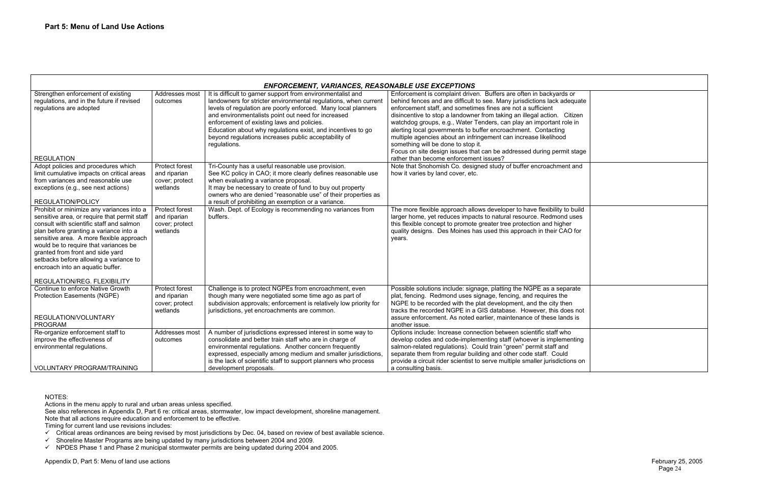| <b>ENFORCEMENT, VARIANCES, REASONABLE USE EXCEPTIONS</b>                                                                                                                                                                                                                                                                                                                                                              |                                                              |                                                                                                                                                                                                                                                                                                                                                                                                                                            |                                                                                                                                                                                                                                                                                                                                                                                                                                                                                                                                                                                                                                                              |  |
|-----------------------------------------------------------------------------------------------------------------------------------------------------------------------------------------------------------------------------------------------------------------------------------------------------------------------------------------------------------------------------------------------------------------------|--------------------------------------------------------------|--------------------------------------------------------------------------------------------------------------------------------------------------------------------------------------------------------------------------------------------------------------------------------------------------------------------------------------------------------------------------------------------------------------------------------------------|--------------------------------------------------------------------------------------------------------------------------------------------------------------------------------------------------------------------------------------------------------------------------------------------------------------------------------------------------------------------------------------------------------------------------------------------------------------------------------------------------------------------------------------------------------------------------------------------------------------------------------------------------------------|--|
| Strengthen enforcement of existing<br>regulations, and in the future if revised<br>regulations are adopted<br><b>REGULATION</b>                                                                                                                                                                                                                                                                                       | Addresses most<br>outcomes                                   | It is difficult to garner support from environmentalist and<br>landowners for stricter environmental regulations, when current<br>levels of regulation are poorly enforced. Many local planners<br>and environmentalists point out need for increased<br>enforcement of existing laws and policies.<br>Education about why regulations exist, and incentives to go<br>beyond regulations increases public acceptability of<br>regulations. | Enforcement is complaint driven. Buffers are often in backyards or<br>behind fences and are difficult to see. Many jurisdictions lack adequate<br>enforcement staff, and sometimes fines are not a sufficient<br>disincentive to stop a landowner from taking an illegal action. Citizen<br>watchdog groups, e.g., Water Tenders, can play an important role in<br>alerting local governments to buffer encroachment. Contacting<br>multiple agencies about an infringement can increase likelihood<br>something will be done to stop it.<br>Focus on site design issues that can be addressed during permit stage<br>rather than become enforcement issues? |  |
| Adopt policies and procedures which<br>limit cumulative impacts on critical areas<br>from variances and reasonable use<br>exceptions (e.g., see next actions)<br><b>REGULATION/POLICY</b>                                                                                                                                                                                                                             | Protect forest<br>and riparian<br>cover; protect<br>wetlands | Tri-County has a useful reasonable use provision.<br>See KC policy in CAO; it more clearly defines reasonable use<br>when evaluating a variance proposal.<br>It may be necessary to create of fund to buy out property<br>owners who are denied "reasonable use" of their properties as<br>a result of prohibiting an exemption or a variance.                                                                                             | Note that Snohomish Co. designed study of buffer encroachment and<br>how it varies by land cover, etc.                                                                                                                                                                                                                                                                                                                                                                                                                                                                                                                                                       |  |
| Prohibit or minimize any variances into a<br>sensitive area, or require that permit staff<br>consult with scientific staff and salmon<br>plan before granting a variance into a<br>sensitive area. A more flexible approach<br>would be to require that variances be<br>granted from front and side yard<br>setbacks before allowing a variance to<br>encroach into an aquatic buffer.<br>REGULATION/REG. FLEXIBILITY | Protect forest<br>and riparian<br>cover; protect<br>wetlands | Wash. Dept. of Ecology is recommending no variances from<br>buffers.                                                                                                                                                                                                                                                                                                                                                                       | The more flexible approach allows developer to have flexibility to build<br>larger home, yet reduces impacts to natural resource. Redmond uses<br>this flexible concept to promote greater tree protection and higher<br>quality designs. Des Moines has used this approach in their CAO for<br>years.                                                                                                                                                                                                                                                                                                                                                       |  |
| Continue to enforce Native Growth<br><b>Protection Easements (NGPE)</b><br>REGULATION/VOLUNTARY<br>PROGRAM                                                                                                                                                                                                                                                                                                            | Protect forest<br>and riparian<br>cover; protect<br>wetlands | Challenge is to protect NGPEs from encroachment, even<br>though many were negotiated some time ago as part of<br>subdivision approvals; enforcement is relatively low priority for<br>jurisdictions, yet encroachments are common.                                                                                                                                                                                                         | Possible solutions include: signage, platting the NGPE as a separate<br>plat, fencing. Redmond uses signage, fencing, and requires the<br>NGPE to be recorded with the plat development, and the city then<br>tracks the recorded NGPE in a GIS database. However, this does not<br>assure enforcement. As noted earlier, maintenance of these lands is<br>another issue.                                                                                                                                                                                                                                                                                    |  |
| Re-organize enforcement staff to<br>improve the effectiveness of<br>environmental regulations.<br><b>VOLUNTARY PROGRAM/TRAINING</b>                                                                                                                                                                                                                                                                                   | Addresses most<br>outcomes                                   | A number of jurisdictions expressed interest in some way to<br>consolidate and better train staff who are in charge of<br>environmental regulations. Another concern frequently<br>expressed, especially among medium and smaller jurisdictions.<br>is the lack of scientific staff to support planners who process<br>development proposals.                                                                                              | Options include: Increase connection between scientific staff who<br>develop codes and code-implementing staff (whoever is implementing<br>salmon-related regulations). Could train "green" permit staff and<br>separate them from regular building and other code staff. Could<br>provide a circuit rider scientist to serve multiple smaller jurisdictions on<br>a consulting basis.                                                                                                                                                                                                                                                                       |  |

### NOTES:

Actions in the menu apply to rural and urban areas unless specified.

See also references in Appendix D, Part 6 re: critical areas, stormwater, low impact development, shoreline management. Note that all actions require education and enforcement to be effective.

Timing for current land use revisions includes:

- $\checkmark$  Critical areas ordinances are being revised by most jurisdictions by Dec. 04, based on review of best available science.
- $\checkmark$  Shoreline Master Programs are being updated by many jurisdictions between 2004 and 2009.
- $\checkmark$  NPDES Phase 1 and Phase 2 municipal stormwater permits are being updated during 2004 and 2005.

| $ds$ or<br>adequate                       |  |  |
|-------------------------------------------|--|--|
| Citizen<br>role in<br>g<br>d              |  |  |
| nit stage                                 |  |  |
| ent and                                   |  |  |
| to build<br>าd uses<br>her<br>AO for      |  |  |
| parate<br>١e<br>hen<br>loes not<br>nds is |  |  |
| vho<br>menting<br>nd<br>ıld<br>tions on:  |  |  |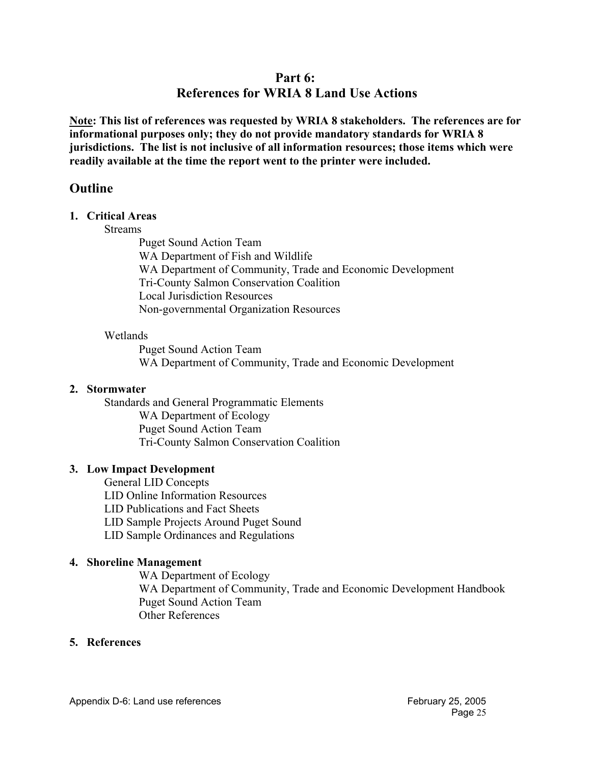# **Part 6:**

# **References for WRIA 8 Land Use Actions**

**Note: This list of references was requested by WRIA 8 stakeholders. The references are for informational purposes only; they do not provide mandatory standards for WRIA 8 jurisdictions. The list is not inclusive of all information resources; those items which were readily available at the time the report went to the printer were included.** 

# **Outline**

### **1. Critical Areas**

**Streams** 

 Puget Sound Action Team WA Department of Fish and Wildlife WA Department of Community, Trade and Economic Development Tri-County Salmon Conservation Coalition Local Jurisdiction Resources Non-governmental Organization Resources

### Wetlands

 Puget Sound Action Team WA Department of Community, Trade and Economic Development

## **2. Stormwater**

Standards and General Programmatic Elements WA Department of Ecology Puget Sound Action Team Tri-County Salmon Conservation Coalition

## **3. Low Impact Development**

General LID Concepts LID Online Information Resources LID Publications and Fact Sheets LID Sample Projects Around Puget Sound LID Sample Ordinances and Regulations

## **4. Shoreline Management**

WA Department of Ecology WA Department of Community, Trade and Economic Development Handbook Puget Sound Action Team Other References

# **5. References**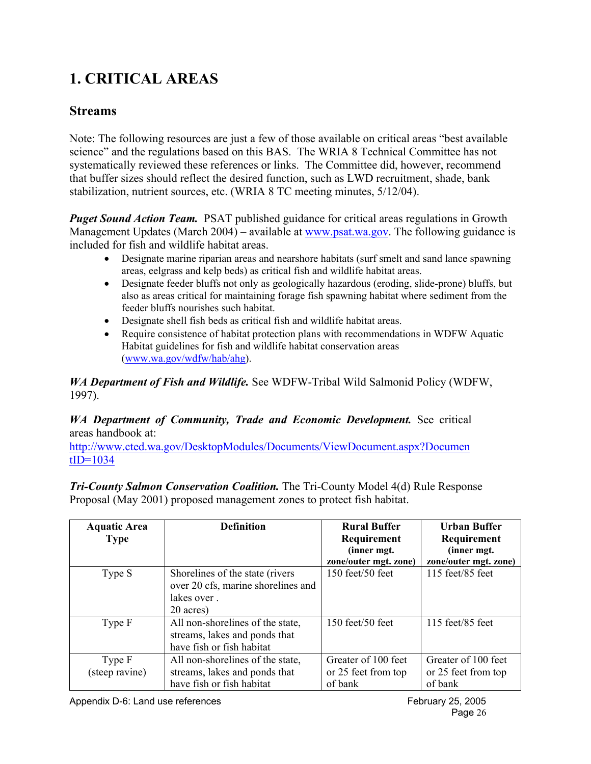# **1. CRITICAL AREAS**

# **Streams**

Note: The following resources are just a few of those available on critical areas "best available science" and the regulations based on this BAS. The WRIA 8 Technical Committee has not systematically reviewed these references or links. The Committee did, however, recommend that buffer sizes should reflect the desired function, such as LWD recruitment, shade, bank stabilization, nutrient sources, etc. (WRIA 8 TC meeting minutes, 5/12/04).

*Puget Sound Action Team.* PSAT published guidance for critical areas regulations in Growth Management Updates (March 2004) – available at www.psat.wa.gov. The following guidance is included for fish and wildlife habitat areas.

- Designate marine riparian areas and nearshore habitats (surf smelt and sand lance spawning areas, eelgrass and kelp beds) as critical fish and wildlife habitat areas.
- Designate feeder bluffs not only as geologically hazardous (eroding, slide-prone) bluffs, but also as areas critical for maintaining forage fish spawning habitat where sediment from the feeder bluffs nourishes such habitat.
- Designate shell fish beds as critical fish and wildlife habitat areas.
- Require consistence of habitat protection plans with recommendations in WDFW Aquatic Habitat guidelines for fish and wildlife habitat conservation areas (www.wa.gov/wdfw/hab/ahg).

*WA Department of Fish and Wildlife.* See WDFW-Tribal Wild Salmonid Policy (WDFW, 1997).

# *WA Department of Community, Trade and Economic Development. See critical* areas handbook at:

http://www.cted.wa.gov/DesktopModules/Documents/ViewDocument.aspx?Documen  $tID=1034$ 

*Tri-County Salmon Conservation Coalition.* The Tri-County Model 4(d) Rule Response Proposal (May 2001) proposed management zones to protect fish habitat.

| <b>Aquatic Area</b> | <b>Definition</b>                  | <b>Rural Buffer</b>   | <b>Urban Buffer</b>   |
|---------------------|------------------------------------|-----------------------|-----------------------|
| <b>Type</b>         |                                    | Requirement           | Requirement           |
|                     |                                    | (inner mgt.           | (inner mgt.           |
|                     |                                    | zone/outer mgt. zone) | zone/outer mgt. zone) |
| Type S              | Shorelines of the state (rivers    | $150$ feet/50 feet    | $115$ feet/85 feet    |
|                     | over 20 cfs, marine shorelines and |                       |                       |
|                     | lakes over.                        |                       |                       |
|                     | 20 acres)                          |                       |                       |
| Type F              | All non-shorelines of the state,   | $150$ feet/50 feet    | $115$ feet/85 feet    |
|                     | streams, lakes and ponds that      |                       |                       |
|                     | have fish or fish habitat          |                       |                       |
| Type F              | All non-shorelines of the state,   | Greater of 100 feet   | Greater of 100 feet   |
| (steep ravine)      | streams, lakes and ponds that      | or 25 feet from top   | or 25 feet from top   |
|                     | have fish or fish habitat          | of bank               | of bank               |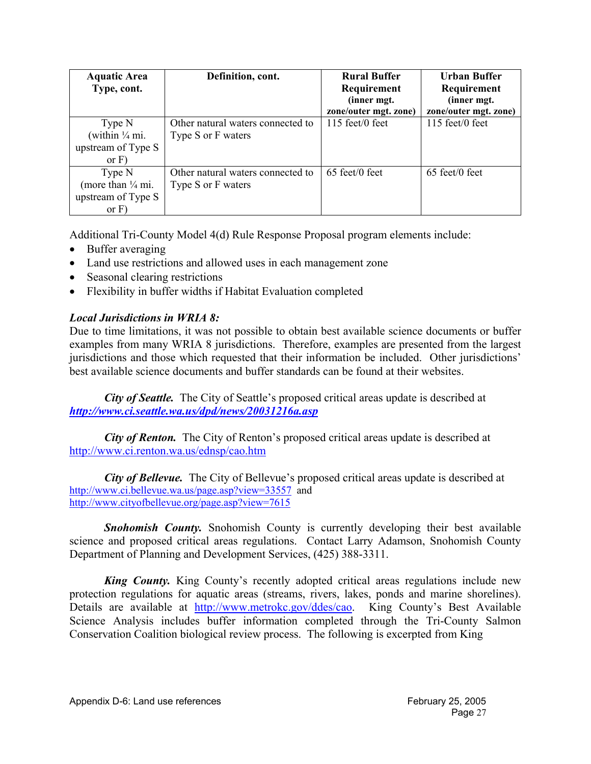| <b>Aquatic Area</b>          | Definition, cont.                 | <b>Rural Buffer</b>               | Urban Buffer          |
|------------------------------|-----------------------------------|-----------------------------------|-----------------------|
| Type, cont.                  |                                   | Requirement                       | Requirement           |
|                              |                                   | (inner mgt.                       | (inner mgt.           |
|                              |                                   | zone/outer mgt. zone)             | zone/outer mgt. zone) |
| Type N                       | Other natural waters connected to | $115 \text{ feet}/0 \text{ feet}$ | $115$ feet/0 feet     |
| (within $\frac{1}{4}$ mi.    | Type S or F waters                |                                   |                       |
| upstream of Type S           |                                   |                                   |                       |
| or $F$ )                     |                                   |                                   |                       |
| Type N                       | Other natural waters connected to | $65$ feet/0 feet                  | 65 feet/0 feet        |
| (more than $\frac{1}{4}$ mi. | Type S or F waters                |                                   |                       |
| upstream of Type S           |                                   |                                   |                       |
| or $F$ )                     |                                   |                                   |                       |

Additional Tri-County Model 4(d) Rule Response Proposal program elements include:

- Buffer averaging
- Land use restrictions and allowed uses in each management zone
- Seasonal clearing restrictions
- Flexibility in buffer widths if Habitat Evaluation completed

# *Local Jurisdictions in WRIA 8:*

Due to time limitations, it was not possible to obtain best available science documents or buffer examples from many WRIA 8 jurisdictions. Therefore, examples are presented from the largest jurisdictions and those which requested that their information be included. Other jurisdictions' best available science documents and buffer standards can be found at their websites.

*City of Seattle.* The City of Seattle's proposed critical areas update is described at *http://www.ci.seattle.wa.us/dpd/news/20031216a.asp*

*City of Renton.* The City of Renton's proposed critical areas update is described at http://www.ci.renton.wa.us/ednsp/cao.htm

*City of Bellevue.* The City of Bellevue's proposed critical areas update is described at http://www.ci.bellevue.wa.us/page.asp?view=33557 and http://www.cityofbellevue.org/page.asp?view=7615

**Snohomish County.** Snohomish County is currently developing their best available science and proposed critical areas regulations. Contact Larry Adamson, Snohomish County Department of Planning and Development Services, (425) 388-3311.

*King County.* King County's recently adopted critical areas regulations include new protection regulations for aquatic areas (streams, rivers, lakes, ponds and marine shorelines). Details are available at http://www.metrokc.gov/ddes/cao. King County's Best Available Science Analysis includes buffer information completed through the Tri-County Salmon Conservation Coalition biological review process. The following is excerpted from King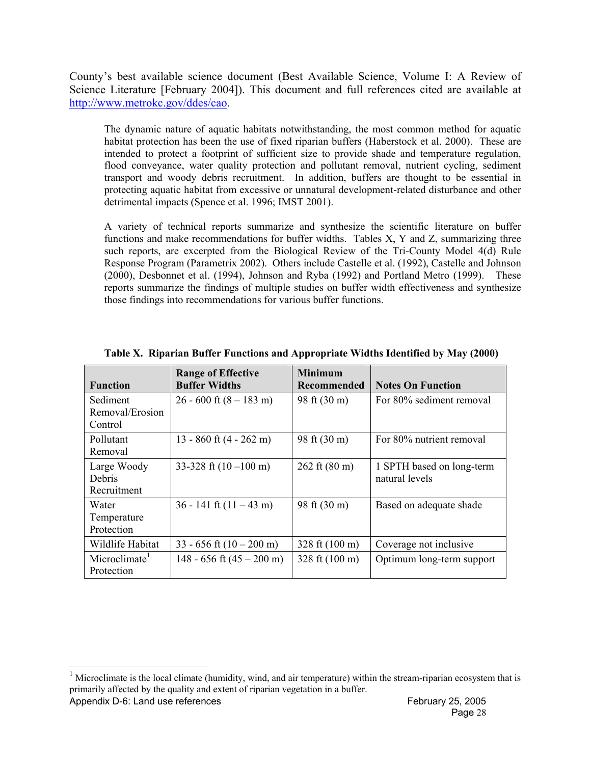County's best available science document (Best Available Science, Volume I: A Review of Science Literature [February 2004]). This document and full references cited are available at http://www.metrokc.gov/ddes/cao.

The dynamic nature of aquatic habitats notwithstanding, the most common method for aquatic habitat protection has been the use of fixed riparian buffers (Haberstock et al. 2000). These are intended to protect a footprint of sufficient size to provide shade and temperature regulation, flood conveyance, water quality protection and pollutant removal, nutrient cycling, sediment transport and woody debris recruitment. In addition, buffers are thought to be essential in protecting aquatic habitat from excessive or unnatural development-related disturbance and other detrimental impacts (Spence et al. 1996; IMST 2001).

A variety of technical reports summarize and synthesize the scientific literature on buffer functions and make recommendations for buffer widths. Tables X, Y and Z, summarizing three such reports, are excerpted from the Biological Review of the Tri-County Model 4(d) Rule Response Program (Parametrix 2002). Others include Castelle et al. (1992), Castelle and Johnson (2000), Desbonnet et al. (1994), Johnson and Ryba (1992) and Portland Metro (1999). These reports summarize the findings of multiple studies on buffer width effectiveness and synthesize those findings into recommendations for various buffer functions.

| <b>Function</b>                         | <b>Range of Effective</b><br><b>Buffer Widths</b> | <b>Minimum</b><br><b>Recommended</b> | <b>Notes On Function</b>                    |
|-----------------------------------------|---------------------------------------------------|--------------------------------------|---------------------------------------------|
| Sediment<br>Removal/Erosion<br>Control  | $26 - 600$ ft $(8 - 183$ m)                       | 98 ft (30 m)                         | For 80% sediment removal                    |
| Pollutant<br>Removal                    | 13 - 860 ft $(4 - 262 \text{ m})$                 | 98 ft (30 m)                         | For 80% nutrient removal                    |
| Large Woody<br>Debris<br>Recruitment    | 33-328 ft $(10-100 \text{ m})$                    | $262 \text{ ft} (80 \text{ m})$      | 1 SPTH based on long-term<br>natural levels |
| Water<br>Temperature<br>Protection      | $36 - 141$ ft $(11 - 43$ m)                       | 98 ft (30 m)                         | Based on adequate shade                     |
| Wildlife Habitat                        | $33 - 656$ ft $(10 - 200$ m)                      | 328 ft $(100 \text{ m})$             | Coverage not inclusive                      |
| Microclimate <sup>1</sup><br>Protection | 148 - 656 ft $(45 - 200 \text{ m})$               | 328 ft (100 m)                       | Optimum long-term support                   |

**Table X. Riparian Buffer Functions and Appropriate Widths Identified by May (2000)** 

 $\overline{a}$ 

Appendix D-6: Land use references Appendix D-6: Land use references February 25, 2005  $1$  Microclimate is the local climate (humidity, wind, and air temperature) within the stream-riparian ecosystem that is primarily affected by the quality and extent of riparian vegetation in a buffer.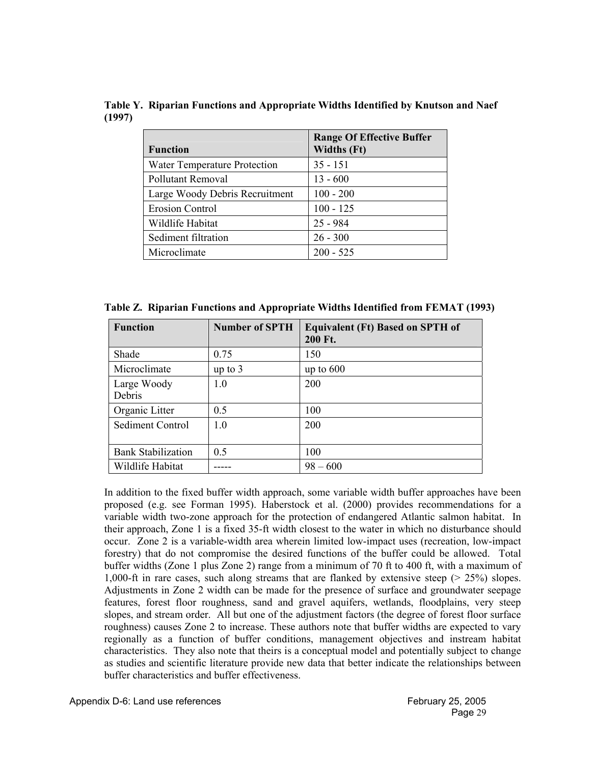**Table Y. Riparian Functions and Appropriate Widths Identified by Knutson and Naef (1997)** 

| <b>Function</b>                | <b>Range Of Effective Buffer</b><br><b>Widths (Ft)</b> |
|--------------------------------|--------------------------------------------------------|
| Water Temperature Protection   | $35 - 151$                                             |
| Pollutant Removal              | $13 - 600$                                             |
| Large Woody Debris Recruitment | $100 - 200$                                            |
| <b>Erosion Control</b>         | $100 - 125$                                            |
| Wildlife Habitat               | $25 - 984$                                             |
| Sediment filtration            | $26 - 300$                                             |
| Microclimate                   | $200 - 525$                                            |

**Table Z. Riparian Functions and Appropriate Widths Identified from FEMAT (1993)** 

| <b>Function</b>           | <b>Number of SPTH</b> | <b>Equivalent (Ft) Based on SPTH of</b><br>200 Ft. |
|---------------------------|-----------------------|----------------------------------------------------|
| Shade                     | 0.75                  | 150                                                |
| Microclimate              | up to $3$             | up to $600$                                        |
| Large Woody<br>Debris     | 1.0                   | 200                                                |
| Organic Litter            | 0.5                   | 100                                                |
| Sediment Control          | 1.0                   | 200                                                |
| <b>Bank Stabilization</b> | 0.5                   | 100                                                |
| Wildlife Habitat          |                       | $98 - 600$                                         |

In addition to the fixed buffer width approach, some variable width buffer approaches have been proposed (e.g. see Forman 1995). Haberstock et al. (2000) provides recommendations for a variable width two-zone approach for the protection of endangered Atlantic salmon habitat. In their approach, Zone 1 is a fixed 35-ft width closest to the water in which no disturbance should occur. Zone 2 is a variable-width area wherein limited low-impact uses (recreation, low-impact forestry) that do not compromise the desired functions of the buffer could be allowed. Total buffer widths (Zone 1 plus Zone 2) range from a minimum of 70 ft to 400 ft, with a maximum of 1,000-ft in rare cases, such along streams that are flanked by extensive steep (> 25%) slopes. Adjustments in Zone 2 width can be made for the presence of surface and groundwater seepage features, forest floor roughness, sand and gravel aquifers, wetlands, floodplains, very steep slopes, and stream order. All but one of the adjustment factors (the degree of forest floor surface roughness) causes Zone 2 to increase. These authors note that buffer widths are expected to vary regionally as a function of buffer conditions, management objectives and instream habitat characteristics. They also note that theirs is a conceptual model and potentially subject to change as studies and scientific literature provide new data that better indicate the relationships between buffer characteristics and buffer effectiveness.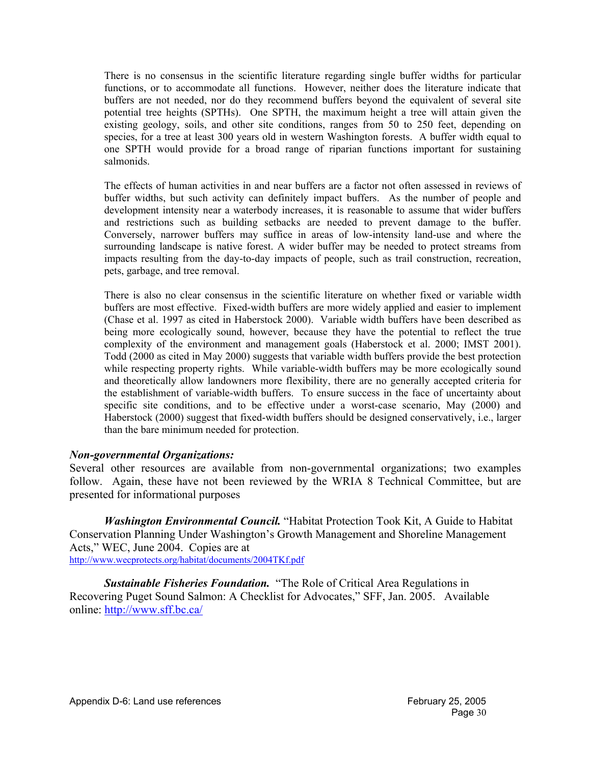There is no consensus in the scientific literature regarding single buffer widths for particular functions, or to accommodate all functions. However, neither does the literature indicate that buffers are not needed, nor do they recommend buffers beyond the equivalent of several site potential tree heights (SPTHs). One SPTH, the maximum height a tree will attain given the existing geology, soils, and other site conditions, ranges from 50 to 250 feet, depending on species, for a tree at least 300 years old in western Washington forests. A buffer width equal to one SPTH would provide for a broad range of riparian functions important for sustaining salmonids.

The effects of human activities in and near buffers are a factor not often assessed in reviews of buffer widths, but such activity can definitely impact buffers. As the number of people and development intensity near a waterbody increases, it is reasonable to assume that wider buffers and restrictions such as building setbacks are needed to prevent damage to the buffer. Conversely, narrower buffers may suffice in areas of low-intensity land-use and where the surrounding landscape is native forest. A wider buffer may be needed to protect streams from impacts resulting from the day-to-day impacts of people, such as trail construction, recreation, pets, garbage, and tree removal.

There is also no clear consensus in the scientific literature on whether fixed or variable width buffers are most effective. Fixed-width buffers are more widely applied and easier to implement (Chase et al. 1997 as cited in Haberstock 2000). Variable width buffers have been described as being more ecologically sound, however, because they have the potential to reflect the true complexity of the environment and management goals (Haberstock et al. 2000; IMST 2001). Todd (2000 as cited in May 2000) suggests that variable width buffers provide the best protection while respecting property rights. While variable-width buffers may be more ecologically sound and theoretically allow landowners more flexibility, there are no generally accepted criteria for the establishment of variable-width buffers. To ensure success in the face of uncertainty about specific site conditions, and to be effective under a worst-case scenario, May (2000) and Haberstock (2000) suggest that fixed-width buffers should be designed conservatively, i.e., larger than the bare minimum needed for protection.

### *Non-governmental Organizations:*

Several other resources are available from non-governmental organizations; two examples follow. Again, these have not been reviewed by the WRIA 8 Technical Committee, but are presented for informational purposes

*Washington Environmental Council.* "Habitat Protection Took Kit, A Guide to Habitat Conservation Planning Under Washington's Growth Management and Shoreline Management Acts," WEC, June 2004. Copies are at http://www.wecprotects.org/habitat/documents/2004TKf.pdf

*Sustainable Fisheries Foundation.* "The Role of Critical Area Regulations in Recovering Puget Sound Salmon: A Checklist for Advocates," SFF, Jan. 2005. Available online: http://www.sff.bc.ca/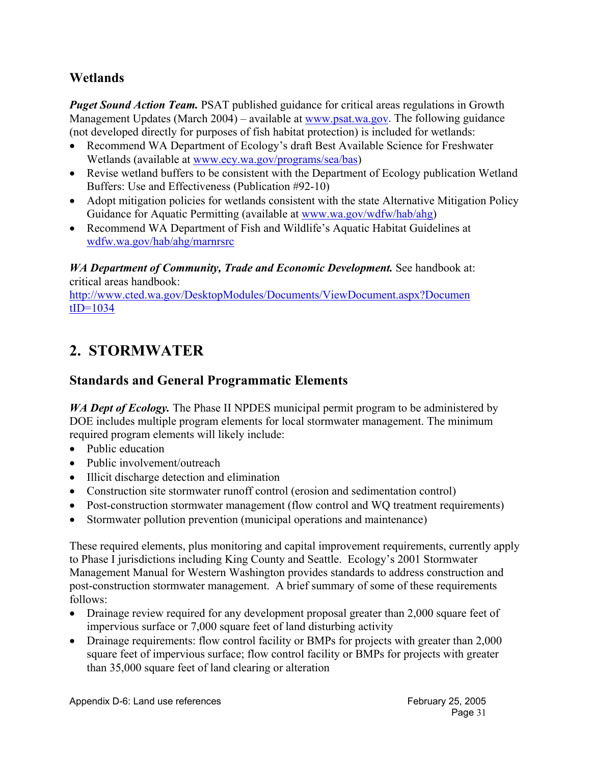# **Wetlands**

*Puget Sound Action Team.* PSAT published guidance for critical areas regulations in Growth Management Updates (March 2004) – available at www.psat.wa.gov. The following guidance (not developed directly for purposes of fish habitat protection) is included for wetlands:

- Recommend WA Department of Ecology's draft Best Available Science for Freshwater Wetlands (available at www.ecy.wa.gov/programs/sea/bas)
- Revise wetland buffers to be consistent with the Department of Ecology publication Wetland Buffers: Use and Effectiveness (Publication #92-10)
- Adopt mitigation policies for wetlands consistent with the state Alternative Mitigation Policy Guidance for Aquatic Permitting (available at www.wa.gov/wdfw/hab/ahg)
- Recommend WA Department of Fish and Wildlife's Aquatic Habitat Guidelines at wdfw.wa.gov/hab/ahg/marnrsrc

*WA Department of Community, Trade and Economic Development.* See handbook at: critical areas handbook:

http://www.cted.wa.gov/DesktopModules/Documents/ViewDocument.aspx?Documen  $tID=1034$ 

# **2. STORMWATER**

# **Standards and General Programmatic Elements**

*WA Dept of Ecology*. The Phase II NPDES municipal permit program to be administered by DOE includes multiple program elements for local stormwater management. The minimum required program elements will likely include:

- Public education
- Public involvement/outreach
- Illicit discharge detection and elimination
- Construction site stormwater runoff control (erosion and sedimentation control)
- Post-construction stormwater management (flow control and WQ treatment requirements)
- Stormwater pollution prevention (municipal operations and maintenance)

These required elements, plus monitoring and capital improvement requirements, currently apply to Phase I jurisdictions including King County and Seattle. Ecology's 2001 Stormwater Management Manual for Western Washington provides standards to address construction and post-construction stormwater management. A brief summary of some of these requirements follows:

- Drainage review required for any development proposal greater than 2,000 square feet of impervious surface or 7,000 square feet of land disturbing activity
- Drainage requirements: flow control facility or BMPs for projects with greater than 2,000 square feet of impervious surface; flow control facility or BMPs for projects with greater than 35,000 square feet of land clearing or alteration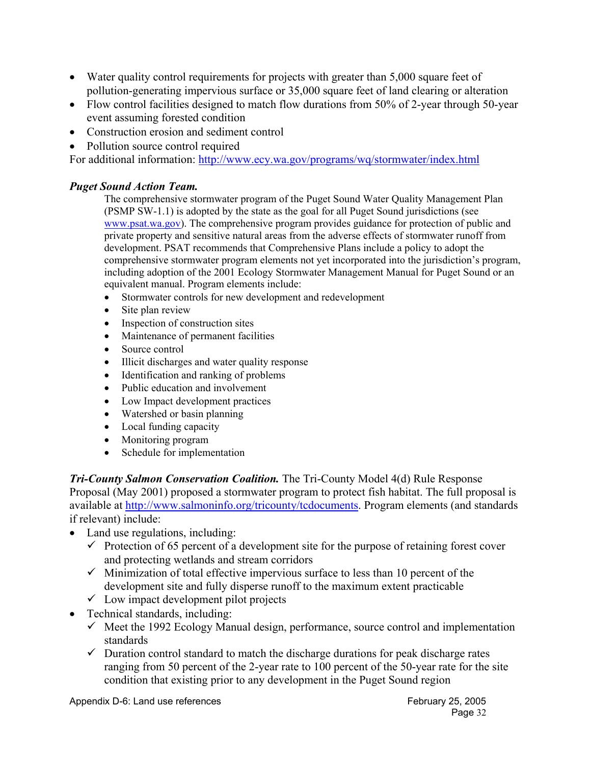- Water quality control requirements for projects with greater than 5,000 square feet of pollution-generating impervious surface or 35,000 square feet of land clearing or alteration
- Flow control facilities designed to match flow durations from 50% of 2-year through 50-year event assuming forested condition
- Construction erosion and sediment control
- Pollution source control required

For additional information: http://www.ecy.wa.gov/programs/wq/stormwater/index.html

# *Puget Sound Action Team.*

The comprehensive stormwater program of the Puget Sound Water Quality Management Plan (PSMP SW-1.1) is adopted by the state as the goal for all Puget Sound jurisdictions (see www.psat.wa.gov). The comprehensive program provides guidance for protection of public and private property and sensitive natural areas from the adverse effects of stormwater runoff from development. PSAT recommends that Comprehensive Plans include a policy to adopt the comprehensive stormwater program elements not yet incorporated into the jurisdiction's program, including adoption of the 2001 Ecology Stormwater Management Manual for Puget Sound or an equivalent manual. Program elements include:

- Stormwater controls for new development and redevelopment
- Site plan review
- Inspection of construction sites
- Maintenance of permanent facilities
- Source control
- Illicit discharges and water quality response
- Identification and ranking of problems
- Public education and involvement
- Low Impact development practices
- Watershed or basin planning
- Local funding capacity
- Monitoring program
- Schedule for implementation

*Tri-County Salmon Conservation Coalition.* The Tri-County Model 4(d) Rule Response Proposal (May 2001) proposed a stormwater program to protect fish habitat. The full proposal is available at http://www.salmoninfo.org/tricounty/tcdocuments. Program elements (and standards if relevant) include:

- Land use regulations, including:
	- $\checkmark$  Protection of 65 percent of a development site for the purpose of retaining forest cover and protecting wetlands and stream corridors
	- $\checkmark$  Minimization of total effective impervious surface to less than 10 percent of the development site and fully disperse runoff to the maximum extent practicable
	- $\checkmark$  Low impact development pilot projects
- Technical standards, including:
	- $\checkmark$  Meet the 1992 Ecology Manual design, performance, source control and implementation standards
	- $\checkmark$  Duration control standard to match the discharge durations for peak discharge rates ranging from 50 percent of the 2-year rate to 100 percent of the 50-year rate for the site condition that existing prior to any development in the Puget Sound region

Appendix D-6: Land use references Appendix D-6: Land use references February 25, 2005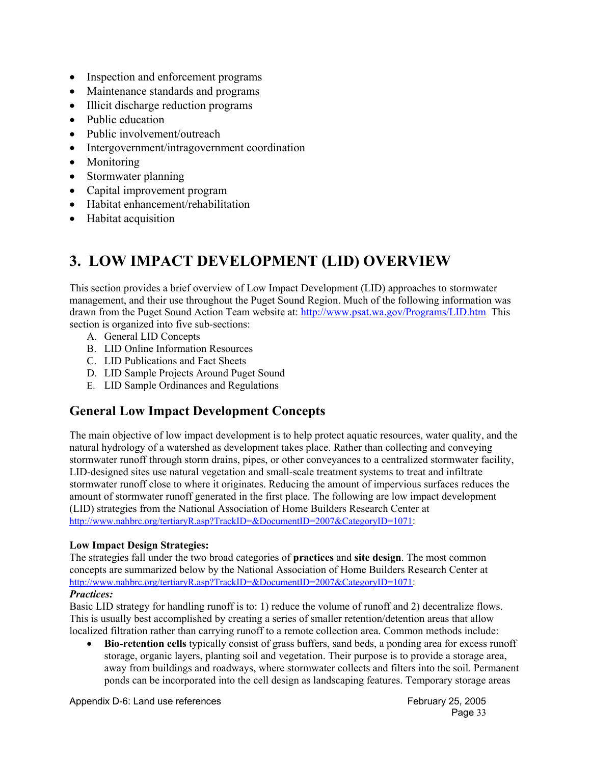- Inspection and enforcement programs
- Maintenance standards and programs
- Illicit discharge reduction programs
- Public education
- Public involvement/outreach
- Intergovernment/intragovernment coordination
- Monitoring
- Stormwater planning
- Capital improvement program
- Habitat enhancement/rehabilitation
- Habitat acquisition

# **3. LOW IMPACT DEVELOPMENT (LID) OVERVIEW**

This section provides a brief overview of Low Impact Development (LID) approaches to stormwater management, and their use throughout the Puget Sound Region. Much of the following information was drawn from the Puget Sound Action Team website at: http://www.psat.wa.gov/Programs/LID.htm This section is organized into five sub-sections:

- A. General LID Concepts
- B. LID Online Information Resources
- C. LID Publications and Fact Sheets
- D. LID Sample Projects Around Puget Sound
- E. LID Sample Ordinances and Regulations

# **General Low Impact Development Concepts**

The main objective of low impact development is to help protect aquatic resources, water quality, and the natural hydrology of a watershed as development takes place. Rather than collecting and conveying stormwater runoff through storm drains, pipes, or other conveyances to a centralized stormwater facility, LID-designed sites use natural vegetation and small-scale treatment systems to treat and infiltrate stormwater runoff close to where it originates. Reducing the amount of impervious surfaces reduces the amount of stormwater runoff generated in the first place. The following are low impact development (LID) strategies from the National Association of Home Builders Research Center at http://www.nahbrc.org/tertiaryR.asp?TrackID=&DocumentID=2007&CategoryID=1071:

## **Low Impact Design Strategies:**

The strategies fall under the two broad categories of **practices** and **site design**. The most common concepts are summarized below by the National Association of Home Builders Research Center at http://www.nahbrc.org/tertiaryR.asp?TrackID=&DocumentID=2007&CategoryID=1071:

### *Practices:*

Basic LID strategy for handling runoff is to: 1) reduce the volume of runoff and 2) decentralize flows. This is usually best accomplished by creating a series of smaller retention/detention areas that allow localized filtration rather than carrying runoff to a remote collection area. Common methods include:

• **Bio-retention cells** typically consist of grass buffers, sand beds, a ponding area for excess runoff storage, organic layers, planting soil and vegetation. Their purpose is to provide a storage area, away from buildings and roadways, where stormwater collects and filters into the soil. Permanent ponds can be incorporated into the cell design as landscaping features. Temporary storage areas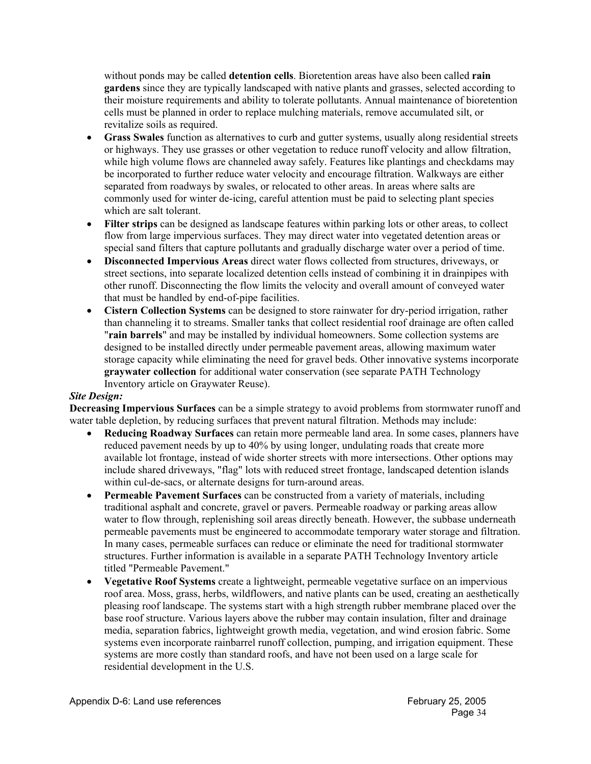without ponds may be called **detention cells**. Bioretention areas have also been called **rain gardens** since they are typically landscaped with native plants and grasses, selected according to their moisture requirements and ability to tolerate pollutants. Annual maintenance of bioretention cells must be planned in order to replace mulching materials, remove accumulated silt, or revitalize soils as required.

- **Grass Swales** function as alternatives to curb and gutter systems, usually along residential streets or highways. They use grasses or other vegetation to reduce runoff velocity and allow filtration, while high volume flows are channeled away safely. Features like plantings and checkdams may be incorporated to further reduce water velocity and encourage filtration. Walkways are either separated from roadways by swales, or relocated to other areas. In areas where salts are commonly used for winter de-icing, careful attention must be paid to selecting plant species which are salt tolerant.
- **Filter strips** can be designed as landscape features within parking lots or other areas, to collect flow from large impervious surfaces. They may direct water into vegetated detention areas or special sand filters that capture pollutants and gradually discharge water over a period of time.
- **Disconnected Impervious Areas** direct water flows collected from structures, driveways, or street sections, into separate localized detention cells instead of combining it in drainpipes with other runoff. Disconnecting the flow limits the velocity and overall amount of conveyed water that must be handled by end-of-pipe facilities.
- **Cistern Collection Systems** can be designed to store rainwater for dry-period irrigation, rather than channeling it to streams. Smaller tanks that collect residential roof drainage are often called "**rain barrels**" and may be installed by individual homeowners. Some collection systems are designed to be installed directly under permeable pavement areas, allowing maximum water storage capacity while eliminating the need for gravel beds. Other innovative systems incorporate **graywater collection** for additional water conservation (see separate PATH Technology Inventory article on Graywater Reuse).

### *Site Design:*

**Decreasing Impervious Surfaces** can be a simple strategy to avoid problems from stormwater runoff and water table depletion, by reducing surfaces that prevent natural filtration. Methods may include:

- **Reducing Roadway Surfaces** can retain more permeable land area. In some cases, planners have reduced pavement needs by up to 40% by using longer, undulating roads that create more available lot frontage, instead of wide shorter streets with more intersections. Other options may include shared driveways, "flag" lots with reduced street frontage, landscaped detention islands within cul-de-sacs, or alternate designs for turn-around areas.
- **Permeable Pavement Surfaces** can be constructed from a variety of materials, including traditional asphalt and concrete, gravel or pavers. Permeable roadway or parking areas allow water to flow through, replenishing soil areas directly beneath. However, the subbase underneath permeable pavements must be engineered to accommodate temporary water storage and filtration. In many cases, permeable surfaces can reduce or eliminate the need for traditional stormwater structures. Further information is available in a separate PATH Technology Inventory article titled "Permeable Pavement."
- **Vegetative Roof Systems** create a lightweight, permeable vegetative surface on an impervious roof area. Moss, grass, herbs, wildflowers, and native plants can be used, creating an aesthetically pleasing roof landscape. The systems start with a high strength rubber membrane placed over the base roof structure. Various layers above the rubber may contain insulation, filter and drainage media, separation fabrics, lightweight growth media, vegetation, and wind erosion fabric. Some systems even incorporate rainbarrel runoff collection, pumping, and irrigation equipment. These systems are more costly than standard roofs, and have not been used on a large scale for residential development in the U.S.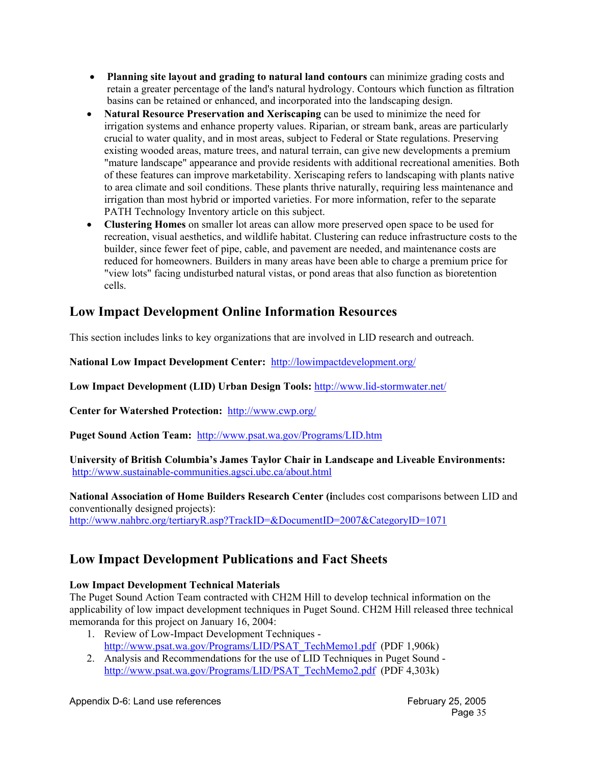- **Planning site layout and grading to natural land contours** can minimize grading costs and retain a greater percentage of the land's natural hydrology. Contours which function as filtration basins can be retained or enhanced, and incorporated into the landscaping design.
- **Natural Resource Preservation and Xeriscaping** can be used to minimize the need for irrigation systems and enhance property values. Riparian, or stream bank, areas are particularly crucial to water quality, and in most areas, subject to Federal or State regulations. Preserving existing wooded areas, mature trees, and natural terrain, can give new developments a premium "mature landscape" appearance and provide residents with additional recreational amenities. Both of these features can improve marketability. Xeriscaping refers to landscaping with plants native to area climate and soil conditions. These plants thrive naturally, requiring less maintenance and irrigation than most hybrid or imported varieties. For more information, refer to the separate PATH Technology Inventory article on this subject.
- **Clustering Homes** on smaller lot areas can allow more preserved open space to be used for recreation, visual aesthetics, and wildlife habitat. Clustering can reduce infrastructure costs to the builder, since fewer feet of pipe, cable, and pavement are needed, and maintenance costs are reduced for homeowners. Builders in many areas have been able to charge a premium price for "view lots" facing undisturbed natural vistas, or pond areas that also function as bioretention cells.

# **Low Impact Development Online Information Resources**

This section includes links to key organizations that are involved in LID research and outreach.

**National Low Impact Development Center:** http://lowimpactdevelopment.org/

**Low Impact Development (LID) Urban Design Tools:** http://www.lid-stormwater.net/

**Center for Watershed Protection:** http://www.cwp.org/

**Puget Sound Action Team:** http://www.psat.wa.gov/Programs/LID.htm

**University of British Columbia's James Taylor Chair in Landscape and Liveable Environments:**  http://www.sustainable-communities.agsci.ubc.ca/about.html

**National Association of Home Builders Research Center (i**ncludes cost comparisons between LID and conventionally designed projects): http://www.nahbrc.org/tertiaryR.asp?TrackID=&DocumentID=2007&CategoryID=1071

# **Low Impact Development Publications and Fact Sheets**

## **Low Impact Development Technical Materials**

The Puget Sound Action Team contracted with CH2M Hill to develop technical information on the applicability of low impact development techniques in Puget Sound. CH2M Hill released three technical memoranda for this project on January 16, 2004:

- 1. Review of Low-Impact Development Techniques http://www.psat.wa.gov/Programs/LID/PSAT\_TechMemo1.pdf (PDF 1,906k)
- 2. Analysis and Recommendations for the use of LID Techniques in Puget Sound http://www.psat.wa.gov/Programs/LID/PSAT\_TechMemo2.pdf (PDF 4,303k)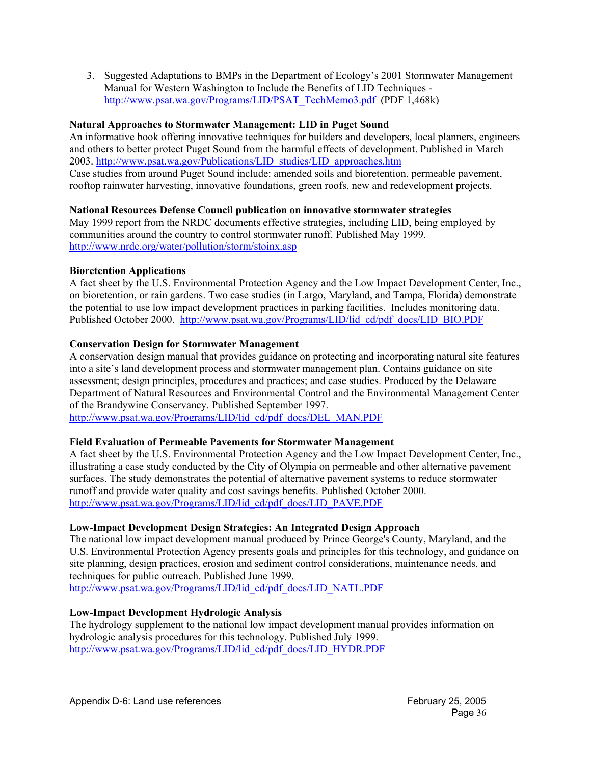3. Suggested Adaptations to BMPs in the Department of Ecology's 2001 Stormwater Management Manual for Western Washington to Include the Benefits of LID Techniques http://www.psat.wa.gov/Programs/LID/PSAT\_TechMemo3.pdf (PDF 1,468k)

### **Natural Approaches to Stormwater Management: LID in Puget Sound**

An informative book offering innovative techniques for builders and developers, local planners, engineers and others to better protect Puget Sound from the harmful effects of development. Published in March 2003. http://www.psat.wa.gov/Publications/LID\_studies/LID\_approaches.htm Case studies from around Puget Sound include: amended soils and bioretention, permeable pavement, rooftop rainwater harvesting, innovative foundations, green roofs, new and redevelopment projects.

### **National Resources Defense Council publication on innovative stormwater strategies**

May 1999 report from the NRDC documents effective strategies, including LID, being employed by communities around the country to control stormwater runoff. Published May 1999. http://www.nrdc.org/water/pollution/storm/stoinx.asp

### **Bioretention Applications**

A fact sheet by the U.S. Environmental Protection Agency and the Low Impact Development Center, Inc., on bioretention, or rain gardens. Two case studies (in Largo, Maryland, and Tampa, Florida) demonstrate the potential to use low impact development practices in parking facilities. Includes monitoring data. Published October 2000. http://www.psat.wa.gov/Programs/LID/lid\_cd/pdf\_docs/LID\_BIO.PDF

### **Conservation Design for Stormwater Management**

A conservation design manual that provides guidance on protecting and incorporating natural site features into a site's land development process and stormwater management plan. Contains guidance on site assessment; design principles, procedures and practices; and case studies. Produced by the Delaware Department of Natural Resources and Environmental Control and the Environmental Management Center of the Brandywine Conservancy. Published September 1997. http://www.psat.wa.gov/Programs/LID/lid\_cd/pdf\_docs/DEL\_MAN.PDF

### **Field Evaluation of Permeable Pavements for Stormwater Management**

A fact sheet by the U.S. Environmental Protection Agency and the Low Impact Development Center, Inc., illustrating a case study conducted by the City of Olympia on permeable and other alternative pavement surfaces. The study demonstrates the potential of alternative pavement systems to reduce stormwater runoff and provide water quality and cost savings benefits. Published October 2000. http://www.psat.wa.gov/Programs/LID/lid\_cd/pdf\_docs/LID\_PAVE.PDF

#### **Low-Impact Development Design Strategies: An Integrated Design Approach**

The national low impact development manual produced by Prince George's County, Maryland, and the U.S. Environmental Protection Agency presents goals and principles for this technology, and guidance on site planning, design practices, erosion and sediment control considerations, maintenance needs, and techniques for public outreach. Published June 1999. http://www.psat.wa.gov/Programs/LID/lid\_cd/pdf\_docs/LID\_NATL.PDF

#### **Low-Impact Development Hydrologic Analysis**

The hydrology supplement to the national low impact development manual provides information on hydrologic analysis procedures for this technology. Published July 1999. http://www.psat.wa.gov/Programs/LID/lid\_cd/pdf\_docs/LID\_HYDR.PDF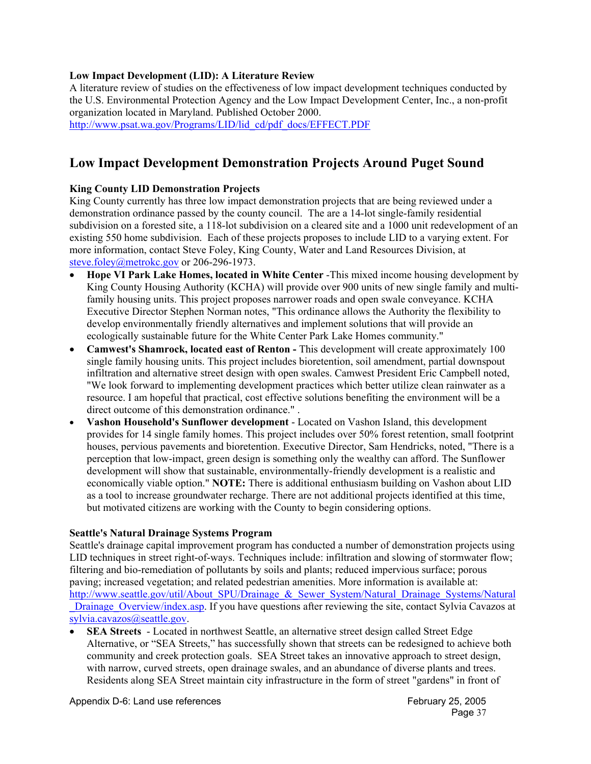### **Low Impact Development (LID): A Literature Review**

A literature review of studies on the effectiveness of low impact development techniques conducted by the U.S. Environmental Protection Agency and the Low Impact Development Center, Inc., a non-profit organization located in Maryland. Published October 2000.

http://www.psat.wa.gov/Programs/LID/lid\_cd/pdf\_docs/EFFECT.PDF

# **Low Impact Development Demonstration Projects Around Puget Sound**

### **King County LID Demonstration Projects**

King County currently has three low impact demonstration projects that are being reviewed under a demonstration ordinance passed by the county council. The are a 14-lot single-family residential subdivision on a forested site, a 118-lot subdivision on a cleared site and a 1000 unit redevelopment of an existing 550 home subdivision. Each of these projects proposes to include LID to a varying extent. For more information, contact Steve Foley, King County, Water and Land Resources Division, at steve.foley@metrokc.gov or 206-296-1973.

- **Hope VI Park Lake Homes, located in White Center** -This mixed income housing development by King County Housing Authority (KCHA) will provide over 900 units of new single family and multifamily housing units. This project proposes narrower roads and open swale conveyance. KCHA Executive Director Stephen Norman notes, "This ordinance allows the Authority the flexibility to develop environmentally friendly alternatives and implement solutions that will provide an ecologically sustainable future for the White Center Park Lake Homes community."
- **Camwest's Shamrock, located east of Renton This development will create approximately 100** single family housing units. This project includes bioretention, soil amendment, partial downspout infiltration and alternative street design with open swales. Camwest President Eric Campbell noted, "We look forward to implementing development practices which better utilize clean rainwater as a resource. I am hopeful that practical, cost effective solutions benefiting the environment will be a direct outcome of this demonstration ordinance." .
- **Vashon Household's Sunflower development** Located on Vashon Island, this development provides for 14 single family homes. This project includes over 50% forest retention, small footprint houses, pervious pavements and bioretention. Executive Director, Sam Hendricks, noted, "There is a perception that low-impact, green design is something only the wealthy can afford. The Sunflower development will show that sustainable, environmentally-friendly development is a realistic and economically viable option." **NOTE:** There is additional enthusiasm building on Vashon about LID as a tool to increase groundwater recharge. There are not additional projects identified at this time, but motivated citizens are working with the County to begin considering options.

#### **Seattle's Natural Drainage Systems Program**

Seattle's drainage capital improvement program has conducted a number of demonstration projects using LID techniques in street right-of-ways. Techniques include: infiltration and slowing of stormwater flow; filtering and bio-remediation of pollutants by soils and plants; reduced impervious surface; porous paving; increased vegetation; and related pedestrian amenities. More information is available at: http://www.seattle.gov/util/About\_SPU/Drainage\_&\_Sewer\_System/Natural\_Drainage\_Systems/Natural Drainage Overview/index.asp. If you have questions after reviewing the site, contact Sylvia Cavazos at sylvia.cavazos@seattle.gov.

• **SEA Streets** - Located in northwest Seattle, an alternative street design called Street Edge Alternative, or "SEA Streets," has successfully shown that streets can be redesigned to achieve both community and creek protection goals. SEA Street takes an innovative approach to street design, with narrow, curved streets, open drainage swales, and an abundance of diverse plants and trees. Residents along SEA Street maintain city infrastructure in the form of street "gardens" in front of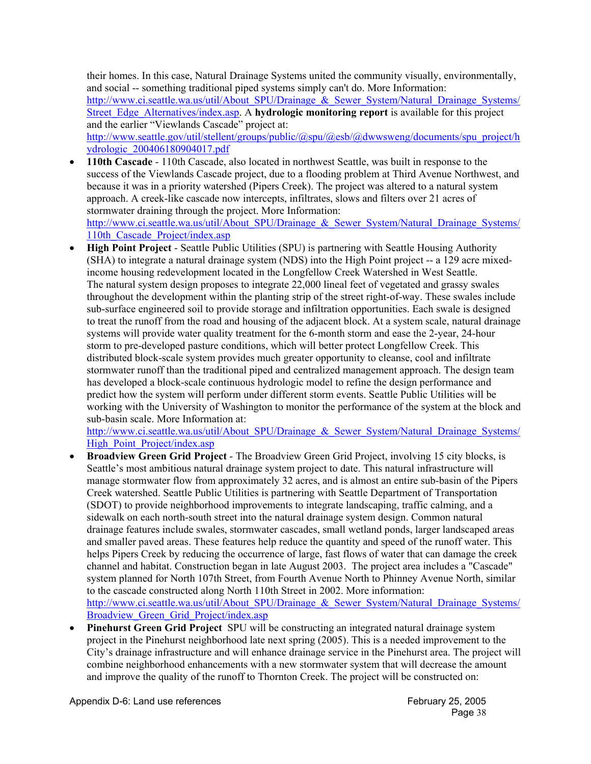their homes. In this case, Natural Drainage Systems united the community visually, environmentally, and social -- something traditional piped systems simply can't do. More Information: http://www.ci.seattle.wa.us/util/About\_SPU/Drainage\_&\_Sewer\_System/Natural\_Drainage\_Systems/ Street Edge Alternatives/index.asp. A **hydrologic monitoring report** is available for this project and the earlier "Viewlands Cascade" project at: http://www.seattle.gov/util/stellent/groups/public/@spu/@esb/@dwwsweng/documents/spu\_project/h ydrologic\_200406180904017.pdf

- **110th Cascade** 110th Cascade, also located in northwest Seattle, was built in response to the success of the Viewlands Cascade project, due to a flooding problem at Third Avenue Northwest, and because it was in a priority watershed (Pipers Creek). The project was altered to a natural system approach. A creek-like cascade now intercepts, infiltrates, slows and filters over 21 acres of stormwater draining through the project. More Information: http://www.ci.seattle.wa.us/util/About\_SPU/Drainage\_&\_Sewer\_System/Natural\_Drainage\_Systems/ 110th Cascade Project/index.asp
- **High Point Project** Seattle Public Utilities (SPU) is partnering with Seattle Housing Authority (SHA) to integrate a natural drainage system (NDS) into the High Point project -- a 129 acre mixedincome housing redevelopment located in the Longfellow Creek Watershed in West Seattle. The natural system design proposes to integrate 22,000 lineal feet of vegetated and grassy swales throughout the development within the planting strip of the street right-of-way. These swales include sub-surface engineered soil to provide storage and infiltration opportunities. Each swale is designed to treat the runoff from the road and housing of the adjacent block. At a system scale, natural drainage systems will provide water quality treatment for the 6-month storm and ease the 2-year, 24-hour storm to pre-developed pasture conditions, which will better protect Longfellow Creek. This distributed block-scale system provides much greater opportunity to cleanse, cool and infiltrate stormwater runoff than the traditional piped and centralized management approach. The design team has developed a block-scale continuous hydrologic model to refine the design performance and predict how the system will perform under different storm events. Seattle Public Utilities will be working with the University of Washington to monitor the performance of the system at the block and sub-basin scale. More Information at:

http://www.ci.seattle.wa.us/util/About\_SPU/Drainage\_&\_Sewer\_System/Natural\_Drainage\_Systems/ High\_Point\_Project/index.asp

- **Broadview Green Grid Project** The Broadview Green Grid Project, involving 15 city blocks, is Seattle's most ambitious natural drainage system project to date. This natural infrastructure will manage stormwater flow from approximately 32 acres, and is almost an entire sub-basin of the Pipers Creek watershed. Seattle Public Utilities is partnering with Seattle Department of Transportation (SDOT) to provide neighborhood improvements to integrate landscaping, traffic calming, and a sidewalk on each north-south street into the natural drainage system design. Common natural drainage features include swales, stormwater cascades, small wetland ponds, larger landscaped areas and smaller paved areas. These features help reduce the quantity and speed of the runoff water. This helps Pipers Creek by reducing the occurrence of large, fast flows of water that can damage the creek channel and habitat. Construction began in late August 2003. The project area includes a "Cascade" system planned for North 107th Street, from Fourth Avenue North to Phinney Avenue North, similar to the cascade constructed along North 110th Street in 2002. More information: http://www.ci.seattle.wa.us/util/About\_SPU/Drainage\_&\_Sewer\_System/Natural\_Drainage\_Systems/ Broadview Green Grid Project/index.asp
- **Pinehurst Green Grid Project** SPU will be constructing an integrated natural drainage system project in the Pinehurst neighborhood late next spring (2005). This is a needed improvement to the City's drainage infrastructure and will enhance drainage service in the Pinehurst area. The project will combine neighborhood enhancements with a new stormwater system that will decrease the amount and improve the quality of the runoff to Thornton Creek. The project will be constructed on: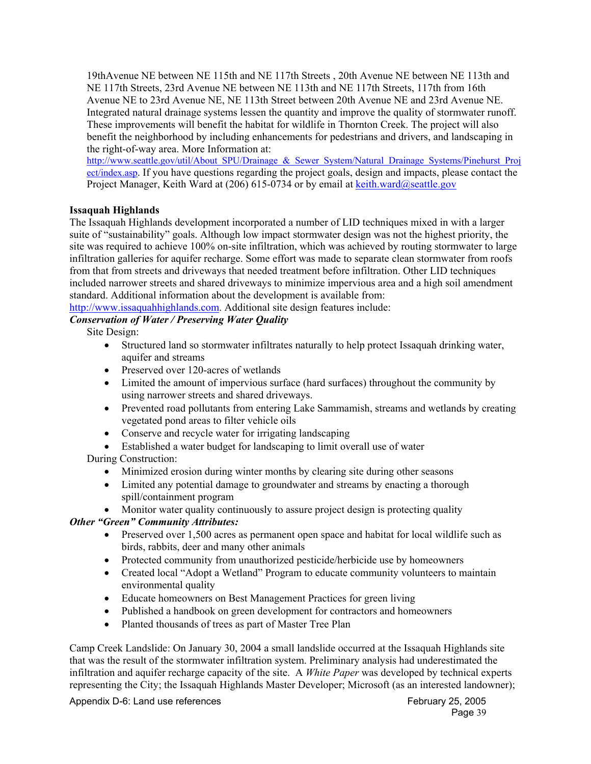19thAvenue NE between NE 115th and NE 117th Streets , 20th Avenue NE between NE 113th and NE 117th Streets, 23rd Avenue NE between NE 113th and NE 117th Streets, 117th from 16th Avenue NE to 23rd Avenue NE, NE 113th Street between 20th Avenue NE and 23rd Avenue NE. Integrated natural drainage systems lessen the quantity and improve the quality of stormwater runoff. These improvements will benefit the habitat for wildlife in Thornton Creek. The project will also benefit the neighborhood by including enhancements for pedestrians and drivers, and landscaping in the right-of-way area. More Information at:

http://www.seattle.gov/util/About\_SPU/Drainage\_&\_Sewer\_System/Natural\_Drainage\_Systems/Pinehurst\_Proj ect/index.asp. If you have questions regarding the project goals, design and impacts, please contact the Project Manager, Keith Ward at  $(206)$  615-0734 or by email at keith.ward@seattle.gov

### **Issaquah Highlands**

The Issaquah Highlands development incorporated a number of LID techniques mixed in with a larger suite of "sustainability" goals. Although low impact stormwater design was not the highest priority, the site was required to achieve 100% on-site infiltration, which was achieved by routing stormwater to large infiltration galleries for aquifer recharge. Some effort was made to separate clean stormwater from roofs from that from streets and driveways that needed treatment before infiltration. Other LID techniques included narrower streets and shared driveways to minimize impervious area and a high soil amendment standard. Additional information about the development is available from:

http://www.issaquahhighlands.com. Additional site design features include:

# *Conservation of Water / Preserving Water Quality*

Site Design:

- Structured land so stormwater infiltrates naturally to help protect Issaquah drinking water, aquifer and streams
- Preserved over 120-acres of wetlands
- Limited the amount of impervious surface (hard surfaces) throughout the community by using narrower streets and shared driveways.
- Prevented road pollutants from entering Lake Sammamish, streams and wetlands by creating vegetated pond areas to filter vehicle oils
- Conserve and recycle water for irrigating landscaping
- Established a water budget for landscaping to limit overall use of water

During Construction:

- Minimized erosion during winter months by clearing site during other seasons
- Limited any potential damage to groundwater and streams by enacting a thorough spill/containment program

• Monitor water quality continuously to assure project design is protecting quality

## *Other "Green" Community Attributes:*

- Preserved over 1,500 acres as permanent open space and habitat for local wildlife such as birds, rabbits, deer and many other animals
- Protected community from unauthorized pesticide/herbicide use by homeowners
- Created local "Adopt a Wetland" Program to educate community volunteers to maintain environmental quality
- Educate homeowners on Best Management Practices for green living
- Published a handbook on green development for contractors and homeowners
- Planted thousands of trees as part of Master Tree Plan

Camp Creek Landslide: On January 30, 2004 a small landslide occurred at the Issaquah Highlands site that was the result of the stormwater infiltration system. Preliminary analysis had underestimated the infiltration and aquifer recharge capacity of the site. A *White Paper* was developed by technical experts representing the City; the Issaquah Highlands Master Developer; Microsoft (as an interested landowner);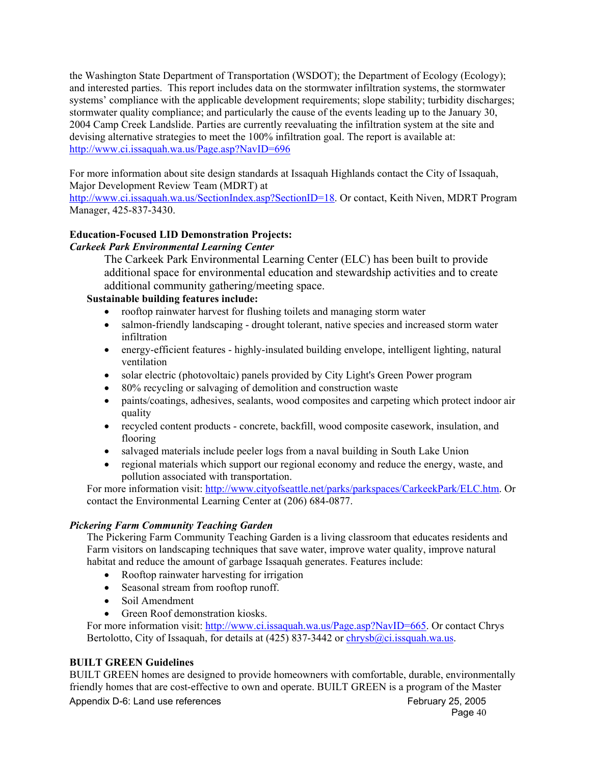the Washington State Department of Transportation (WSDOT); the Department of Ecology (Ecology); and interested parties. This report includes data on the stormwater infiltration systems, the stormwater systems' compliance with the applicable development requirements; slope stability; turbidity discharges; stormwater quality compliance; and particularly the cause of the events leading up to the January 30, 2004 Camp Creek Landslide. Parties are currently reevaluating the infiltration system at the site and devising alternative strategies to meet the 100% infiltration goal. The report is available at: http://www.ci.issaquah.wa.us/Page.asp?NavID=696

For more information about site design standards at Issaquah Highlands contact the City of Issaquah, Major Development Review Team (MDRT) at

http://www.ci.issaquah.wa.us/SectionIndex.asp?SectionID=18. Or contact, Keith Niven, MDRT Program Manager, 425-837-3430.

#### **Education-Focused LID Demonstration Projects:**  *Carkeek Park Environmental Learning Center*

The Carkeek Park Environmental Learning Center (ELC) has been built to provide additional space for environmental education and stewardship activities and to create additional community gathering/meeting space.

## **Sustainable building features include:**

- rooftop rainwater harvest for flushing toilets and managing storm water
- salmon-friendly landscaping drought tolerant, native species and increased storm water infiltration
- energy-efficient features highly-insulated building envelope, intelligent lighting, natural ventilation
- solar electric (photovoltaic) panels provided by City Light's Green Power program
- 80% recycling or salvaging of demolition and construction waste
- paints/coatings, adhesives, sealants, wood composites and carpeting which protect indoor air quality
- recycled content products concrete, backfill, wood composite casework, insulation, and flooring
- salvaged materials include peeler logs from a naval building in South Lake Union
- regional materials which support our regional economy and reduce the energy, waste, and pollution associated with transportation.

For more information visit: http://www.cityofseattle.net/parks/parkspaces/CarkeekPark/ELC.htm. Or contact the Environmental Learning Center at (206) 684-0877.

### *Pickering Farm Community Teaching Garden*

The Pickering Farm Community Teaching Garden is a living classroom that educates residents and Farm visitors on landscaping techniques that save water, improve water quality, improve natural habitat and reduce the amount of garbage Issaquah generates. Features include:

- Rooftop rainwater harvesting for irrigation
- Seasonal stream from rooftop runoff.
- Soil Amendment
- Green Roof demonstration kiosks.

For more information visit: http://www.ci.issaquah.wa.us/Page.asp?NavID=665. Or contact Chrys Bertolotto, City of Issaquah, for details at  $(425)$  837-3442 or chrysb $@ci.issquah.wa.us.$ 

### **BUILT GREEN Guidelines**

BUILT GREEN homes are designed to provide homeowners with comfortable, durable, environmentally friendly homes that are cost-effective to own and operate. BUILT GREEN is a program of the Master

Appendix D-6: Land use references Appendix D-6: Land use references February 25, 2005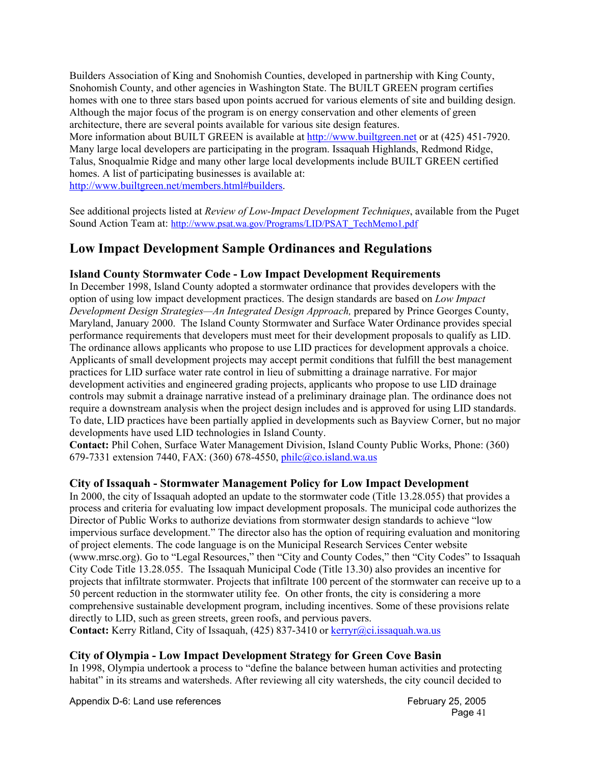Builders Association of King and Snohomish Counties, developed in partnership with King County, Snohomish County, and other agencies in Washington State. The BUILT GREEN program certifies homes with one to three stars based upon points accrued for various elements of site and building design. Although the major focus of the program is on energy conservation and other elements of green architecture, there are several points available for various site design features.

More information about BUILT GREEN is available at http://www.builtgreen.net or at (425) 451-7920. Many large local developers are participating in the program. Issaquah Highlands, Redmond Ridge, Talus, Snoqualmie Ridge and many other large local developments include BUILT GREEN certified homes. A list of participating businesses is available at: http://www.builtgreen.net/members.html#builders.

See additional projects listed at *Review of Low-Impact Development Techniques*, available from the Puget Sound Action Team at: http://www.psat.wa.gov/Programs/LID/PSAT\_TechMemo1.pdf

# **Low Impact Development Sample Ordinances and Regulations**

# **Island County Stormwater Code - Low Impact Development Requirements**

In December 1998, Island County adopted a stormwater ordinance that provides developers with the option of using low impact development practices. The design standards are based on *Low Impact Development Design Strategies—An Integrated Design Approach,* prepared by Prince Georges County, Maryland, January 2000. The Island County Stormwater and Surface Water Ordinance provides special performance requirements that developers must meet for their development proposals to qualify as LID. The ordinance allows applicants who propose to use LID practices for development approvals a choice. Applicants of small development projects may accept permit conditions that fulfill the best management practices for LID surface water rate control in lieu of submitting a drainage narrative. For major development activities and engineered grading projects, applicants who propose to use LID drainage controls may submit a drainage narrative instead of a preliminary drainage plan. The ordinance does not require a downstream analysis when the project design includes and is approved for using LID standards. To date, LID practices have been partially applied in developments such as Bayview Corner, but no major developments have used LID technologies in Island County.

**Contact:** Phil Cohen, Surface Water Management Division, Island County Public Works, Phone: (360) 679-7331 extension 7440, FAX: (360) 678-4550, philc@co.island.wa.us

## **City of Issaquah - Stormwater Management Policy for Low Impact Development**

In 2000, the city of Issaquah adopted an update to the stormwater code (Title 13.28.055) that provides a process and criteria for evaluating low impact development proposals. The municipal code authorizes the Director of Public Works to authorize deviations from stormwater design standards to achieve "low impervious surface development." The director also has the option of requiring evaluation and monitoring of project elements. The code language is on the Municipal Research Services Center website (www.mrsc.org). Go to "Legal Resources," then "City and County Codes," then "City Codes" to Issaquah City Code Title 13.28.055. The Issaquah Municipal Code (Title 13.30) also provides an incentive for projects that infiltrate stormwater. Projects that infiltrate 100 percent of the stormwater can receive up to a 50 percent reduction in the stormwater utility fee. On other fronts, the city is considering a more comprehensive sustainable development program, including incentives. Some of these provisions relate directly to LID, such as green streets, green roofs, and pervious pavers.

Contact: Kerry Ritland, City of Issaquah, (425) 837-3410 or kerryr@ci.issaquah.wa.us

## **City of Olympia - Low Impact Development Strategy for Green Cove Basin**

In 1998, Olympia undertook a process to "define the balance between human activities and protecting habitat" in its streams and watersheds. After reviewing all city watersheds, the city council decided to

Appendix D-6: Land use references Appendix D-6: Land use references February 25, 2005

Page 41 **Page 41**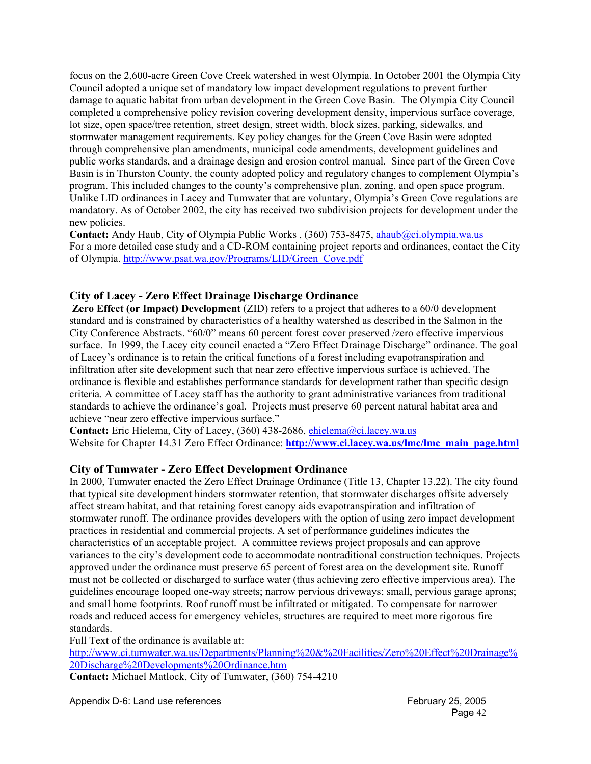focus on the 2,600-acre Green Cove Creek watershed in west Olympia. In October 2001 the Olympia City Council adopted a unique set of mandatory low impact development regulations to prevent further damage to aquatic habitat from urban development in the Green Cove Basin. The Olympia City Council completed a comprehensive policy revision covering development density, impervious surface coverage, lot size, open space/tree retention, street design, street width, block sizes, parking, sidewalks, and stormwater management requirements. Key policy changes for the Green Cove Basin were adopted through comprehensive plan amendments, municipal code amendments, development guidelines and public works standards, and a drainage design and erosion control manual. Since part of the Green Cove Basin is in Thurston County, the county adopted policy and regulatory changes to complement Olympia's program. This included changes to the county's comprehensive plan, zoning, and open space program. Unlike LID ordinances in Lacey and Tumwater that are voluntary, Olympia's Green Cove regulations are mandatory. As of October 2002, the city has received two subdivision projects for development under the new policies.

**Contact:** Andy Haub, City of Olympia Public Works , (360) 753-8475, ahaub@ci.olympia.wa.us For a more detailed case study and a CD-ROM containing project reports and ordinances, contact the City of Olympia. http://www.psat.wa.gov/Programs/LID/Green\_Cove.pdf

### **City of Lacey - Zero Effect Drainage Discharge Ordinance**

 **Zero Effect (or Impact) Development** (ZID) refers to a project that adheres to a 60/0 development standard and is constrained by characteristics of a healthy watershed as described in the Salmon in the City Conference Abstracts. "60/0" means 60 percent forest cover preserved /zero effective impervious surface. In 1999, the Lacey city council enacted a "Zero Effect Drainage Discharge" ordinance. The goal of Lacey's ordinance is to retain the critical functions of a forest including evapotranspiration and infiltration after site development such that near zero effective impervious surface is achieved. The ordinance is flexible and establishes performance standards for development rather than specific design criteria. A committee of Lacey staff has the authority to grant administrative variances from traditional standards to achieve the ordinance's goal. Projects must preserve 60 percent natural habitat area and achieve "near zero effective impervious surface."

**Contact:** Eric Hielema, City of Lacey, (360) 438-2686, ehielema@ci.lacey.wa.us Website for Chapter 14.31 Zero Effect Ordinance: **http://www.ci.lacey.wa.us/lmc/lmc\_main\_page.html** 

### **City of Tumwater - Zero Effect Development Ordinance**

In 2000, Tumwater enacted the Zero Effect Drainage Ordinance (Title 13, Chapter 13.22). The city found that typical site development hinders stormwater retention, that stormwater discharges offsite adversely affect stream habitat, and that retaining forest canopy aids evapotranspiration and infiltration of stormwater runoff. The ordinance provides developers with the option of using zero impact development practices in residential and commercial projects. A set of performance guidelines indicates the characteristics of an acceptable project.A committee reviews project proposals and can approve variances to the city's development code to accommodate nontraditional construction techniques. Projects approved under the ordinance must preserve 65 percent of forest area on the development site. Runoff must not be collected or discharged to surface water (thus achieving zero effective impervious area). The guidelines encourage looped one-way streets; narrow pervious driveways; small, pervious garage aprons; and small home footprints. Roof runoff must be infiltrated or mitigated. To compensate for narrower roads and reduced access for emergency vehicles, structures are required to meet more rigorous fire standards.

Full Text of the ordinance is available at:

http://www.ci.tumwater.wa.us/Departments/Planning%20&%20Facilities/Zero%20Effect%20Drainage% 20Discharge%20Developments%20Ordinance.htm

**Contact:** Michael Matlock, City of Tumwater, (360) 754-4210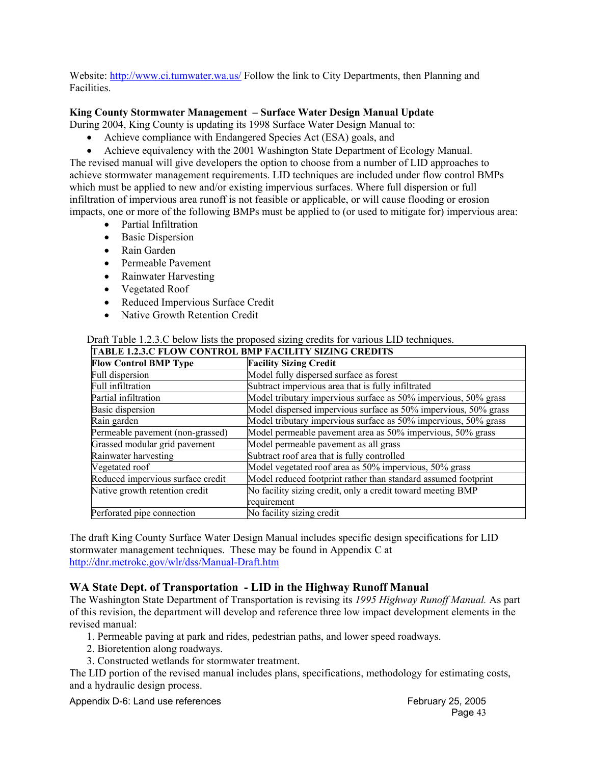Website: http://www.ci.tumwater.wa.us/ Follow the link to City Departments, then Planning and Facilities.

### **King County Stormwater Management – Surface Water Design Manual Update**

During 2004, King County is updating its 1998 Surface Water Design Manual to:

- Achieve compliance with Endangered Species Act (ESA) goals, and
- Achieve equivalency with the 2001 Washington State Department of Ecology Manual.

The revised manual will give developers the option to choose from a number of LID approaches to achieve stormwater management requirements. LID techniques are included under flow control BMPs which must be applied to new and/or existing impervious surfaces. Where full dispersion or full infiltration of impervious area runoff is not feasible or applicable, or will cause flooding or erosion impacts, one or more of the following BMPs must be applied to (or used to mitigate for) impervious area:

- Partial Infiltration
- Basic Dispersion
- Rain Garden
- Permeable Pavement
- Rainwater Harvesting
- Vegetated Roof
- Reduced Impervious Surface Credit
- Native Growth Retention Credit

#### Draft Table 1.2.3.C below lists the proposed sizing credits for various LID techniques.

| TABLE 1.2.3.C FLOW CONTROL BMP FACILITY SIZING CREDITS |                                                                 |  |
|--------------------------------------------------------|-----------------------------------------------------------------|--|
| <b>Flow Control BMP Type</b>                           | <b>Facility Sizing Credit</b>                                   |  |
| Full dispersion                                        | Model fully dispersed surface as forest                         |  |
| Full infiltration                                      | Subtract impervious area that is fully infiltrated              |  |
| Partial infiltration                                   | Model tributary impervious surface as 50% impervious, 50% grass |  |
| <b>Basic dispersion</b>                                | Model dispersed impervious surface as 50% impervious, 50% grass |  |
| Rain garden                                            | Model tributary impervious surface as 50% impervious, 50% grass |  |
| Permeable pavement (non-grassed)                       | Model permeable pavement area as 50% impervious, 50% grass      |  |
| Grassed modular grid pavement                          | Model permeable pavement as all grass                           |  |
| Rainwater harvesting                                   | Subtract roof area that is fully controlled                     |  |
| Vegetated roof                                         | Model vegetated roof area as 50% impervious, 50% grass          |  |
| Reduced impervious surface credit                      | Model reduced footprint rather than standard assumed footprint  |  |
| Native growth retention credit                         | No facility sizing credit, only a credit toward meeting BMP     |  |
|                                                        | requirement                                                     |  |
| Perforated pipe connection                             | No facility sizing credit                                       |  |

The draft King County Surface Water Design Manual includes specific design specifications for LID stormwater management techniques. These may be found in Appendix C at http://dnr.metrokc.gov/wlr/dss/Manual-Draft.htm

#### **WA State Dept. of Transportation - LID in the Highway Runoff Manual**

The Washington State Department of Transportation is revising its *1995 Highway Runoff Manual.* As part of this revision, the department will develop and reference three low impact development elements in the revised manual:

- 1. Permeable paving at park and rides, pedestrian paths, and lower speed roadways.
- 2. Bioretention along roadways.
- 3. Constructed wetlands for stormwater treatment.

The LID portion of the revised manual includes plans, specifications, methodology for estimating costs, and a hydraulic design process.

Appendix D-6: Land use references Appendix D-6: Land use references February 25, 2005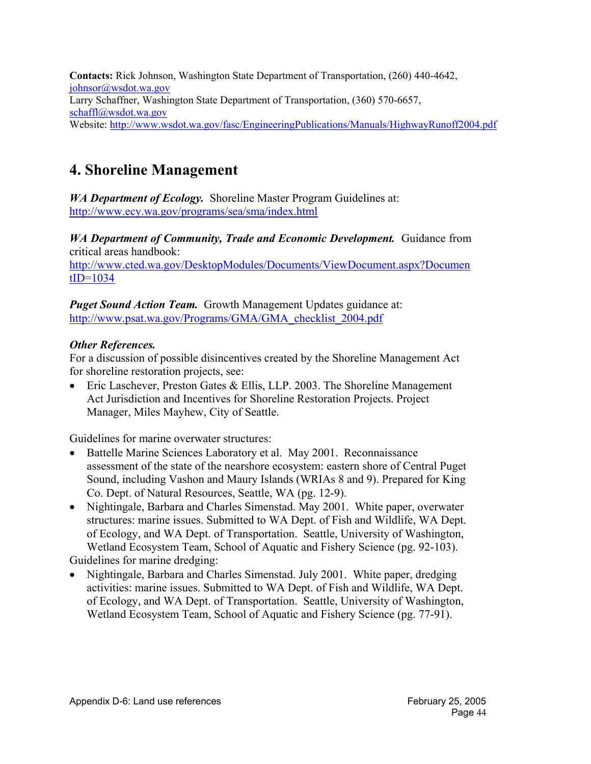**Contacts:** Rick Johnson, Washington State Department of Transportation, (260) 440-4642, johnsor@wsdot.wa.gov Larry Schaffner, Washington State Department of Transportation, (360) 570-6657, schaffl@wsdot.wa.gov Website: http://www.wsdot.wa.gov/fasc/EngineeringPublications/Manuals/HighwayRunoff2004.pdf

# **4. Shoreline Management**

*WA Department of Ecology.* Shoreline Master Program Guidelines at: http://www.ecy.wa.gov/programs/sea/sma/index.html

*WA Department of Community, Trade and Economic Development.* Guidance from critical areas handbook:

http://www.cted.wa.gov/DesktopModules/Documents/ViewDocument.aspx?Documen  $tID=1034$ 

*Puget Sound Action Team.* Growth Management Updates guidance at: http://www.psat.wa.gov/Programs/GMA/GMA\_checklist\_2004.pdf

# *Other References.*

For a discussion of possible disincentives created by the Shoreline Management Act for shoreline restoration projects, see:

• Eric Laschever, Preston Gates & Ellis, LLP. 2003. The Shoreline Management Act Jurisdiction and Incentives for Shoreline Restoration Projects. Project Manager, Miles Mayhew, City of Seattle.

Guidelines for marine overwater structures:

- Battelle Marine Sciences Laboratory et al. May 2001. Reconnaissance assessment of the state of the nearshore ecosystem: eastern shore of Central Puget Sound, including Vashon and Maury Islands (WRIAs 8 and 9). Prepared for King Co. Dept. of Natural Resources, Seattle, WA (pg. 12-9).
- Nightingale, Barbara and Charles Simenstad. May 2001. White paper, overwater structures: marine issues. Submitted to WA Dept. of Fish and Wildlife, WA Dept. of Ecology, and WA Dept. of Transportation. Seattle, University of Washington, Wetland Ecosystem Team, School of Aquatic and Fishery Science (pg. 92-103).

Guidelines for marine dredging:

• Nightingale, Barbara and Charles Simenstad. July 2001. White paper, dredging activities: marine issues. Submitted to WA Dept. of Fish and Wildlife, WA Dept. of Ecology, and WA Dept. of Transportation. Seattle, University of Washington, Wetland Ecosystem Team, School of Aquatic and Fishery Science (pg. 77-91).